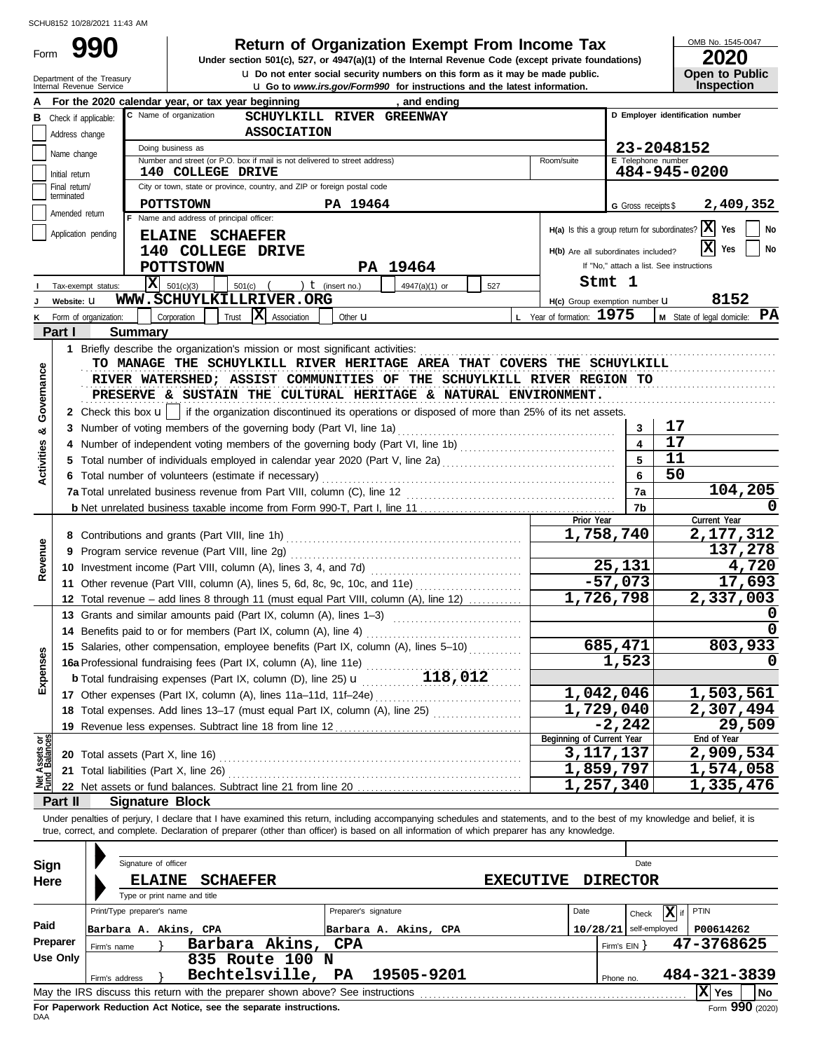Form

# **990 2020 2020 Return of Organization Exempt From Income Tax**

**u** Go to *www.irs.gov/Form990* for instructions and the latest information. **u** Do not enter social security numbers on this form as it may be made public. **Under section 501(c), 527, or 4947(a)(1) of the Internal Revenue Code (except private foundations)** OMB No. 1545-0047

| ZUZU                  |  |  |  |  |  |  |  |  |  |
|-----------------------|--|--|--|--|--|--|--|--|--|
| <b>Open to Public</b> |  |  |  |  |  |  |  |  |  |
| <b>Inspection</b>     |  |  |  |  |  |  |  |  |  |

|                                | Department of the Treasury<br>Internal Revenue Service |                            |                                                                                                                                                                            | <b>u</b> Do not enter social security numbers on this form as it may be made public.<br><b>u</b> Go to www.irs.gov/Form990 for instructions and the latest information. |                  |                                     |                         | <b>Open to Public</b><br><b>Inspection</b>                      |  |  |  |
|--------------------------------|--------------------------------------------------------|----------------------------|----------------------------------------------------------------------------------------------------------------------------------------------------------------------------|-------------------------------------------------------------------------------------------------------------------------------------------------------------------------|------------------|-------------------------------------|-------------------------|-----------------------------------------------------------------|--|--|--|
|                                |                                                        |                            | For the 2020 calendar year, or tax year beginning                                                                                                                          | , and ending                                                                                                                                                            |                  |                                     |                         |                                                                 |  |  |  |
|                                | <b>B</b> Check if applicable:                          |                            | D Employer identification number                                                                                                                                           |                                                                                                                                                                         |                  |                                     |                         |                                                                 |  |  |  |
|                                | Address change                                         | <b>ASSOCIATION</b>         |                                                                                                                                                                            |                                                                                                                                                                         |                  |                                     |                         |                                                                 |  |  |  |
|                                | Name change                                            |                            | Doing business as                                                                                                                                                          |                                                                                                                                                                         |                  |                                     |                         | 23-2048152                                                      |  |  |  |
|                                | Initial return                                         |                            | Number and street (or P.O. box if mail is not delivered to street address)<br>140 COLLEGE DRIVE                                                                            |                                                                                                                                                                         |                  | Room/suite                          | E Telephone number      | 484-945-0200                                                    |  |  |  |
|                                | Final return/                                          |                            | City or town, state or province, country, and ZIP or foreign postal code                                                                                                   |                                                                                                                                                                         |                  |                                     |                         |                                                                 |  |  |  |
|                                | terminated                                             |                            | <b>POTTSTOWN</b>                                                                                                                                                           | PA 19464                                                                                                                                                                |                  |                                     | G Gross receipts \$     | 2,409,352                                                       |  |  |  |
|                                | Amended return                                         |                            | F Name and address of principal officer:                                                                                                                                   |                                                                                                                                                                         |                  |                                     |                         |                                                                 |  |  |  |
|                                | Application pending                                    |                            | ELAINE SCHAEFER                                                                                                                                                            |                                                                                                                                                                         |                  |                                     |                         | $H(a)$ Is this a group return for subordinates? $ X $ Yes<br>No |  |  |  |
|                                |                                                        |                            | 140 COLLEGE DRIVE                                                                                                                                                          |                                                                                                                                                                         |                  | H(b) Are all subordinates included? |                         | X <br>No<br>Yes                                                 |  |  |  |
|                                |                                                        |                            | <b>POTTSTOWN</b>                                                                                                                                                           | PA 19464                                                                                                                                                                |                  |                                     |                         | If "No," attach a list. See instructions                        |  |  |  |
|                                | Tax-exempt status:                                     |                            | $ \mathbf{X} $ 501(c)(3)<br>501(c)                                                                                                                                         | ) $t$ (insert no.)<br>4947(a)(1) or                                                                                                                                     | 527              |                                     | Stmt 1                  |                                                                 |  |  |  |
|                                | Website: U                                             |                            | WWW.SCHUYLKILLRIVER.ORG                                                                                                                                                    |                                                                                                                                                                         |                  | H(c) Group exemption number U       |                         | 8152                                                            |  |  |  |
|                                | Form of organization:                                  |                            | X Association<br>Corporation<br>Trust                                                                                                                                      | Other <b>u</b>                                                                                                                                                          |                  | L Year of formation: 1975           |                         | M State of legal domicile: PA                                   |  |  |  |
|                                | Part I                                                 | <b>Summary</b>             |                                                                                                                                                                            |                                                                                                                                                                         |                  |                                     |                         |                                                                 |  |  |  |
|                                |                                                        |                            | 1 Briefly describe the organization's mission or most significant activities:                                                                                              |                                                                                                                                                                         |                  |                                     |                         |                                                                 |  |  |  |
|                                |                                                        |                            | TO MANAGE THE SCHUYLKILL RIVER HERITAGE AREA THAT COVERS THE SCHUYLKILL                                                                                                    |                                                                                                                                                                         |                  |                                     |                         |                                                                 |  |  |  |
| Governance                     |                                                        |                            | RIVER WATERSHED; ASSIST COMMUNITIES OF THE SCHUYLKILL RIVER REGION TO                                                                                                      |                                                                                                                                                                         |                  |                                     |                         |                                                                 |  |  |  |
|                                |                                                        |                            | PRESERVE & SUSTAIN THE CULTURAL HERITAGE & NATURAL ENVIRONMENT.                                                                                                            |                                                                                                                                                                         |                  |                                     |                         |                                                                 |  |  |  |
|                                |                                                        |                            | 2 Check this box $\mathbf{u}$   if the organization discontinued its operations or disposed of more than 25% of its net assets.                                            |                                                                                                                                                                         |                  |                                     |                         |                                                                 |  |  |  |
| න්                             |                                                        |                            | 3 Number of voting members of the governing body (Part VI, line 1a)                                                                                                        |                                                                                                                                                                         |                  |                                     | 3                       | 17                                                              |  |  |  |
|                                |                                                        |                            |                                                                                                                                                                            |                                                                                                                                                                         |                  |                                     | $\overline{\mathbf{4}}$ | 17                                                              |  |  |  |
| Activities                     |                                                        |                            |                                                                                                                                                                            |                                                                                                                                                                         |                  |                                     | 5                       | 11                                                              |  |  |  |
|                                |                                                        |                            | 6 Total number of volunteers (estimate if necessary)                                                                                                                       |                                                                                                                                                                         |                  |                                     | 6                       | 50                                                              |  |  |  |
|                                |                                                        |                            |                                                                                                                                                                            |                                                                                                                                                                         |                  |                                     | 7a                      | 104,205                                                         |  |  |  |
|                                |                                                        |                            |                                                                                                                                                                            |                                                                                                                                                                         |                  |                                     | 7b                      |                                                                 |  |  |  |
|                                |                                                        |                            |                                                                                                                                                                            |                                                                                                                                                                         |                  | Prior Year                          |                         | Current Year                                                    |  |  |  |
|                                |                                                        |                            |                                                                                                                                                                            | 1,758,740                                                                                                                                                               |                  | 2,177,312                           |                         |                                                                 |  |  |  |
| Revenue                        |                                                        |                            |                                                                                                                                                                            |                                                                                                                                                                         |                  |                                     |                         | 137,278                                                         |  |  |  |
|                                |                                                        |                            |                                                                                                                                                                            |                                                                                                                                                                         |                  |                                     | 25,131                  | 4,720                                                           |  |  |  |
|                                |                                                        |                            | 11 Other revenue (Part VIII, column (A), lines 5, 6d, 8c, 9c, 10c, and 11e)                                                                                                |                                                                                                                                                                         |                  |                                     | $-57,073$               | 17,693                                                          |  |  |  |
|                                |                                                        |                            | 12 Total revenue - add lines 8 through 11 (must equal Part VIII, column (A), line 12)                                                                                      |                                                                                                                                                                         |                  |                                     | 1,726,798               | 2,337,003                                                       |  |  |  |
|                                |                                                        |                            | 13 Grants and similar amounts paid (Part IX, column (A), lines 1-3)                                                                                                        |                                                                                                                                                                         |                  |                                     |                         |                                                                 |  |  |  |
|                                |                                                        |                            |                                                                                                                                                                            |                                                                                                                                                                         |                  |                                     |                         |                                                                 |  |  |  |
| <b>Ses</b>                     |                                                        |                            | 15 Salaries, other compensation, employee benefits (Part IX, column (A), lines 5-10)                                                                                       |                                                                                                                                                                         |                  |                                     | 685,471                 | 803,933                                                         |  |  |  |
|                                |                                                        |                            | 16a Professional fundraising fees (Part IX, column (A), line 11e)                                                                                                          |                                                                                                                                                                         |                  |                                     | 1,523                   | O                                                               |  |  |  |
| Expen                          |                                                        |                            |                                                                                                                                                                            |                                                                                                                                                                         |                  |                                     |                         |                                                                 |  |  |  |
|                                |                                                        |                            |                                                                                                                                                                            |                                                                                                                                                                         |                  |                                     | 1,042,046               | 1,503,561                                                       |  |  |  |
|                                |                                                        |                            | 18 Total expenses. Add lines 13-17 (must equal Part IX, column (A), line 25)                                                                                               |                                                                                                                                                                         |                  | 1,729,040                           |                         | 2,307,494                                                       |  |  |  |
|                                |                                                        |                            |                                                                                                                                                                            |                                                                                                                                                                         |                  | Beginning of Current Year           | $-2, 242$               | 29,509<br>End of Year                                           |  |  |  |
|                                | 20 Total assets (Part X, line 16)                      |                            |                                                                                                                                                                            |                                                                                                                                                                         |                  | 3, 117, 137                         |                         | 2,909,534                                                       |  |  |  |
|                                |                                                        |                            | 21 Total liabilities (Part X, line 26)                                                                                                                                     |                                                                                                                                                                         |                  | 1,859,797                           |                         | $\overline{1,574,058}$                                          |  |  |  |
| Net Assets or<br>Fund Balances |                                                        |                            |                                                                                                                                                                            |                                                                                                                                                                         |                  | 1,257,340                           |                         | 1,335,476                                                       |  |  |  |
|                                | Part II                                                |                            | <b>Signature Block</b>                                                                                                                                                     |                                                                                                                                                                         |                  |                                     |                         |                                                                 |  |  |  |
|                                |                                                        |                            | Under penalties of perjury, I declare that I have examined this return, including accompanying schedules and statements, and to the best of my knowledge and belief, it is |                                                                                                                                                                         |                  |                                     |                         |                                                                 |  |  |  |
|                                |                                                        |                            | true, correct, and complete. Declaration of preparer (other than officer) is based on all information of which preparer has any knowledge.                                 |                                                                                                                                                                         |                  |                                     |                         |                                                                 |  |  |  |
|                                |                                                        |                            |                                                                                                                                                                            |                                                                                                                                                                         |                  |                                     |                         |                                                                 |  |  |  |
| Sign                           |                                                        | Signature of officer       |                                                                                                                                                                            |                                                                                                                                                                         |                  |                                     | Date                    |                                                                 |  |  |  |
| Here                           |                                                        | <b>ELAINE</b>              | <b>SCHAEFER</b>                                                                                                                                                            |                                                                                                                                                                         | <b>EXECUTIVE</b> |                                     | <b>DIRECTOR</b>         |                                                                 |  |  |  |
|                                |                                                        |                            | Type or print name and title                                                                                                                                               |                                                                                                                                                                         |                  |                                     |                         |                                                                 |  |  |  |
|                                |                                                        | Print/Type preparer's name |                                                                                                                                                                            | Preparer's signature                                                                                                                                                    |                  | Date                                | Check                   | PTIN<br>$ \mathbf{X} $ if                                       |  |  |  |
| Paid                           |                                                        |                            | Barbara A. Akins, CPA                                                                                                                                                      | $10/28/21$ self-employed<br>Barbara A. Akins, CPA                                                                                                                       |                  |                                     |                         | P00614262                                                       |  |  |  |
|                                | Preparer<br>Firm's name                                |                            | Barbara Akins,                                                                                                                                                             | <b>CPA</b>                                                                                                                                                              |                  |                                     | Firm's $EIN$ }          | 47-3768625                                                      |  |  |  |
|                                | Use Only                                               |                            | 835 Route 100 N                                                                                                                                                            |                                                                                                                                                                         |                  |                                     |                         |                                                                 |  |  |  |
|                                | Firm's address                                         |                            | Bechtelsville,                                                                                                                                                             | 19505-9201<br>PA                                                                                                                                                        |                  |                                     | Phone no.               | 484-321-3839                                                    |  |  |  |
|                                |                                                        |                            | May the IRS discuss this return with the preparer shown above? See instructions                                                                                            |                                                                                                                                                                         |                  |                                     |                         | $ X $ Yes<br>No                                                 |  |  |  |

|          |             |                              | Signature of officer  |                                                                                 |  |  |                              |                  |          |                   | Date            |              |                   |
|----------|-------------|------------------------------|-----------------------|---------------------------------------------------------------------------------|--|--|------------------------------|------------------|----------|-------------------|-----------------|--------------|-------------------|
| Sign     |             |                              |                       |                                                                                 |  |  |                              |                  |          |                   |                 |              |                   |
| Here     |             |                              | <b>ELAINE</b>         | <b>SCHAEFER</b>                                                                 |  |  |                              | <b>EXECUTIVE</b> |          |                   | <b>DIRECTOR</b> |              |                   |
|          |             | Type or print name and title |                       |                                                                                 |  |  |                              |                  |          |                   |                 |              |                   |
|          |             | Print/Type preparer's name   |                       |                                                                                 |  |  | Preparer's signature         |                  | Date     |                   | Ixl<br>Check    | <b>PTIN</b>  |                   |
| Paid     |             |                              | Barbara A. Akins, CPA |                                                                                 |  |  | Barbara A. Akins, CPA        |                  | 10/28/21 |                   | self-employed   | P00614262    |                   |
| Preparer | Firm's name |                              |                       | Barbara Akins, CPA                                                              |  |  |                              |                  |          | Firm's $EIN$ $\}$ |                 | 47-3768625   |                   |
| Use Only |             |                              |                       | 835 Route 100 N                                                                 |  |  |                              |                  |          |                   |                 |              |                   |
|          |             | Firm's address               |                       |                                                                                 |  |  | Bechtelsville, PA 19505-9201 |                  |          | Phone no.         |                 | 484-321-3839 |                   |
|          |             |                              |                       | May the IRS discuss this return with the preparer shown above? See instructions |  |  |                              |                  |          |                   |                 | Yes          | l No              |
|          |             |                              |                       | For Paperwork Reduction Act Notice, see the separate instructions.              |  |  |                              |                  |          |                   |                 |              | $Form$ 990 (2020) |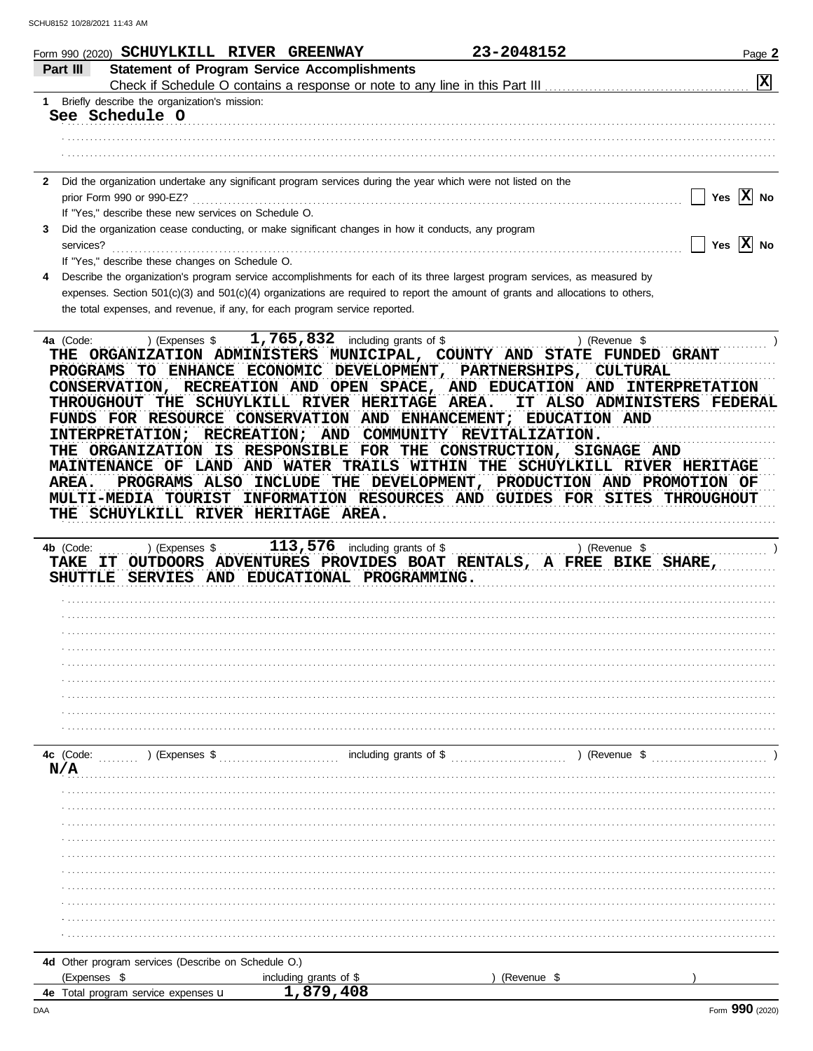| Form 990 (2020) SCHUYLKILL RIVER GREENWAY<br>Part III       | <b>Statement of Program Service Accomplishments</b>                                                                                                                                                           | 23-2048152<br>Page 2                                                                                     |
|-------------------------------------------------------------|---------------------------------------------------------------------------------------------------------------------------------------------------------------------------------------------------------------|----------------------------------------------------------------------------------------------------------|
|                                                             | Check if Schedule O contains a response or note to any line in this Part III                                                                                                                                  | $ \mathbf{x} $                                                                                           |
| Briefly describe the organization's mission:<br>1.          |                                                                                                                                                                                                               |                                                                                                          |
| See Schedule O                                              |                                                                                                                                                                                                               |                                                                                                          |
|                                                             |                                                                                                                                                                                                               |                                                                                                          |
|                                                             |                                                                                                                                                                                                               |                                                                                                          |
| $\mathbf{2}$<br>prior Form 990 or 990-EZ?                   | Did the organization undertake any significant program services during the year which were not listed on the                                                                                                  | $ \mathbf{x} $<br>Yes<br>No                                                                              |
| If "Yes," describe these new services on Schedule O.        |                                                                                                                                                                                                               |                                                                                                          |
| 3                                                           | Did the organization cease conducting, or make significant changes in how it conducts, any program                                                                                                            |                                                                                                          |
| services?                                                   |                                                                                                                                                                                                               | Yes $ X $ No                                                                                             |
| If "Yes," describe these changes on Schedule O.             |                                                                                                                                                                                                               |                                                                                                          |
| 4                                                           | Describe the organization's program service accomplishments for each of its three largest program services, as measured by                                                                                    |                                                                                                          |
|                                                             | expenses. Section 501(c)(3) and 501(c)(4) organizations are required to report the amount of grants and allocations to others,<br>the total expenses, and revenue, if any, for each program service reported. |                                                                                                          |
|                                                             |                                                                                                                                                                                                               |                                                                                                          |
| 4a (Code:<br>) (Expenses \$                                 | 1,765,832 including grants of \$<br>THE ORGANIZATION ADMINISTERS MUNICIPAL, COUNTY AND STATE<br>PROGRAMS TO ENHANCE ECONOMIC DEVELOPMENT, PARTNERSHIPS,                                                       | ) (Revenue \$<br><b>FUNDED GRANT</b><br><b>CULTURAL</b>                                                  |
| THROUGHOUT                                                  | THE SCHUYLKILL RIVER HERITAGE AREA.<br>FUNDS FOR RESOURCE CONSERVATION AND ENHANCEMENT; EDUCATION AND                                                                                                         | CONSERVATION, RECREATION AND OPEN SPACE, AND EDUCATION AND INTERPRETATION<br>IT ALSO ADMINISTERS FEDERAI |
| INTERPRETATION; RECREATION; AND                             |                                                                                                                                                                                                               | COMMUNITY REVITALIZATION.                                                                                |
|                                                             | THE ORGANIZATION IS RESPONSIBLE FOR THE CONSTRUCTION, SIGNAGE AND                                                                                                                                             |                                                                                                          |
| MAINTENANCE OF LAND AND WATER                               |                                                                                                                                                                                                               | TRAILS WITHIN THE SCHUYLKILL RIVER HERITAGE                                                              |
|                                                             |                                                                                                                                                                                                               |                                                                                                          |
| <b>AREA.</b>                                                | PROGRAMS ALSO INCLUDE<br>THE DEVELOPMENT,                                                                                                                                                                     | PRODUCTION AND PROMOTION OF                                                                              |
| <b>MULTI-MEDIA TOURIST</b>                                  | INFORMATION RESOURCES AND GUIDES FOR SITES                                                                                                                                                                    | <b>THROUGHOUT</b>                                                                                        |
|                                                             | THE SCHUYLKILL RIVER HERITAGE AREA.                                                                                                                                                                           |                                                                                                          |
| 4b (Code:<br>) (Expenses \$<br>TAKE<br>IT<br><b>SHUTTLE</b> | 113,576 including grants of \$<br>OUTDOORS ADVENTURES PROVIDES BOAT RENTALS, A FREE BIKE SHARE,<br>SERVIES AND EDUCATIONAL PROGRAMMING.                                                                       | ) (Revenue \$                                                                                            |
|                                                             |                                                                                                                                                                                                               |                                                                                                          |
|                                                             |                                                                                                                                                                                                               |                                                                                                          |
|                                                             |                                                                                                                                                                                                               |                                                                                                          |
|                                                             |                                                                                                                                                                                                               |                                                                                                          |
|                                                             |                                                                                                                                                                                                               |                                                                                                          |
|                                                             |                                                                                                                                                                                                               |                                                                                                          |
|                                                             |                                                                                                                                                                                                               |                                                                                                          |
|                                                             |                                                                                                                                                                                                               |                                                                                                          |
| $(1)$ (Expenses \$                                          |                                                                                                                                                                                                               |                                                                                                          |
| N/A                                                         |                                                                                                                                                                                                               |                                                                                                          |
|                                                             |                                                                                                                                                                                                               |                                                                                                          |
|                                                             |                                                                                                                                                                                                               |                                                                                                          |
|                                                             |                                                                                                                                                                                                               |                                                                                                          |
|                                                             |                                                                                                                                                                                                               |                                                                                                          |
|                                                             |                                                                                                                                                                                                               |                                                                                                          |
|                                                             |                                                                                                                                                                                                               |                                                                                                          |
|                                                             |                                                                                                                                                                                                               |                                                                                                          |
| 4c (Code:                                                   |                                                                                                                                                                                                               |                                                                                                          |
|                                                             |                                                                                                                                                                                                               |                                                                                                          |

| :xpenses                                             | arants<br>including<br>: of Si | (Revenue |  |
|------------------------------------------------------|--------------------------------|----------|--|
| ⊺otai<br>expenses ${\bf u}$<br>program service<br>4е | $\sim$ $\sim$<br>7٥<br>. .     |          |  |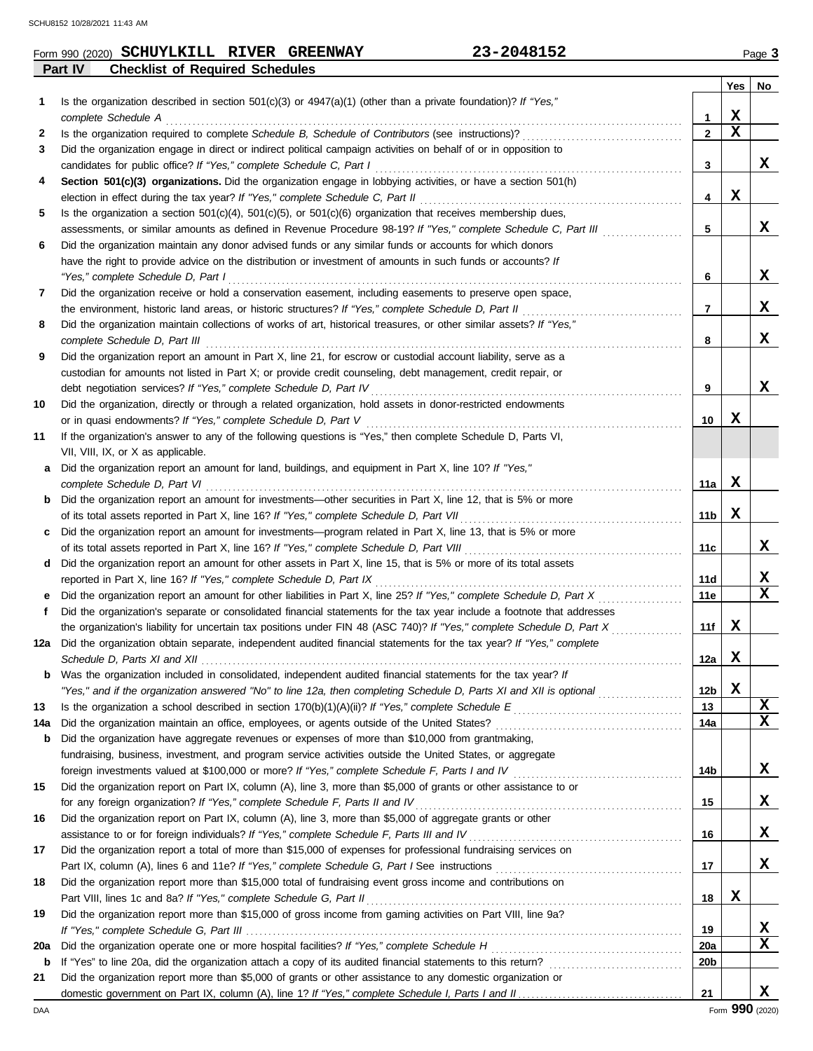|         | Form 990 (2020) SCHUYLKILL RIVER       | <b>GREENWAY</b> | $-2048152$ | Page 3 |
|---------|----------------------------------------|-----------------|------------|--------|
| Part IV | <b>Checklist of Required Schedules</b> |                 |            |        |

|     |                                                                                                                                              |                 | Yes         | No          |
|-----|----------------------------------------------------------------------------------------------------------------------------------------------|-----------------|-------------|-------------|
| 1   | Is the organization described in section $501(c)(3)$ or $4947(a)(1)$ (other than a private foundation)? If "Yes,"                            |                 |             |             |
|     | complete Schedule A                                                                                                                          | 1               | X           |             |
| 2   |                                                                                                                                              | $\mathbf{2}$    | $\mathbf x$ |             |
| 3   | Did the organization engage in direct or indirect political campaign activities on behalf of or in opposition to                             |                 |             |             |
|     |                                                                                                                                              | 3               |             | x           |
| 4   | Section 501(c)(3) organizations. Did the organization engage in lobbying activities, or have a section 501(h)                                |                 |             |             |
|     |                                                                                                                                              | 4               | X           |             |
| 5   | Is the organization a section $501(c)(4)$ , $501(c)(5)$ , or $501(c)(6)$ organization that receives membership dues,                         |                 |             |             |
|     | assessments, or similar amounts as defined in Revenue Procedure 98-19? If "Yes," complete Schedule C, Part III                               | 5               |             | x           |
| 6   | Did the organization maintain any donor advised funds or any similar funds or accounts for which donors                                      |                 |             |             |
|     | have the right to provide advice on the distribution or investment of amounts in such funds or accounts? If                                  |                 |             |             |
|     | "Yes," complete Schedule D, Part I                                                                                                           | 6               |             | X           |
| 7   | Did the organization receive or hold a conservation easement, including easements to preserve open space,                                    |                 |             |             |
|     | the environment, historic land areas, or historic structures? If "Yes," complete Schedule D, Part II                                         | 7               |             | X           |
| 8   | Did the organization maintain collections of works of art, historical treasures, or other similar assets? If "Yes,"                          |                 |             |             |
|     |                                                                                                                                              | 8               |             | X           |
| 9   | Did the organization report an amount in Part X, line 21, for escrow or custodial account liability, serve as a                              |                 |             |             |
|     | custodian for amounts not listed in Part X; or provide credit counseling, debt management, credit repair, or                                 |                 |             |             |
|     | debt negotiation services? If "Yes," complete Schedule D, Part IV                                                                            | 9               |             | x           |
| 10  | Did the organization, directly or through a related organization, hold assets in donor-restricted endowments                                 |                 |             |             |
|     | or in quasi endowments? If "Yes," complete Schedule D, Part V                                                                                | 10              | х           |             |
| 11  | If the organization's answer to any of the following questions is "Yes," then complete Schedule D, Parts VI,                                 |                 |             |             |
|     | VII, VIII, IX, or X as applicable.<br>Did the organization report an amount for land, buildings, and equipment in Part X, line 10? If "Yes," |                 |             |             |
| a   | complete Schedule D, Part VI                                                                                                                 | 11a             | х           |             |
|     | <b>b</b> Did the organization report an amount for investments—other securities in Part X, line 12, that is 5% or more                       |                 |             |             |
|     |                                                                                                                                              | 11b             | X           |             |
|     | c Did the organization report an amount for investments—program related in Part X, line 13, that is 5% or more                               |                 |             |             |
|     |                                                                                                                                              | 11c             |             | X           |
|     | d Did the organization report an amount for other assets in Part X, line 15, that is 5% or more of its total assets                          |                 |             |             |
|     | reported in Part X, line 16? If "Yes," complete Schedule D, Part IX                                                                          | 11d             |             | х           |
| e   |                                                                                                                                              | 11e             |             | $\mathbf x$ |
| f   | Did the organization's separate or consolidated financial statements for the tax year include a footnote that addresses                      |                 |             |             |
|     | the organization's liability for uncertain tax positions under FIN 48 (ASC 740)? If "Yes," complete Schedule D, Part X                       | 11f             | X           |             |
| 12a | Did the organization obtain separate, independent audited financial statements for the tax year? If "Yes," complete                          |                 |             |             |
|     |                                                                                                                                              | 12a             | X           |             |
| b   | Was the organization included in consolidated, independent audited financial statements for the tax year? If                                 |                 |             |             |
|     | "Yes," and if the organization answered "No" to line 12a, then completing Schedule D, Parts XI and XII is optional                           | 12 <sub>b</sub> | X           |             |
| 13  |                                                                                                                                              | 13              |             | X           |
| 14a |                                                                                                                                              | 14a             |             | X           |
| b   | Did the organization have aggregate revenues or expenses of more than \$10,000 from grantmaking,                                             |                 |             |             |
|     | fundraising, business, investment, and program service activities outside the United States, or aggregate                                    |                 |             |             |
|     |                                                                                                                                              | 14b             |             | X           |
| 15  | Did the organization report on Part IX, column (A), line 3, more than \$5,000 of grants or other assistance to or                            |                 |             |             |
|     | for any foreign organization? If "Yes," complete Schedule F, Parts II and IV                                                                 | 15              |             | X           |
| 16  | Did the organization report on Part IX, column (A), line 3, more than \$5,000 of aggregate grants or other                                   |                 |             |             |
|     |                                                                                                                                              | 16              |             | X           |
| 17  | Did the organization report a total of more than \$15,000 of expenses for professional fundraising services on                               | 17              |             | x           |
| 18  | Did the organization report more than \$15,000 total of fundraising event gross income and contributions on                                  |                 |             |             |
|     |                                                                                                                                              | 18              | X           |             |
| 19  | Did the organization report more than \$15,000 of gross income from gaming activities on Part VIII, line 9a?                                 |                 |             |             |
|     |                                                                                                                                              | 19              |             | х           |
| 20a |                                                                                                                                              | <b>20a</b>      |             | $\mathbf x$ |
| b   |                                                                                                                                              | 20b             |             |             |
| 21  | Did the organization report more than \$5,000 of grants or other assistance to any domestic organization or                                  |                 |             |             |
|     |                                                                                                                                              | 21              |             | X           |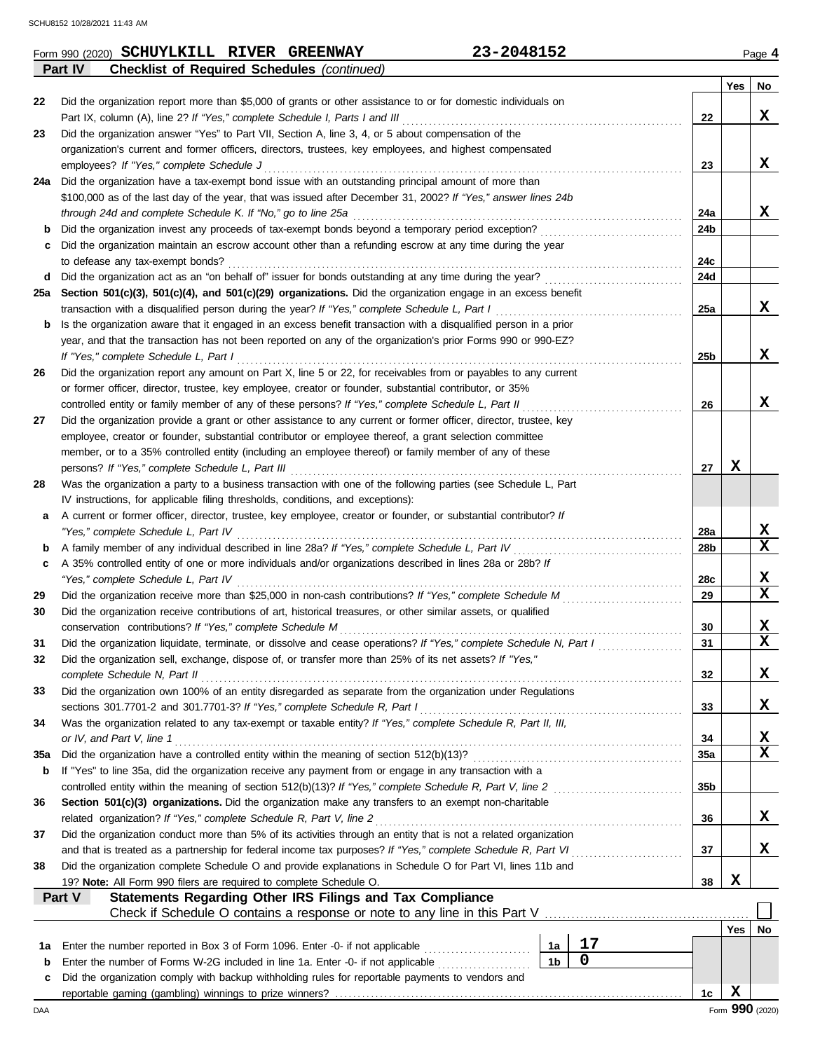|     | 23-2048152<br>Form 990 (2020) SCHUYLKILL RIVER GREENWAY                                                                                                                         |                |                |                 |     | Page 4                  |
|-----|---------------------------------------------------------------------------------------------------------------------------------------------------------------------------------|----------------|----------------|-----------------|-----|-------------------------|
|     | <b>Checklist of Required Schedules (continued)</b><br>Part IV                                                                                                                   |                |                |                 |     |                         |
|     |                                                                                                                                                                                 |                |                |                 | Yes | No                      |
| 22  | Did the organization report more than \$5,000 of grants or other assistance to or for domestic individuals on                                                                   |                |                |                 |     |                         |
|     | Part IX, column (A), line 2? If "Yes," complete Schedule I, Parts I and III                                                                                                     |                |                | 22              |     | X                       |
| 23  | Did the organization answer "Yes" to Part VII, Section A, line 3, 4, or 5 about compensation of the                                                                             |                |                |                 |     |                         |
|     | organization's current and former officers, directors, trustees, key employees, and highest compensated<br>employees? If "Yes," complete Schedule J                             |                |                | 23              |     | X                       |
|     | 24a Did the organization have a tax-exempt bond issue with an outstanding principal amount of more than                                                                         |                |                |                 |     |                         |
|     | \$100,000 as of the last day of the year, that was issued after December 31, 2002? If "Yes," answer lines 24b                                                                   |                |                |                 |     |                         |
|     | through 24d and complete Schedule K. If "No," go to line 25a                                                                                                                    |                |                | 24a             |     | x                       |
| b   | Did the organization invest any proceeds of tax-exempt bonds beyond a temporary period exception?                                                                               |                |                | 24b             |     |                         |
| с   | Did the organization maintain an escrow account other than a refunding escrow at any time during the year                                                                       |                |                |                 |     |                         |
|     | to defease any tax-exempt bonds?                                                                                                                                                |                |                | 24c             |     |                         |
| d   | Did the organization act as an "on behalf of" issuer for bonds outstanding at any time during the year?                                                                         |                |                | 24d             |     |                         |
|     | 25a Section 501(c)(3), 501(c)(4), and 501(c)(29) organizations. Did the organization engage in an excess benefit                                                                |                |                |                 |     |                         |
|     | transaction with a disqualified person during the year? If "Yes," complete Schedule L, Part I                                                                                   |                |                | 25a             |     | x                       |
| b   | Is the organization aware that it engaged in an excess benefit transaction with a disqualified person in a prior                                                                |                |                |                 |     |                         |
|     | year, and that the transaction has not been reported on any of the organization's prior Forms 990 or 990-EZ?                                                                    |                |                |                 |     |                         |
|     | If "Yes," complete Schedule L, Part I                                                                                                                                           |                |                | 25 <sub>b</sub> |     | X                       |
| 26  | Did the organization report any amount on Part X, line 5 or 22, for receivables from or payables to any current                                                                 |                |                |                 |     |                         |
|     | or former officer, director, trustee, key employee, creator or founder, substantial contributor, or 35%                                                                         |                |                |                 |     |                         |
|     | controlled entity or family member of any of these persons? If "Yes," complete Schedule L, Part II                                                                              |                |                | 26              |     | X                       |
| 27  | Did the organization provide a grant or other assistance to any current or former officer, director, trustee, key                                                               |                |                |                 |     |                         |
|     | employee, creator or founder, substantial contributor or employee thereof, a grant selection committee                                                                          |                |                |                 |     |                         |
|     | member, or to a 35% controlled entity (including an employee thereof) or family member of any of these                                                                          |                |                |                 |     |                         |
|     | persons? If "Yes," complete Schedule L, Part III                                                                                                                                |                |                | 27              | X   |                         |
| 28  | Was the organization a party to a business transaction with one of the following parties (see Schedule L, Part                                                                  |                |                |                 |     |                         |
|     | IV instructions, for applicable filing thresholds, conditions, and exceptions):                                                                                                 |                |                |                 |     |                         |
| а   | A current or former officer, director, trustee, key employee, creator or founder, or substantial contributor? If                                                                |                |                |                 |     |                         |
|     | "Yes," complete Schedule L, Part IV                                                                                                                                             |                |                | 28a             |     | X                       |
| b   | A family member of any individual described in line 28a? If "Yes," complete Schedule L, Part IV                                                                                 |                |                | 28b             |     | $\mathbf x$             |
| c   | A 35% controlled entity of one or more individuals and/or organizations described in lines 28a or 28b? If                                                                       |                |                |                 |     |                         |
|     | "Yes," complete Schedule L, Part IV                                                                                                                                             |                |                | 28c             |     | X<br>$\mathbf x$        |
| 29  | Did the organization receive more than \$25,000 in non-cash contributions? If "Yes," complete Schedule M                                                                        |                |                | 29              |     |                         |
| 30  | Did the organization receive contributions of art, historical treasures, or other similar assets, or qualified                                                                  |                |                | 30              |     | X                       |
| 31  | conservation contributions? If "Yes," complete Schedule M<br>Did the organization liquidate, terminate, or dissolve and cease operations? If "Yes," complete Schedule N, Part I |                |                | 31              |     | $\overline{\mathbf{x}}$ |
| 32  | Did the organization sell, exchange, dispose of, or transfer more than 25% of its net assets? If "Yes,"                                                                         |                |                |                 |     |                         |
|     | complete Schedule N, Part II                                                                                                                                                    |                |                | 32              |     | X                       |
| 33  | Did the organization own 100% of an entity disregarded as separate from the organization under Regulations                                                                      |                |                |                 |     |                         |
|     | sections 301.7701-2 and 301.7701-3? If "Yes," complete Schedule R, Part I                                                                                                       |                |                | 33              |     | X                       |
| 34  | Was the organization related to any tax-exempt or taxable entity? If "Yes," complete Schedule R, Part II, III,                                                                  |                |                |                 |     |                         |
|     | or IV, and Part V, line 1                                                                                                                                                       |                |                | 34              |     | X                       |
| 35a | Did the organization have a controlled entity within the meaning of section 512(b)(13)?                                                                                         |                |                | 35a             |     | $\mathbf x$             |
| b   | If "Yes" to line 35a, did the organization receive any payment from or engage in any transaction with a                                                                         |                |                |                 |     |                         |
|     | controlled entity within the meaning of section 512(b)(13)? If "Yes," complete Schedule R, Part V, line 2                                                                       |                |                | 35 <sub>b</sub> |     |                         |
| 36  | Section 501(c)(3) organizations. Did the organization make any transfers to an exempt non-charitable                                                                            |                |                |                 |     |                         |
|     | related organization? If "Yes," complete Schedule R, Part V, line 2                                                                                                             |                |                | 36              |     | X                       |
| 37  | Did the organization conduct more than 5% of its activities through an entity that is not a related organization                                                                |                |                |                 |     |                         |
|     | and that is treated as a partnership for federal income tax purposes? If "Yes," complete Schedule R, Part VI                                                                    |                |                | 37              |     | X                       |
| 38  | Did the organization complete Schedule O and provide explanations in Schedule O for Part VI, lines 11b and                                                                      |                |                |                 |     |                         |
|     | 19? Note: All Form 990 filers are required to complete Schedule O.                                                                                                              |                |                | 38              | X   |                         |
|     | Statements Regarding Other IRS Filings and Tax Compliance<br>Part V                                                                                                             |                |                |                 |     |                         |
|     |                                                                                                                                                                                 |                |                |                 |     |                         |
|     |                                                                                                                                                                                 |                |                |                 | Yes | No                      |
| 1a  | Enter the number reported in Box 3 of Form 1096. Enter -0- if not applicable                                                                                                    | 1a             | $17$           |                 |     |                         |
| b   | Enter the number of Forms W-2G included in line 1a. Enter -0- if not applicable                                                                                                 | 1 <sub>b</sub> | $\overline{0}$ |                 |     |                         |
| c   | Did the organization comply with backup withholding rules for reportable payments to vendors and                                                                                |                |                |                 |     |                         |
|     |                                                                                                                                                                                 |                |                | 1с              | X   |                         |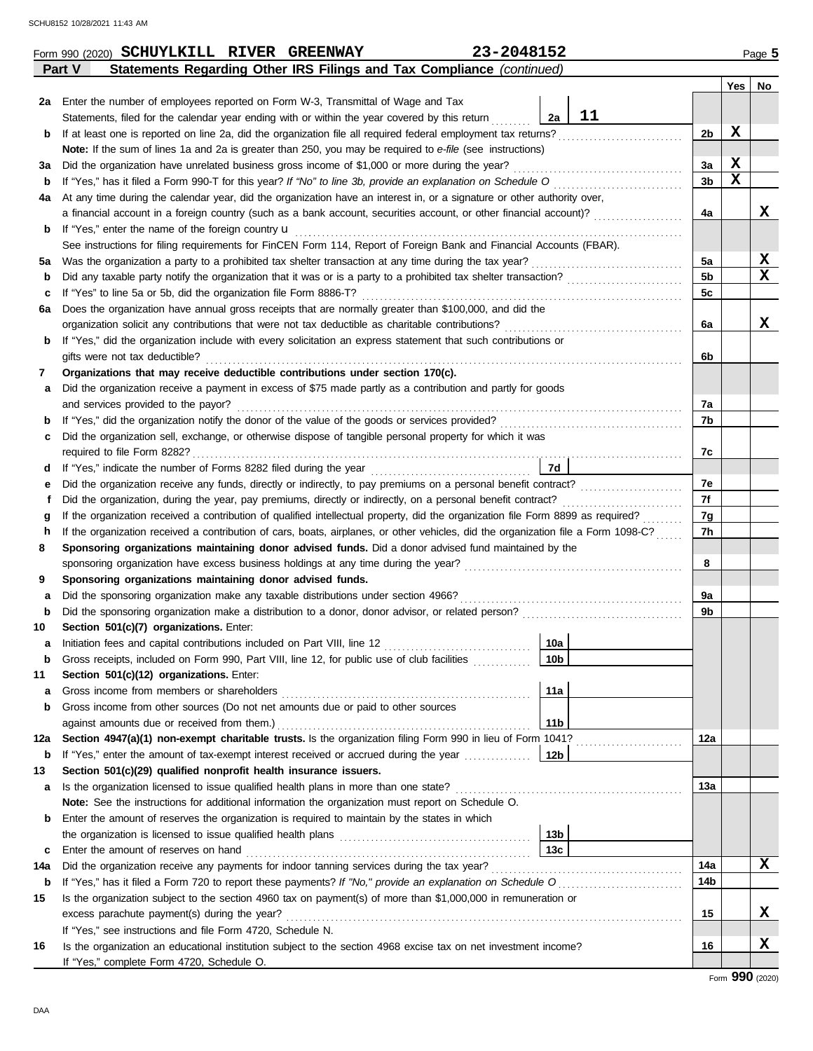|     | Statements Regarding Other IRS Filings and Tax Compliance (continued)<br>Part V                                                       |                        |    |          |        |    |  |  |  |  |
|-----|---------------------------------------------------------------------------------------------------------------------------------------|------------------------|----|----------|--------|----|--|--|--|--|
|     |                                                                                                                                       |                        |    |          | Yes    | No |  |  |  |  |
| 2a  | Enter the number of employees reported on Form W-3, Transmittal of Wage and Tax                                                       |                        |    |          |        |    |  |  |  |  |
|     | Statements, filed for the calendar year ending with or within the year covered by this return                                         | 2a                     | 11 |          |        |    |  |  |  |  |
| b   | If at least one is reported on line 2a, did the organization file all required federal employment tax returns?                        |                        |    | 2b       | X      |    |  |  |  |  |
|     | Note: If the sum of lines 1a and 2a is greater than 250, you may be required to e-file (see instructions)                             |                        |    |          |        |    |  |  |  |  |
| за  | Did the organization have unrelated business gross income of \$1,000 or more during the year?                                         |                        |    | 3a       | X<br>X |    |  |  |  |  |
| b   | If "Yes," has it filed a Form 990-T for this year? If "No" to line 3b, provide an explanation on Schedule O                           |                        |    |          |        |    |  |  |  |  |
| 4a  | At any time during the calendar year, did the organization have an interest in, or a signature or other authority over,               |                        |    |          |        |    |  |  |  |  |
|     | a financial account in a foreign country (such as a bank account, securities account, or other financial account)?                    |                        |    | 4a       |        | x  |  |  |  |  |
| b   | If "Yes," enter the name of the foreign country <b>u</b>                                                                              |                        |    |          |        |    |  |  |  |  |
|     | See instructions for filing requirements for FinCEN Form 114, Report of Foreign Bank and Financial Accounts (FBAR).                   |                        |    |          |        |    |  |  |  |  |
| 5а  | Was the organization a party to a prohibited tax shelter transaction at any time during the tax year?                                 |                        |    | 5a       |        | X  |  |  |  |  |
| b   | Did any taxable party notify the organization that it was or is a party to a prohibited tax shelter transaction?                      |                        |    | 5b       |        | X  |  |  |  |  |
| c   | If "Yes" to line 5a or 5b, did the organization file Form 8886-T?                                                                     |                        |    | 5c       |        |    |  |  |  |  |
| 6а  | Does the organization have annual gross receipts that are normally greater than \$100,000, and did the                                |                        |    |          |        |    |  |  |  |  |
|     | organization solicit any contributions that were not tax deductible as charitable contributions?                                      |                        |    | 6a       |        | X  |  |  |  |  |
| b   | If "Yes," did the organization include with every solicitation an express statement that such contributions or                        |                        |    |          |        |    |  |  |  |  |
|     | gifts were not tax deductible?                                                                                                        |                        |    | 6b       |        |    |  |  |  |  |
| 7   | Organizations that may receive deductible contributions under section 170(c).                                                         |                        |    |          |        |    |  |  |  |  |
| а   | Did the organization receive a payment in excess of \$75 made partly as a contribution and partly for goods                           |                        |    |          |        |    |  |  |  |  |
|     | and services provided to the payor?                                                                                                   |                        |    | 7a       |        |    |  |  |  |  |
| b   |                                                                                                                                       |                        |    | 7b       |        |    |  |  |  |  |
| c   | Did the organization sell, exchange, or otherwise dispose of tangible personal property for which it was                              |                        |    |          |        |    |  |  |  |  |
|     |                                                                                                                                       |                        |    | 7c       |        |    |  |  |  |  |
| d   |                                                                                                                                       | 7d                     |    |          |        |    |  |  |  |  |
| е   | Did the organization receive any funds, directly or indirectly, to pay premiums on a personal benefit contract?                       |                        |    | 7e<br>7f |        |    |  |  |  |  |
|     | Did the organization, during the year, pay premiums, directly or indirectly, on a personal benefit contract?<br>f                     |                        |    |          |        |    |  |  |  |  |
|     | If the organization received a contribution of qualified intellectual property, did the organization file Form 8899 as required?<br>g |                        |    |          |        |    |  |  |  |  |
| h   | If the organization received a contribution of cars, boats, airplanes, or other vehicles, did the organization file a Form 1098-C?    |                        |    | 7h       |        |    |  |  |  |  |
| 8   | Sponsoring organizations maintaining donor advised funds. Did a donor advised fund maintained by the                                  |                        |    |          |        |    |  |  |  |  |
|     | sponsoring organization have excess business holdings at any time during the year?                                                    |                        |    | 8        |        |    |  |  |  |  |
| 9   | Sponsoring organizations maintaining donor advised funds.                                                                             |                        |    |          |        |    |  |  |  |  |
| а   | Did the sponsoring organization make any taxable distributions under section 4966?                                                    |                        |    | 9а       |        |    |  |  |  |  |
| b   |                                                                                                                                       |                        |    | 9b       |        |    |  |  |  |  |
| 10  | Section 501(c)(7) organizations. Enter:                                                                                               |                        |    |          |        |    |  |  |  |  |
| a   |                                                                                                                                       | 10a                    |    |          |        |    |  |  |  |  |
|     | Gross receipts, included on Form 990, Part VIII, line 12, for public use of club facilities                                           | 10 <sub>b</sub>        |    |          |        |    |  |  |  |  |
| 11  | Section 501(c)(12) organizations. Enter:                                                                                              |                        |    |          |        |    |  |  |  |  |
| a   | Gross income from members or shareholders                                                                                             | 11a                    |    |          |        |    |  |  |  |  |
| b   | Gross income from other sources (Do not net amounts due or paid to other sources                                                      |                        |    |          |        |    |  |  |  |  |
|     | against amounts due or received from them.)                                                                                           | 11b                    |    |          |        |    |  |  |  |  |
| 12a | Section 4947(a)(1) non-exempt charitable trusts. Is the organization filing Form 990 in lieu of Form 1041?                            |                        |    | 12a      |        |    |  |  |  |  |
| b   | If "Yes," enter the amount of tax-exempt interest received or accrued during the year                                                 | 12b                    |    |          |        |    |  |  |  |  |
| 13  | Section 501(c)(29) qualified nonprofit health insurance issuers.                                                                      |                        |    |          |        |    |  |  |  |  |
| а   | Is the organization licensed to issue qualified health plans in more than one state?                                                  |                        |    | 13а      |        |    |  |  |  |  |
|     | Note: See the instructions for additional information the organization must report on Schedule O.                                     |                        |    |          |        |    |  |  |  |  |
| b   | Enter the amount of reserves the organization is required to maintain by the states in which                                          |                        |    |          |        |    |  |  |  |  |
|     |                                                                                                                                       | 13 <sub>b</sub><br>13c |    |          |        |    |  |  |  |  |
| c   | Enter the amount of reserves on hand<br>Did the organization receive any payments for indoor tanning services during the tax year?    |                        |    | 14a      |        | x  |  |  |  |  |
| 14a |                                                                                                                                       |                        |    | 14b      |        |    |  |  |  |  |
| b   | If "Yes," has it filed a Form 720 to report these payments? If "No," provide an explanation on Schedule O                             |                        |    |          |        |    |  |  |  |  |
| 15  | Is the organization subject to the section 4960 tax on payment(s) of more than \$1,000,000 in remuneration or                         |                        |    | 15       |        | x  |  |  |  |  |
|     | excess parachute payment(s) during the year?                                                                                          |                        |    |          |        |    |  |  |  |  |
| 16  | If "Yes," see instructions and file Form 4720, Schedule N.                                                                            |                        |    | 16       |        | X  |  |  |  |  |
|     | Is the organization an educational institution subject to the section 4968 excise tax on net investment income?                       |                        |    |          |        |    |  |  |  |  |
|     | If "Yes," complete Form 4720, Schedule O.                                                                                             |                        |    |          |        |    |  |  |  |  |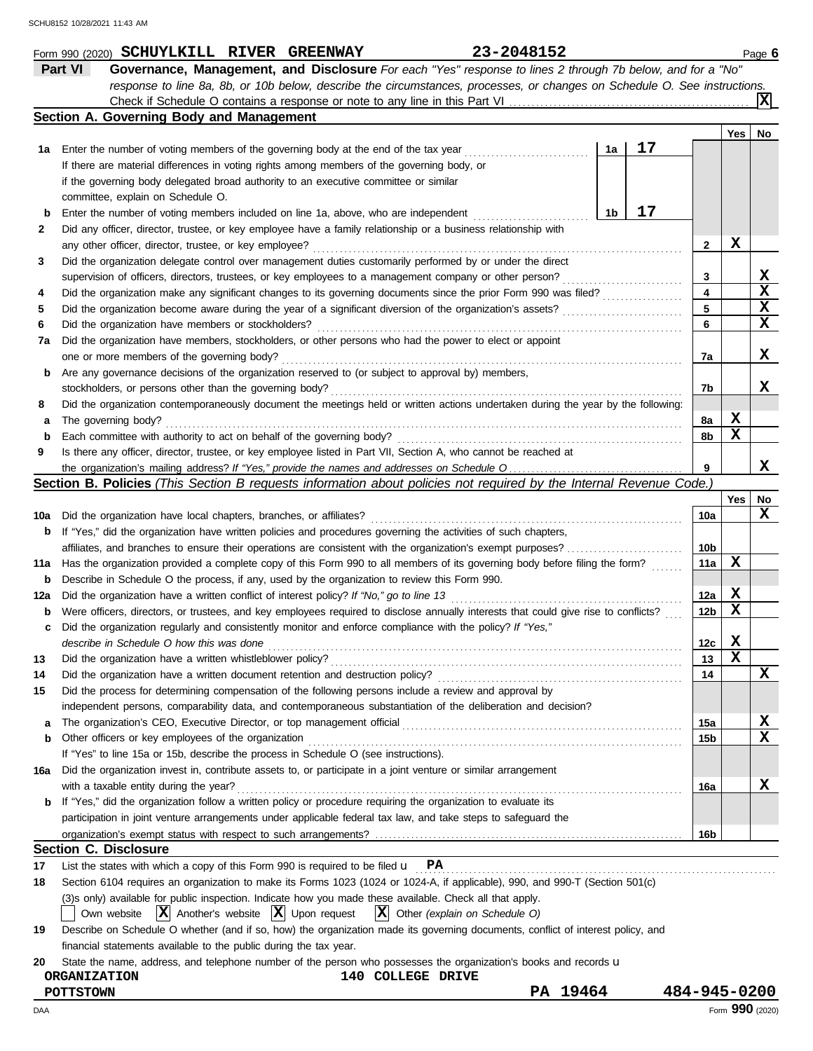|             | Part VI<br>Governance, Management, and Disclosure For each "Yes" response to lines 2 through 7b below, and for a "No"               |                 |             |                 |
|-------------|-------------------------------------------------------------------------------------------------------------------------------------|-----------------|-------------|-----------------|
|             | response to line 8a, 8b, or 10b below, describe the circumstances, processes, or changes on Schedule O. See instructions.           |                 |             |                 |
|             |                                                                                                                                     |                 |             | ΙXΙ             |
|             | Section A. Governing Body and Management                                                                                            |                 |             |                 |
|             |                                                                                                                                     |                 | Yes         | No              |
| 1а          | 17<br>Enter the number of voting members of the governing body at the end of the tax year<br>1a                                     |                 |             |                 |
|             | If there are material differences in voting rights among members of the governing body, or                                          |                 |             |                 |
|             | if the governing body delegated broad authority to an executive committee or similar                                                |                 |             |                 |
|             | committee, explain on Schedule O.                                                                                                   |                 |             |                 |
| b           | 17<br>1b<br>Enter the number of voting members included on line 1a, above, who are independent                                      |                 |             |                 |
| 2           | Did any officer, director, trustee, or key employee have a family relationship or a business relationship with                      |                 |             |                 |
|             | any other officer, director, trustee, or key employee?                                                                              | 2               | х           |                 |
| 3           | Did the organization delegate control over management duties customarily performed by or under the direct                           |                 |             |                 |
|             | supervision of officers, directors, trustees, or key employees to a management company or other person?<br>.                        | 3               |             | X               |
| 4           | Did the organization make any significant changes to its governing documents since the prior Form 990 was filed?                    | 4               |             | $\mathbf x$     |
| 5           | Did the organization become aware during the year of a significant diversion of the organization's assets?                          | 5               |             | X               |
| 6           | Did the organization have members or stockholders?                                                                                  | 6               |             | $\mathbf x$     |
| 7a          | Did the organization have members, stockholders, or other persons who had the power to elect or appoint                             |                 |             |                 |
|             | one or more members of the governing body?                                                                                          | 7a              |             | X               |
| b           | Are any governance decisions of the organization reserved to (or subject to approval by) members,                                   |                 |             |                 |
|             | stockholders, or persons other than the governing body?                                                                             | 7b              |             | x               |
| 8           | Did the organization contemporaneously document the meetings held or written actions undertaken during the year by the following:   |                 |             |                 |
| а           | The governing body?                                                                                                                 | 8a              | X           |                 |
| $\mathbf b$ | Each committee with authority to act on behalf of the governing body?                                                               | 8b              | x           |                 |
| 9           | Is there any officer, director, trustee, or key employee listed in Part VII, Section A, who cannot be reached at                    |                 |             |                 |
|             |                                                                                                                                     | 9               |             | x               |
|             | Section B. Policies (This Section B requests information about policies not required by the Internal Revenue Code.)                 |                 |             |                 |
|             |                                                                                                                                     |                 | Yes         | No              |
| 10a         | Did the organization have local chapters, branches, or affiliates?                                                                  | 10a             |             | X               |
|             | If "Yes," did the organization have written policies and procedures governing the activities of such chapters,                      |                 |             |                 |
| b           |                                                                                                                                     |                 |             |                 |
|             | affiliates, and branches to ensure their operations are consistent with the organization's exempt purposes?                         | 10b             | х           |                 |
| 11a         | Has the organization provided a complete copy of this Form 990 to all members of its governing body before filing the form?         | 11a             |             |                 |
| b           | Describe in Schedule O the process, if any, used by the organization to review this Form 990.                                       |                 |             |                 |
| 12a         | Did the organization have a written conflict of interest policy? If "No," go to line 13                                             | 12a             | X           |                 |
| b           | Were officers, directors, or trustees, and key employees required to disclose annually interests that could give rise to conflicts? | 12 <sub>b</sub> | х           |                 |
| с           | Did the organization regularly and consistently monitor and enforce compliance with the policy? If "Yes,"                           |                 |             |                 |
|             | describe in Schedule O how this was done                                                                                            | 12c             | X           |                 |
| 13          | Did the organization have a written whistleblower policy?                                                                           | 13              | $\mathbf x$ |                 |
| 14          | Did the organization have a written document retention and destruction policy?                                                      | 14              |             | $\mathbf x$     |
| 15          | Did the process for determining compensation of the following persons include a review and approval by                              |                 |             |                 |
|             | independent persons, comparability data, and contemporaneous substantiation of the deliberation and decision?                       |                 |             |                 |
| а           |                                                                                                                                     | 15a             |             | X               |
| b           | Other officers or key employees of the organization                                                                                 | 15b             |             | X               |
|             | If "Yes" to line 15a or 15b, describe the process in Schedule O (see instructions).                                                 |                 |             |                 |
| 16a         | Did the organization invest in, contribute assets to, or participate in a joint venture or similar arrangement                      |                 |             |                 |
|             | with a taxable entity during the year?                                                                                              | 16a             |             | x               |
| b           | If "Yes," did the organization follow a written policy or procedure requiring the organization to evaluate its                      |                 |             |                 |
|             | participation in joint venture arrangements under applicable federal tax law, and take steps to safeguard the                       |                 |             |                 |
|             |                                                                                                                                     | 16b             |             |                 |
|             | <b>Section C. Disclosure</b>                                                                                                        |                 |             |                 |
| 17          | List the states with which a copy of this Form 990 is required to be filed $\mathbf{u}$ PA                                          |                 |             |                 |
| 18          | Section 6104 requires an organization to make its Forms 1023 (1024 or 1024-A, if applicable), 990, and 990-T (Section 501(c)        |                 |             |                 |
|             | (3)s only) available for public inspection. Indicate how you made these available. Check all that apply.                            |                 |             |                 |
|             | $ \mathbf{X} $ Other (explain on Schedule O)<br>$ \mathbf{X} $ Another's website $ \mathbf{X} $ Upon request<br>Own website         |                 |             |                 |
| 19          | Describe on Schedule O whether (and if so, how) the organization made its governing documents, conflict of interest policy, and     |                 |             |                 |
|             | financial statements available to the public during the tax year.                                                                   |                 |             |                 |
| 20          | State the name, address, and telephone number of the person who possesses the organization's books and records u                    |                 |             |                 |
|             | 140 COLLEGE DRIVE<br><b>ORGANIZATION</b>                                                                                            |                 |             |                 |
|             | PA 19464<br><b>POTTSTOWN</b>                                                                                                        | 484-945-0200    |             |                 |
| DAA         |                                                                                                                                     |                 |             | Form 990 (2020) |
|             |                                                                                                                                     |                 |             |                 |

**SCHUYLKILL RIVER GREENWAY 23-2048152**

Form 990 (2020) **SCHUYLKILL RIVER GREENWAY** 23-2048152 Page 6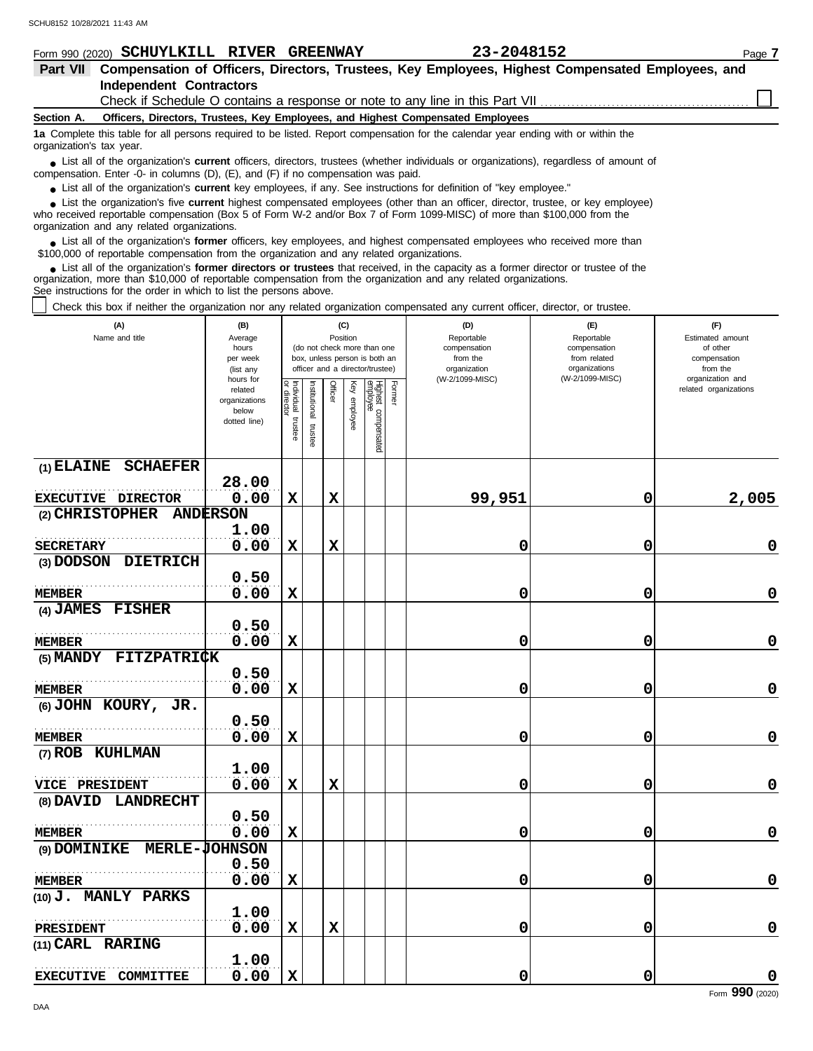**(1) ELAINE SCHAEFER**

**(3) DODSON DIETRICH**

**(5) MANDY FITZPATRICK**

. . . . . . . . . . . . . . . . . . . . . . . . . . . . . . . . . . . . . . . . . . . . . . . . . . . . . . . **0.50**

. . . . . . . . . . . . . . . . . . . . . . . . . . . . . . . . . . . . . . . . . . . . . . . . . . . . . . . **0.50**

VICE PRESIDENT 0.00

. . . . . . . . . . . . . . . . . . . . . . . . . . . . . . . . . . . . . . . . . . . . . . . . . . . . . . . **0.50**

. . . . . . . . . . . . . . . . . . . . . . . . . . . . . . . . . . . . . . . . . . . . . . . . . . . . . . . **0.50**

. . . . . . . . . . . . . . . . . . . . . . . . . . . . . . . . . . . . . . . . . . . . . . . . . . . . . . . **1.00**

**EXECUTIVE DIRECTOR 0.00** 

**28.00**

**0.50**

**1.00**

**1.00**

 $\frac{37.58}{0.00}$ 

**(6) JOHN KOURY, JR.**

**(8) DAVID LANDRECHT**

**(10) J. MANLY PARKS**

**(11) CARL RARING**

**(9) DOMINIKE MERLE-JOHNSON**

. . . . . . . . . . . . . . . . . . . . . . . . . . . . . . . . . . . . . . . . . . . . . . . . . . . . . . . **0.50**

. . . . . . . . . . . . . . . . . . . . . . . . . . . . . . . . . . . . . . . . . . . . . . . . . . . . . . . **1.00**

**EXECUTIVE COMMITTEE**  $0.00$ 

**(7) ROB KUHLMAN**

**(4) JAMES FISHER**

**SECRETARY**

**MEMBER**

**MEMBER**

**MEMBER**

**MEMBER**

**MEMBER**

**MEMBER**

**PRESIDENT**

**(2) CHRISTOPHER ANDERSON**

| Form 990 (2020) SCHUYLKILL RIVER GREENWAY                                                                                                                                                                                                                                                                                     |                                                                                                                    |                                                                  |                                                                                                                                                                                               | 23-2048152                                                                                       |                                                                                       | Page 7                                                                                                       |  |  |  |  |
|-------------------------------------------------------------------------------------------------------------------------------------------------------------------------------------------------------------------------------------------------------------------------------------------------------------------------------|--------------------------------------------------------------------------------------------------------------------|------------------------------------------------------------------|-----------------------------------------------------------------------------------------------------------------------------------------------------------------------------------------------|--------------------------------------------------------------------------------------------------|---------------------------------------------------------------------------------------|--------------------------------------------------------------------------------------------------------------|--|--|--|--|
| <b>Part VII</b>                                                                                                                                                                                                                                                                                                               |                                                                                                                    |                                                                  |                                                                                                                                                                                               | Compensation of Officers, Directors, Trustees, Key Employees, Highest Compensated Employees, and |                                                                                       |                                                                                                              |  |  |  |  |
| <b>Independent Contractors</b>                                                                                                                                                                                                                                                                                                |                                                                                                                    |                                                                  |                                                                                                                                                                                               |                                                                                                  |                                                                                       |                                                                                                              |  |  |  |  |
|                                                                                                                                                                                                                                                                                                                               |                                                                                                                    |                                                                  |                                                                                                                                                                                               |                                                                                                  |                                                                                       |                                                                                                              |  |  |  |  |
| Officers, Directors, Trustees, Key Employees, and Highest Compensated Employees<br>Section A.                                                                                                                                                                                                                                 |                                                                                                                    |                                                                  |                                                                                                                                                                                               |                                                                                                  |                                                                                       |                                                                                                              |  |  |  |  |
| 1a Complete this table for all persons required to be listed. Report compensation for the calendar year ending with or within the<br>organization's tax year.                                                                                                                                                                 |                                                                                                                    |                                                                  |                                                                                                                                                                                               |                                                                                                  |                                                                                       |                                                                                                              |  |  |  |  |
| • List all of the organization's <b>current</b> officers, directors, trustees (whether individuals or organizations), regardless of amount of<br>compensation. Enter -0- in columns $(D)$ , $(E)$ , and $(F)$ if no compensation was paid.                                                                                    |                                                                                                                    |                                                                  |                                                                                                                                                                                               |                                                                                                  |                                                                                       |                                                                                                              |  |  |  |  |
| • List all of the organization's <b>current</b> key employees, if any. See instructions for definition of "key employee."                                                                                                                                                                                                     |                                                                                                                    |                                                                  |                                                                                                                                                                                               |                                                                                                  |                                                                                       |                                                                                                              |  |  |  |  |
| • List the organization's five current highest compensated employees (other than an officer, director, trustee, or key employee)<br>who received reportable compensation (Box 5 of Form W-2 and/or Box 7 of Form 1099-MISC) of more than \$100,000 from the<br>organization and any related organizations.                    |                                                                                                                    |                                                                  |                                                                                                                                                                                               |                                                                                                  |                                                                                       |                                                                                                              |  |  |  |  |
| • List all of the organization's former officers, key employees, and highest compensated employees who received more than<br>\$100,000 of reportable compensation from the organization and any related organizations.                                                                                                        |                                                                                                                    |                                                                  |                                                                                                                                                                                               |                                                                                                  |                                                                                       |                                                                                                              |  |  |  |  |
| • List all of the organization's former directors or trustees that received, in the capacity as a former director or trustee of the<br>organization, more than \$10,000 of reportable compensation from the organization and any related organizations.<br>See instructions for the order in which to list the persons above. |                                                                                                                    |                                                                  |                                                                                                                                                                                               |                                                                                                  |                                                                                       |                                                                                                              |  |  |  |  |
| Check this box if neither the organization nor any related organization compensated any current officer, director, or trustee.                                                                                                                                                                                                |                                                                                                                    |                                                                  |                                                                                                                                                                                               |                                                                                                  |                                                                                       |                                                                                                              |  |  |  |  |
| (A)<br>Name and title                                                                                                                                                                                                                                                                                                         | (B)<br>Average<br>hours<br>per week<br>(list any<br>hours for<br>related<br>organizations<br>below<br>dotted line) | Individual<br>or director<br>Institutional<br>trustee<br>trustee | (C)<br>Position<br>(do not check more than one<br>box, unless person is both an<br>officer and a director/trustee)<br>Officer<br>Highest compensated<br>employee<br>Former<br>Ķey<br>employee | (D)<br>Reportable<br>compensation<br>from the<br>organization<br>(W-2/1099-MISC)                 | (E)<br>Reportable<br>compensation<br>from related<br>organizations<br>(W-2/1099-MISC) | (F)<br>Estimated amount<br>of other<br>compensation<br>from the<br>organization and<br>related organizations |  |  |  |  |

**0.00 X X 99,951 0 2,005**

**0.00 X X 0 0 0**

**0.00 X 0 0 0**

**0.00 X 0 0 0**

**0.00 X 0 0 0**

**0.00 X 0 0 0**

**0.00 X X 0 0 0**

**0.00 X 0 0 0**

**0.00 X 0 0 0**

**0.00 X X 0 0 0**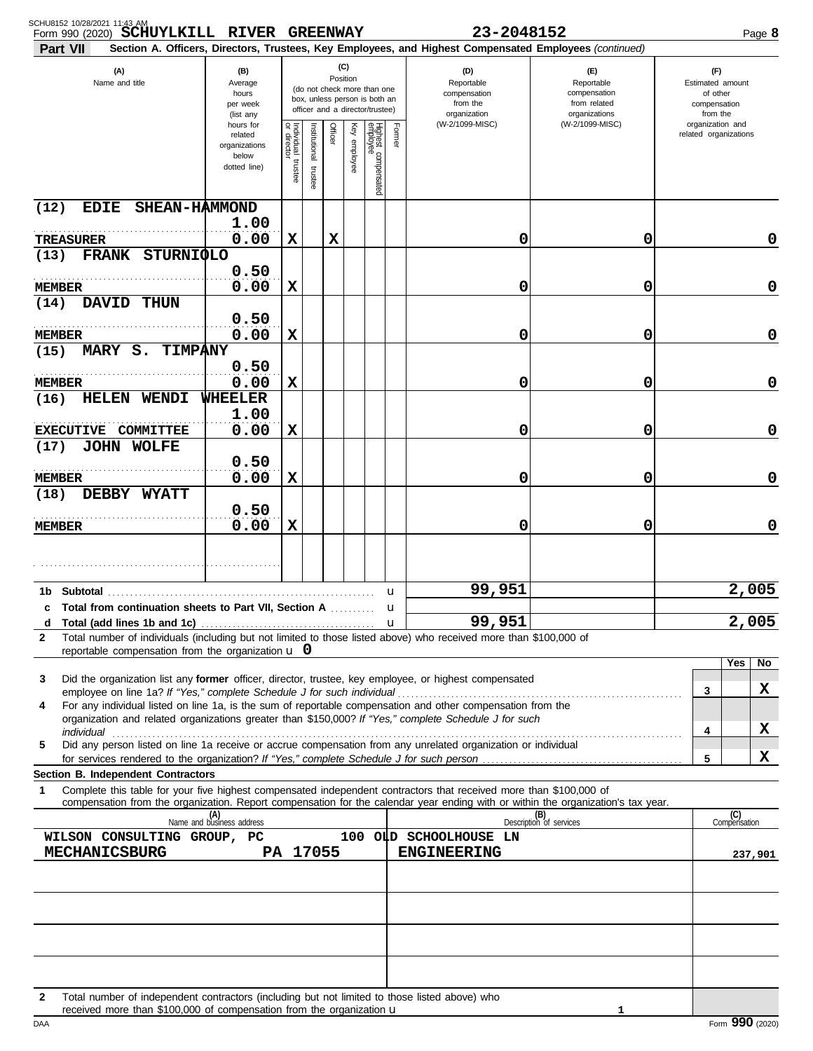| SCHU8152 10/28/2021 11:43 AM<br>Form 990 (2020) SCHUYLKILL RIVER GREENWAY                                                                                                                                                                                                                                |                                                                                                                                                                        |                                   |                         |         |                 |                                 |              | 23-2048152                                                                                             |                                                                    | Page 8                                                          |
|----------------------------------------------------------------------------------------------------------------------------------------------------------------------------------------------------------------------------------------------------------------------------------------------------------|------------------------------------------------------------------------------------------------------------------------------------------------------------------------|-----------------------------------|-------------------------|---------|-----------------|---------------------------------|--------------|--------------------------------------------------------------------------------------------------------|--------------------------------------------------------------------|-----------------------------------------------------------------|
| <b>Part VII</b>                                                                                                                                                                                                                                                                                          |                                                                                                                                                                        |                                   |                         |         |                 |                                 |              | Section A. Officers, Directors, Trustees, Key Employees, and Highest Compensated Employees (continued) |                                                                    |                                                                 |
| (A)<br>Name and title                                                                                                                                                                                                                                                                                    | (C)<br>(B)<br>Position<br>Average<br>(do not check more than one<br>hours<br>box, unless person is both an<br>per week<br>officer and a director/trustee)<br>(list any |                                   |                         |         |                 |                                 |              | (D)<br>Reportable<br>compensation<br>from the<br>organization                                          | (E)<br>Reportable<br>compensation<br>from related<br>organizations | (F)<br>Estimated amount<br>of other<br>compensation<br>from the |
|                                                                                                                                                                                                                                                                                                          | hours for<br>related<br>organizations<br>below<br>dotted line)                                                                                                         | Individual trustee<br>or director | nstitutional<br>trustee | Officer | Ķey<br>employee | Highest compensated<br>employee | Former       | (W-2/1099-MISC)                                                                                        | (W-2/1099-MISC)                                                    | organization and<br>related organizations                       |
| SHEAN-HAMMOND<br>(12)<br><b>EDIE</b>                                                                                                                                                                                                                                                                     | 1.00                                                                                                                                                                   |                                   |                         |         |                 |                                 |              |                                                                                                        |                                                                    |                                                                 |
| <b>TREASURER</b>                                                                                                                                                                                                                                                                                         | 0.00                                                                                                                                                                   | X                                 |                         | X       |                 |                                 |              | 0                                                                                                      | 0                                                                  | 0                                                               |
| FRANK STURNIQLO<br>(13)                                                                                                                                                                                                                                                                                  | 0.50                                                                                                                                                                   |                                   |                         |         |                 |                                 |              |                                                                                                        |                                                                    |                                                                 |
| <b>MEMBER</b>                                                                                                                                                                                                                                                                                            | 0.00                                                                                                                                                                   | X                                 |                         |         |                 |                                 |              | 0                                                                                                      | 0                                                                  | 0                                                               |
| <b>DAVID</b><br><b>THUN</b><br>(14)                                                                                                                                                                                                                                                                      | 0.50                                                                                                                                                                   |                                   |                         |         |                 |                                 |              |                                                                                                        |                                                                    |                                                                 |
| <b>MEMBER</b>                                                                                                                                                                                                                                                                                            | 0.00                                                                                                                                                                   | X                                 |                         |         |                 |                                 |              | 0                                                                                                      | 0                                                                  | 0                                                               |
| MARY S.<br><b>TIMPANY</b><br>(15)                                                                                                                                                                                                                                                                        | 0.50                                                                                                                                                                   |                                   |                         |         |                 |                                 |              |                                                                                                        |                                                                    |                                                                 |
| <b>MEMBER</b><br>(16)<br>HELEN<br>WENDI                                                                                                                                                                                                                                                                  | 0.00<br><b>WHEELER</b>                                                                                                                                                 | X                                 |                         |         |                 |                                 |              | 0                                                                                                      | 0                                                                  | 0                                                               |
|                                                                                                                                                                                                                                                                                                          | 1.00                                                                                                                                                                   |                                   |                         |         |                 |                                 |              |                                                                                                        |                                                                    |                                                                 |
| EXECUTIVE COMMITTEE                                                                                                                                                                                                                                                                                      | 0.00                                                                                                                                                                   | X                                 |                         |         |                 |                                 |              | 0                                                                                                      | 0                                                                  | 0                                                               |
| (17)<br><b>JOHN WOLFE</b>                                                                                                                                                                                                                                                                                | 0.50                                                                                                                                                                   |                                   |                         |         |                 |                                 |              |                                                                                                        |                                                                    |                                                                 |
| <b>MEMBER</b>                                                                                                                                                                                                                                                                                            | 0.00                                                                                                                                                                   | x                                 |                         |         |                 |                                 |              | 0                                                                                                      | 0                                                                  | 0                                                               |
| (18)<br>DEBBY WYATT                                                                                                                                                                                                                                                                                      |                                                                                                                                                                        |                                   |                         |         |                 |                                 |              |                                                                                                        |                                                                    |                                                                 |
| <b>MEMBER</b>                                                                                                                                                                                                                                                                                            | 0.50<br>0.00                                                                                                                                                           | X                                 |                         |         |                 |                                 |              | 0                                                                                                      | 0                                                                  | 0                                                               |
|                                                                                                                                                                                                                                                                                                          |                                                                                                                                                                        |                                   |                         |         |                 |                                 |              |                                                                                                        |                                                                    |                                                                 |
| Subtotal<br>1b                                                                                                                                                                                                                                                                                           |                                                                                                                                                                        |                                   |                         |         |                 |                                 | u            | 99,951                                                                                                 |                                                                    | 2,005                                                           |
| <b>Total from continuation sheets to Part VII, Section A</b><br>c                                                                                                                                                                                                                                        |                                                                                                                                                                        |                                   |                         |         |                 |                                 | u            |                                                                                                        |                                                                    |                                                                 |
| d                                                                                                                                                                                                                                                                                                        |                                                                                                                                                                        |                                   |                         |         |                 |                                 | $\mathbf{u}$ | 99,951                                                                                                 |                                                                    | 2,005                                                           |
| Total number of individuals (including but not limited to those listed above) who received more than \$100,000 of<br>$\mathbf{2}$<br>reportable compensation from the organization $\bf{u}$ 0                                                                                                            |                                                                                                                                                                        |                                   |                         |         |                 |                                 |              |                                                                                                        |                                                                    |                                                                 |
| Did the organization list any <b>former</b> officer, director, trustee, key employee, or highest compensated<br>3                                                                                                                                                                                        |                                                                                                                                                                        |                                   |                         |         |                 |                                 |              |                                                                                                        |                                                                    | Yes<br>No                                                       |
|                                                                                                                                                                                                                                                                                                          |                                                                                                                                                                        |                                   |                         |         |                 |                                 |              |                                                                                                        |                                                                    | x<br>3                                                          |
| For any individual listed on line 1a, is the sum of reportable compensation and other compensation from the<br>4<br>organization and related organizations greater than \$150,000? If "Yes," complete Schedule J for such                                                                                |                                                                                                                                                                        |                                   |                         |         |                 |                                 |              |                                                                                                        |                                                                    |                                                                 |
| Did any person listed on line 1a receive or accrue compensation from any unrelated organization or individual<br>5                                                                                                                                                                                       |                                                                                                                                                                        |                                   |                         |         |                 |                                 |              |                                                                                                        |                                                                    | X<br>4                                                          |
|                                                                                                                                                                                                                                                                                                          |                                                                                                                                                                        |                                   |                         |         |                 |                                 |              |                                                                                                        |                                                                    | X<br>5                                                          |
| <b>Section B. Independent Contractors</b><br>Complete this table for your five highest compensated independent contractors that received more than \$100,000 of<br>1<br>compensation from the organization. Report compensation for the calendar year ending with or within the organization's tax year. |                                                                                                                                                                        |                                   |                         |         |                 |                                 |              |                                                                                                        |                                                                    |                                                                 |
|                                                                                                                                                                                                                                                                                                          | (A)<br>Name and business address                                                                                                                                       |                                   |                         |         |                 |                                 |              |                                                                                                        | (B)<br>Description of services                                     | (C)<br>Compensation                                             |
| WILSON CONSULTING GROUP, PC                                                                                                                                                                                                                                                                              |                                                                                                                                                                        |                                   |                         |         |                 |                                 |              | 100 OLD SCHOOLHOUSE LN                                                                                 |                                                                    |                                                                 |
| <b>MECHANICSBURG</b>                                                                                                                                                                                                                                                                                     |                                                                                                                                                                        |                                   | PA 17055                |         |                 |                                 |              | <b>ENGINEERING</b>                                                                                     |                                                                    | 237,901                                                         |
|                                                                                                                                                                                                                                                                                                          |                                                                                                                                                                        |                                   |                         |         |                 |                                 |              |                                                                                                        |                                                                    |                                                                 |
|                                                                                                                                                                                                                                                                                                          |                                                                                                                                                                        |                                   |                         |         |                 |                                 |              |                                                                                                        |                                                                    |                                                                 |
|                                                                                                                                                                                                                                                                                                          |                                                                                                                                                                        |                                   |                         |         |                 |                                 |              |                                                                                                        |                                                                    |                                                                 |
| Total number of independent contractors (including but not limited to those listed above) who<br>$\mathbf{2}$<br>received more than \$100,000 of compensation from the organization <b>u</b>                                                                                                             |                                                                                                                                                                        |                                   |                         |         |                 |                                 |              |                                                                                                        | 1                                                                  |                                                                 |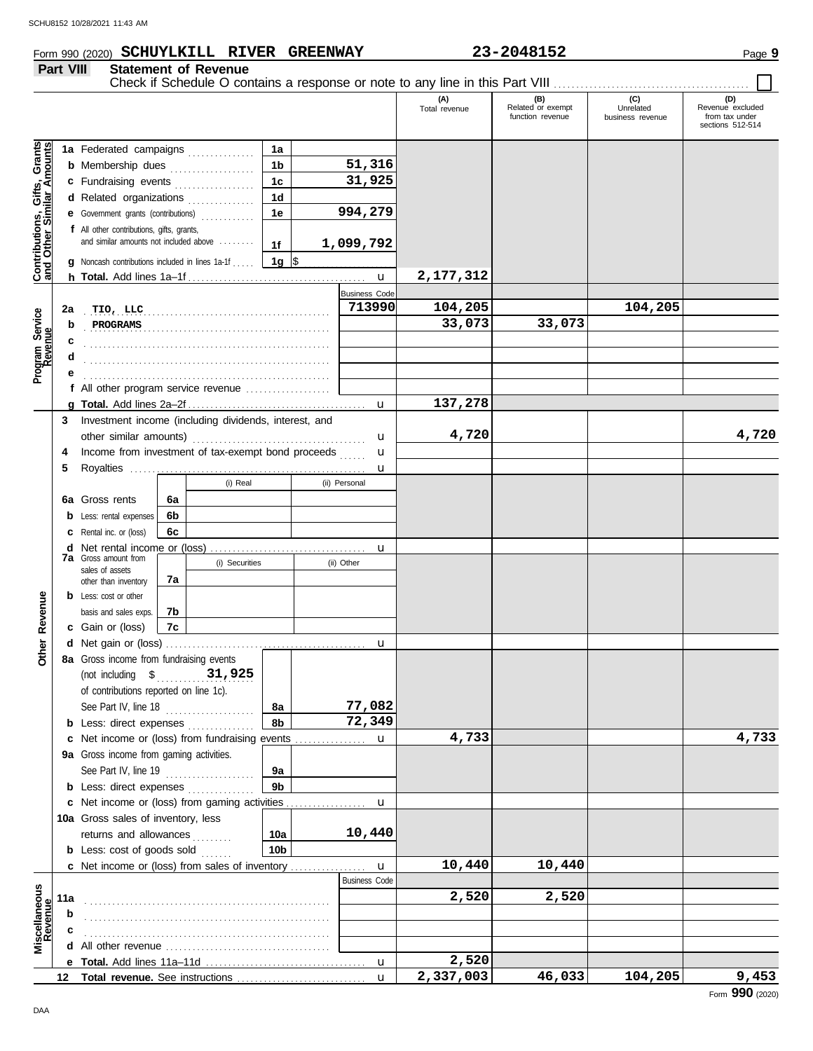## Form 990 (2020) Page **9 SCHUYLKILL RIVER GREENWAY 23-2048152**

**Part VIII Statement of Revenue**

|                                                           | ган үш  |                                                                                                                                   |    | <b>OLALGITIGHT OF IVEREITHE</b>                    |                  |                      |                      |                                              |                                      |                                                               |
|-----------------------------------------------------------|---------|-----------------------------------------------------------------------------------------------------------------------------------|----|----------------------------------------------------|------------------|----------------------|----------------------|----------------------------------------------|--------------------------------------|---------------------------------------------------------------|
|                                                           |         |                                                                                                                                   |    |                                                    |                  |                      | (A)<br>Total revenue | (B)<br>Related or exempt<br>function revenue | (C)<br>Unrelated<br>business revenue | (D)<br>Revenue excluded<br>from tax under<br>sections 512-514 |
|                                                           |         | 1a Federated campaigns                                                                                                            |    |                                                    | 1a               |                      |                      |                                              |                                      |                                                               |
| Contributions, Gifts, Grants<br>and Other Similar Amounts |         | <b>b</b> Membership dues <i>[[1]</i> [1] Membership dues <i>[1]</i> [1] Membership dues <i>[1]</i> [1] Membership dues <b>11]</b> |    |                                                    | 1 <sub>b</sub>   | 51,316               |                      |                                              |                                      |                                                               |
|                                                           |         | c Fundraising events                                                                                                              |    |                                                    | 1 <sub>c</sub>   | 31,925               |                      |                                              |                                      |                                                               |
|                                                           |         | d Related organizations                                                                                                           |    |                                                    | 1 <sub>d</sub>   |                      |                      |                                              |                                      |                                                               |
|                                                           |         | e Government grants (contributions)                                                                                               |    | <u> 1986 - Jan Barat, político de la pro</u>       | 1e               | 994,279              |                      |                                              |                                      |                                                               |
|                                                           |         | f All other contributions, gifts, grants,                                                                                         |    |                                                    |                  |                      |                      |                                              |                                      |                                                               |
|                                                           |         | and similar amounts not included above                                                                                            |    |                                                    | 1f               | 1,099,792            |                      |                                              |                                      |                                                               |
|                                                           |         | <b>g</b> Noncash contributions included in lines 1a-1f                                                                            |    |                                                    | 1g $\frac{1}{3}$ |                      |                      |                                              |                                      |                                                               |
|                                                           |         |                                                                                                                                   |    |                                                    |                  |                      | 2, 177, 312          |                                              |                                      |                                                               |
|                                                           |         |                                                                                                                                   |    |                                                    |                  | <b>Business Code</b> |                      |                                              |                                      |                                                               |
|                                                           |         |                                                                                                                                   |    |                                                    |                  | 713990               | 104,205              |                                              | 104,205                              |                                                               |
|                                                           | 2a<br>b | TIO, LLC<br>PROGRAMS                                                                                                              |    |                                                    |                  |                      | 33,073               | 33,073                                       |                                      |                                                               |
|                                                           |         |                                                                                                                                   |    |                                                    |                  |                      |                      |                                              |                                      |                                                               |
|                                                           |         |                                                                                                                                   |    |                                                    |                  |                      |                      |                                              |                                      |                                                               |
| Program Service<br>Revenue                                |         |                                                                                                                                   |    |                                                    |                  |                      |                      |                                              |                                      |                                                               |
|                                                           |         | f All other program service revenue                                                                                               |    |                                                    |                  |                      |                      |                                              |                                      |                                                               |
|                                                           |         |                                                                                                                                   |    |                                                    |                  |                      | 137,278              |                                              |                                      |                                                               |
|                                                           |         | 3 Investment income (including dividends, interest, and                                                                           |    |                                                    |                  |                      |                      |                                              |                                      |                                                               |
|                                                           |         | other similar amounts)                                                                                                            |    |                                                    |                  | u                    | 4,720                |                                              |                                      | 4,720                                                         |
|                                                           | 4       | Income from investment of tax-exempt bond proceeds                                                                                |    |                                                    |                  | u                    |                      |                                              |                                      |                                                               |
|                                                           | 5       |                                                                                                                                   |    |                                                    |                  |                      |                      |                                              |                                      |                                                               |
|                                                           |         |                                                                                                                                   |    | (i) Real                                           |                  | (ii) Personal        |                      |                                              |                                      |                                                               |
|                                                           |         | 6a Gross rents                                                                                                                    | 6a |                                                    |                  |                      |                      |                                              |                                      |                                                               |
|                                                           |         | <b>b</b> Less: rental expenses                                                                                                    | 6b |                                                    |                  |                      |                      |                                              |                                      |                                                               |
|                                                           |         | C Rental inc. or (loss)                                                                                                           | 6c |                                                    |                  |                      |                      |                                              |                                      |                                                               |
|                                                           |         |                                                                                                                                   |    |                                                    |                  |                      |                      |                                              |                                      |                                                               |
|                                                           |         | <b>7a</b> Gross amount from                                                                                                       |    | (i) Securities                                     |                  | (ii) Other           |                      |                                              |                                      |                                                               |
|                                                           |         | sales of assets                                                                                                                   | 7а |                                                    |                  |                      |                      |                                              |                                      |                                                               |
|                                                           |         | other than inventory<br><b>b</b> Less: cost or other                                                                              |    |                                                    |                  |                      |                      |                                              |                                      |                                                               |
| Revenue                                                   |         | basis and sales exps.                                                                                                             | 7b |                                                    |                  |                      |                      |                                              |                                      |                                                               |
|                                                           |         | c Gain or (loss)                                                                                                                  | 7c |                                                    |                  |                      |                      |                                              |                                      |                                                               |
|                                                           |         |                                                                                                                                   |    |                                                    |                  |                      |                      |                                              |                                      |                                                               |
| Other                                                     |         | 8a Gross income from fundraising events                                                                                           |    |                                                    |                  |                      |                      |                                              |                                      |                                                               |
|                                                           |         | (not including \$                                                                                                                 |    | 31,925                                             |                  |                      |                      |                                              |                                      |                                                               |
|                                                           |         | of contributions reported on line 1c).                                                                                            |    |                                                    |                  |                      |                      |                                              |                                      |                                                               |
|                                                           |         | See Part IV, line 18                                                                                                              |    | <u>.</u><br>1980 - Johann Land, amerikansk politik | 8а               | 77,082               |                      |                                              |                                      |                                                               |
|                                                           |         | <b>b</b> Less: direct expenses                                                                                                    |    |                                                    | 8b               | 72,349               |                      |                                              |                                      |                                                               |
|                                                           |         |                                                                                                                                   |    |                                                    |                  |                      | 4,733                |                                              |                                      | 4,733                                                         |
|                                                           |         | 9a Gross income from gaming activities.                                                                                           |    |                                                    |                  |                      |                      |                                              |                                      |                                                               |
|                                                           |         | See Part IV, line 19                                                                                                              |    |                                                    | 9а               |                      |                      |                                              |                                      |                                                               |
|                                                           |         | <b>b</b> Less: direct expenses                                                                                                    |    |                                                    | 9b               |                      |                      |                                              |                                      |                                                               |
|                                                           |         |                                                                                                                                   |    |                                                    |                  |                      |                      |                                              |                                      |                                                               |
|                                                           |         | 10a Gross sales of inventory, less                                                                                                |    |                                                    |                  |                      |                      |                                              |                                      |                                                               |
|                                                           |         | returns and allowances                                                                                                            |    |                                                    | 10a              | 10,440               |                      |                                              |                                      |                                                               |
|                                                           |         | <b>b</b> Less: cost of goods sold                                                                                                 |    |                                                    | 10 <sub>b</sub>  |                      |                      |                                              |                                      |                                                               |
|                                                           |         |                                                                                                                                   |    |                                                    |                  | $\mathbf{u}$         | 10,440               | 10,440                                       |                                      |                                                               |
|                                                           |         |                                                                                                                                   |    |                                                    |                  | <b>Business Code</b> |                      |                                              |                                      |                                                               |
|                                                           | 11a     |                                                                                                                                   |    |                                                    |                  |                      | 2,520                | 2,520                                        |                                      |                                                               |
|                                                           | b       |                                                                                                                                   |    |                                                    |                  |                      |                      |                                              |                                      |                                                               |
|                                                           | c       |                                                                                                                                   |    |                                                    |                  |                      |                      |                                              |                                      |                                                               |
| Miscellaneous<br>Revenue                                  |         |                                                                                                                                   |    |                                                    |                  |                      |                      |                                              |                                      |                                                               |
|                                                           |         |                                                                                                                                   |    |                                                    |                  |                      | 2,520                |                                              |                                      |                                                               |
|                                                           |         | 12 Total revenue. See instructions                                                                                                |    |                                                    |                  | $\mathbf{u}$         | 2,337,003            | 46,033                                       | 104,205                              | 9,453                                                         |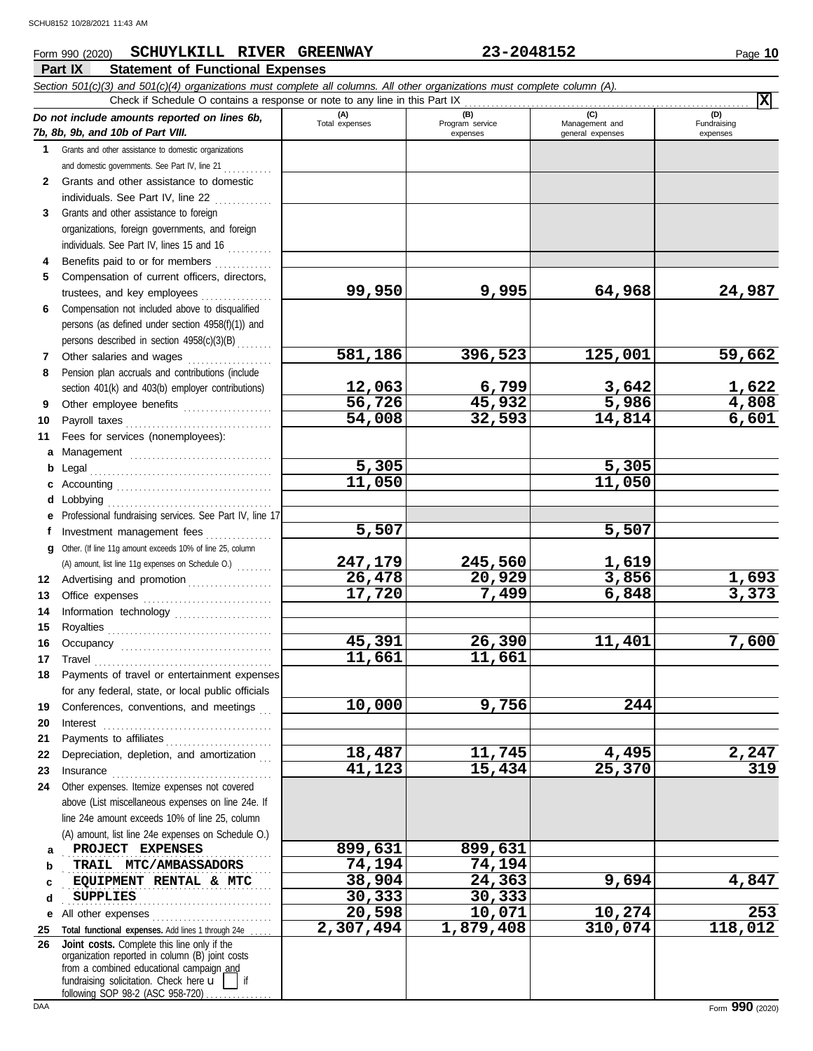## **Part IX Statement of Functional Expenses Form 990 (2020) SCHUYLKILL RIVER GREENWAY 23-2048152** Page 10

|              | Section 501(c)(3) and 501(c)(4) organizations must complete all columns. All other organizations must complete column (A).<br>Check if Schedule O contains a response or note to any line in this Part IX |                    |                             |                                    | $\overline{\mathbf{x}}$ |
|--------------|-----------------------------------------------------------------------------------------------------------------------------------------------------------------------------------------------------------|--------------------|-----------------------------|------------------------------------|-------------------------|
|              | Do not include amounts reported on lines 6b,                                                                                                                                                              | (A)                | (B)                         | (C)                                | (D)                     |
|              | 7b, 8b, 9b, and 10b of Part VIII.                                                                                                                                                                         | Total expenses     | Program service<br>expenses | Management and<br>general expenses | Fundraising<br>expenses |
|              | 1 Grants and other assistance to domestic organizations                                                                                                                                                   |                    |                             |                                    |                         |
|              | and domestic governments. See Part IV, line 21                                                                                                                                                            |                    |                             |                                    |                         |
| $\mathbf{2}$ | Grants and other assistance to domestic                                                                                                                                                                   |                    |                             |                                    |                         |
|              | individuals. See Part IV, line 22                                                                                                                                                                         |                    |                             |                                    |                         |
| 3            | Grants and other assistance to foreign                                                                                                                                                                    |                    |                             |                                    |                         |
|              | organizations, foreign governments, and foreign                                                                                                                                                           |                    |                             |                                    |                         |
|              | individuals. See Part IV, lines 15 and 16                                                                                                                                                                 |                    |                             |                                    |                         |
| 4            | Benefits paid to or for members                                                                                                                                                                           |                    |                             |                                    |                         |
| 5.           | Compensation of current officers, directors,                                                                                                                                                              |                    |                             |                                    |                         |
|              | trustees, and key employees                                                                                                                                                                               | 99,950             | 9,995                       | 64,968                             | 24,987                  |
| 6            | Compensation not included above to disqualified                                                                                                                                                           |                    |                             |                                    |                         |
|              | persons (as defined under section 4958(f)(1)) and                                                                                                                                                         |                    |                             |                                    |                         |
|              | persons described in section 4958(c)(3)(B)                                                                                                                                                                |                    |                             |                                    |                         |
| 7            | Other salaries and wages                                                                                                                                                                                  | 581,186            | 396,523                     | 125,001                            | 59,662                  |
| 8            | Pension plan accruals and contributions (include                                                                                                                                                          |                    |                             |                                    |                         |
|              | section 401(k) and 403(b) employer contributions)                                                                                                                                                         | 12,063             | 6,799                       | 3,642                              | 1,622                   |
| 9            | Other employee benefits                                                                                                                                                                                   | 56,726             | 45,932                      | 5,986                              | 4,808                   |
| 10           | Payroll taxes                                                                                                                                                                                             | 54,008             | 32,593                      | 14,814                             | 6,601                   |
| 11           | Fees for services (nonemployees):                                                                                                                                                                         |                    |                             |                                    |                         |
| a            |                                                                                                                                                                                                           |                    |                             |                                    |                         |
| b            | Legal                                                                                                                                                                                                     | $\overline{5,305}$ |                             | 5,305                              |                         |
|              |                                                                                                                                                                                                           | 11,050             |                             | 11,050                             |                         |
| d            | Lobbying                                                                                                                                                                                                  |                    |                             |                                    |                         |
| е            | Professional fundraising services. See Part IV, line 17                                                                                                                                                   |                    |                             |                                    |                         |
| f            | Investment management fees                                                                                                                                                                                | 5,507              |                             | 5,507                              |                         |
| a            | Other. (If line 11g amount exceeds 10% of line 25, column                                                                                                                                                 |                    |                             |                                    |                         |
|              | (A) amount, list line 11g expenses on Schedule O.)                                                                                                                                                        | 247,179<br>26,478  | 245,560<br>20,929           | 1,619<br>3,856                     |                         |
| 12           | Advertising and promotion                                                                                                                                                                                 | 17,720             | 7,499                       | 6,848                              | $\frac{1,693}{3,373}$   |
| 13           |                                                                                                                                                                                                           |                    |                             |                                    |                         |
| 14           | Information technology                                                                                                                                                                                    |                    |                             |                                    |                         |
| 15<br>16     |                                                                                                                                                                                                           | 45,391             | 26,390                      | 11,401                             | 7,600                   |
| 17           | Travel                                                                                                                                                                                                    | 11,661             | 11,661                      |                                    |                         |
|              | Payments of travel or entertainment expenses                                                                                                                                                              |                    |                             |                                    |                         |
|              | for any federal, state, or local public officials                                                                                                                                                         |                    |                             |                                    |                         |
| 19           | Conferences, conventions, and meetings                                                                                                                                                                    | 10,000             | 9,756                       | 244                                |                         |
| 20           | Interest                                                                                                                                                                                                  |                    |                             |                                    |                         |
| 21           |                                                                                                                                                                                                           |                    |                             |                                    |                         |
| 22           | Depreciation, depletion, and amortization                                                                                                                                                                 | 18,487             | 11,745                      | 4,495                              |                         |
| 23           |                                                                                                                                                                                                           | 41,123             | 15,434                      | 25,370                             | $\frac{2,247}{319}$     |
| 24           | Other expenses. Itemize expenses not covered                                                                                                                                                              |                    |                             |                                    |                         |
|              | above (List miscellaneous expenses on line 24e. If                                                                                                                                                        |                    |                             |                                    |                         |
|              | line 24e amount exceeds 10% of line 25, column                                                                                                                                                            |                    |                             |                                    |                         |
|              | (A) amount, list line 24e expenses on Schedule O.)                                                                                                                                                        |                    |                             |                                    |                         |
| a            | PROJECT EXPENSES                                                                                                                                                                                          | 899,631            | 899,631                     |                                    |                         |
| b            | TRAIL MTC/AMBASSADORS                                                                                                                                                                                     | 74,194             | 74,194                      |                                    |                         |
| c            | EQUIPMENT RENTAL & MTC                                                                                                                                                                                    | 38,904             | 24,363                      | 9,694                              | 4,847                   |
| d            | <b>SUPPLIES</b>                                                                                                                                                                                           | 30, 333            | 30,333                      |                                    |                         |
| е            | All other expenses                                                                                                                                                                                        | 20,598             | 10,071                      | 10,274                             | 253                     |
| 25           | Total functional expenses. Add lines 1 through 24e                                                                                                                                                        | 2,307,494          | 1,879,408                   | 310,074                            | 118,012                 |
| 26           | Joint costs. Complete this line only if the                                                                                                                                                               |                    |                             |                                    |                         |
|              | organization reported in column (B) joint costs<br>from a combined educational campaign and                                                                                                               |                    |                             |                                    |                         |
|              | fundraising solicitation. Check here $\mathbf{u}$<br>if                                                                                                                                                   |                    |                             |                                    |                         |
|              | following SOP 98-2 (ASC 958-720)                                                                                                                                                                          |                    |                             |                                    |                         |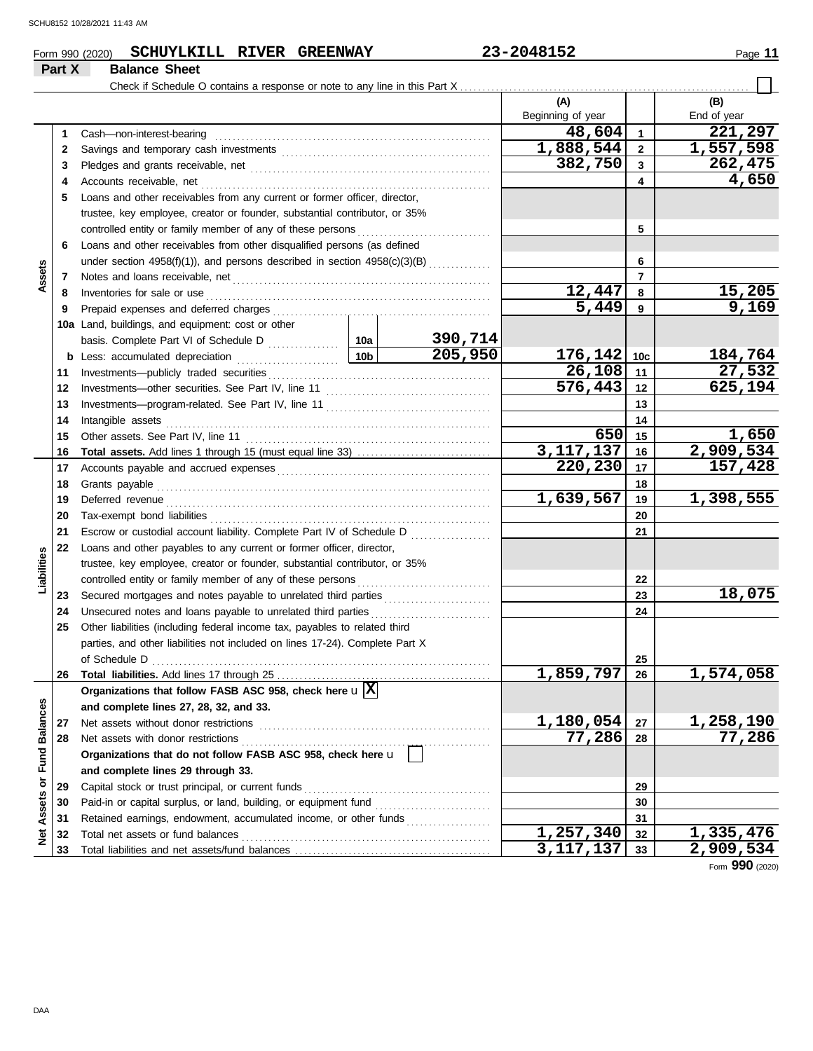**Part X Balance Sheet**

## **Form 990 (2020) SCHUYLKILL RIVER GREENWAY** 23-2048152 Page 11

|                         |    | Check if Schedule O contains a response or note to any line in this Part X   |                 |         |                   |                         |               |
|-------------------------|----|------------------------------------------------------------------------------|-----------------|---------|-------------------|-------------------------|---------------|
|                         |    |                                                                              |                 |         | (A)               |                         | (B)           |
|                         |    |                                                                              |                 |         | Beginning of year |                         | End of year   |
|                         | 1  | Cash-non-interest-bearing                                                    |                 |         | 48,604            | $\overline{1}$          | 221,297       |
|                         | 2  |                                                                              |                 |         | 1,888,544         | $\overline{\mathbf{2}}$ | 1,557,598     |
|                         | 3  |                                                                              |                 |         | 382,750           | $\mathbf{3}$            | 262,475       |
|                         | 4  | Accounts receivable, net                                                     |                 | 4       | 4,650             |                         |               |
|                         | 5  | Loans and other receivables from any current or former officer, director,    |                 |         |                   |                         |               |
|                         |    | trustee, key employee, creator or founder, substantial contributor, or 35%   |                 |         |                   |                         |               |
|                         |    | controlled entity or family member of any of these persons                   |                 |         |                   | 5                       |               |
|                         | 6  | Loans and other receivables from other disqualified persons (as defined      |                 |         |                   |                         |               |
|                         |    | under section 4958(f)(1)), and persons described in section 4958(c)(3)(B)    |                 | 6       |                   |                         |               |
| Assets                  | 7  |                                                                              |                 |         |                   | $\overline{7}$          |               |
|                         | 8  | Inventories for sale or use                                                  |                 |         | 12,447            | 8                       | <u>15,205</u> |
|                         | 9  | Prepaid expenses and deferred charges                                        |                 |         | 5,449             | 9                       | 9,169         |
|                         |    | 10a Land, buildings, and equipment: cost or other                            |                 |         |                   |                         |               |
|                         |    |                                                                              |                 | 390,714 |                   |                         |               |
|                         | b  | Less: accumulated depreciation                                               | 10 <sub>b</sub> | 205,950 | 176, 142          | 10 <sub>c</sub>         | 184,764       |
|                         | 11 |                                                                              |                 |         | $26,108$ 11       |                         | 27,532        |
|                         | 12 | Investments-other securities. See Part IV, line 11                           |                 |         | 576,443           | $\vert$ 12              | 625,194       |
|                         | 13 |                                                                              |                 | 13      |                   |                         |               |
|                         | 14 | Intangible assets                                                            |                 | 14      |                   |                         |               |
|                         | 15 | Other assets. See Part IV, line 11                                           |                 |         | 650               | 15                      | <u>1,650</u>  |
|                         | 16 |                                                                              |                 |         | 3,117,137         | 16                      | 2,909,534     |
|                         | 17 |                                                                              |                 |         | 220,230           | 17                      | 157,428       |
|                         | 18 | Grants payable                                                               |                 | 18      |                   |                         |               |
|                         | 19 | Deferred revenue                                                             |                 |         | 1,639,567         | 19                      | 1,398,555     |
|                         | 20 | Tax-exempt bond liabilities                                                  |                 |         |                   | 20                      |               |
|                         | 21 | Escrow or custodial account liability. Complete Part IV of Schedule D        |                 |         |                   | 21                      |               |
|                         | 22 | Loans and other payables to any current or former officer, director,         |                 |         |                   |                         |               |
| Liabilities             |    | trustee, key employee, creator or founder, substantial contributor, or 35%   |                 |         |                   |                         |               |
|                         |    | controlled entity or family member of any of these persons                   |                 |         |                   | 22                      |               |
|                         | 23 | Secured mortgages and notes payable to unrelated third parties               |                 |         |                   | 23                      | 18,075        |
|                         | 24 | Unsecured notes and loans payable to unrelated third parties                 |                 |         |                   | 24                      |               |
|                         | 25 | Other liabilities (including federal income tax, payables to related third   |                 |         |                   |                         |               |
|                         |    | parties, and other liabilities not included on lines 17-24). Complete Part X |                 |         |                   |                         |               |
|                         |    | of Schedule D                                                                |                 |         |                   | 25                      |               |
|                         | 26 |                                                                              |                 |         | 1,859,797         | 26                      | 1,574,058     |
|                         |    | Organizations that follow FASB ASC 958, check here $\mathbf{u} \times$       |                 |         |                   |                         |               |
|                         |    | and complete lines 27, 28, 32, and 33.                                       |                 |         |                   |                         |               |
|                         | 27 | Net assets without donor restrictions                                        |                 |         | 1,180,054         | 27                      | 1,258,190     |
|                         | 28 | Net assets with donor restrictions                                           |                 |         | 77,286            | 28                      | 77,286        |
|                         |    | Organizations that do not follow FASB ASC 958, check here u                  |                 |         |                   |                         |               |
|                         |    | and complete lines 29 through 33.                                            |                 |         |                   |                         |               |
| Assets or Fund Balances | 29 | Capital stock or trust principal, or current funds                           |                 |         |                   | 29                      |               |
|                         | 30 | Paid-in or capital surplus, or land, building, or equipment fund             |                 |         |                   | 30                      |               |
|                         | 31 | Retained earnings, endowment, accumulated income, or other funds             |                 |         |                   | 31                      |               |
| <b>Net</b>              | 32 | Total net assets or fund balances                                            |                 |         | 1,257,340         | 32                      | 1,335,476     |
|                         | 33 |                                                                              |                 |         | 3,117,137         | 33                      | 2,909,534     |

Form **990** (2020)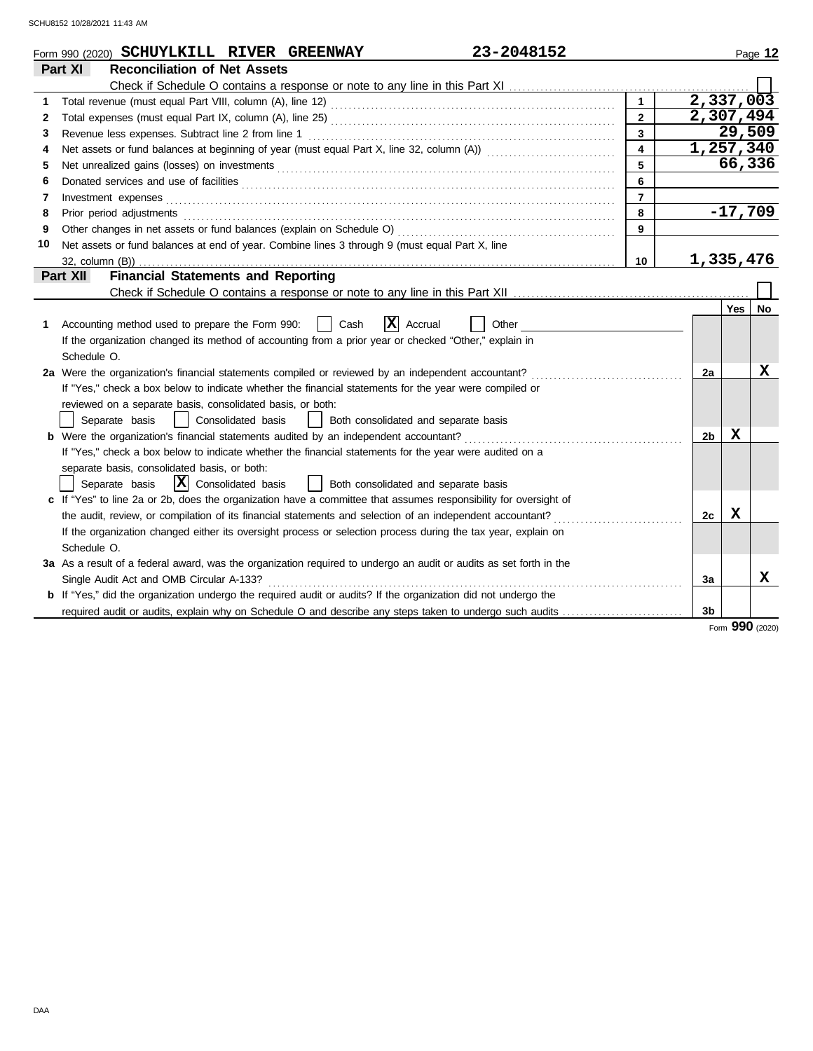|    | 23-2048152<br>Form 990 (2020) SCHUYLKILL RIVER GREENWAY                                                                                                                                                                        |                |                        |             | Page 12 |
|----|--------------------------------------------------------------------------------------------------------------------------------------------------------------------------------------------------------------------------------|----------------|------------------------|-------------|---------|
|    | <b>Reconciliation of Net Assets</b><br>Part XI                                                                                                                                                                                 |                |                        |             |         |
|    |                                                                                                                                                                                                                                |                |                        |             |         |
| 1  |                                                                                                                                                                                                                                | $\mathbf{1}$   | $\overline{2,337,003}$ |             |         |
| 2  |                                                                                                                                                                                                                                | $\overline{2}$ | 2,307,494              |             |         |
| 3  | Revenue less expenses. Subtract line 2 from line 1                                                                                                                                                                             | 3              |                        | 29,509      |         |
| 4  | Net assets or fund balances at beginning of year (must equal Part X, line 32, column (A)) [[[[[[[[[[[[[[[[[[[                                                                                                                  | $\overline{4}$ | 1,257,340              |             |         |
| 5  |                                                                                                                                                                                                                                | 5              |                        | 66,336      |         |
| 6  |                                                                                                                                                                                                                                | 6              |                        |             |         |
| 7  |                                                                                                                                                                                                                                | $\overline{7}$ |                        |             |         |
| 8  | Prior period adjustments contains and a series of the contact of the contact of the contact of the contact of the contact of the contact of the contact of the contact of the contact of the contact of the contact of the con | 8              |                        | $-17,709$   |         |
| 9  |                                                                                                                                                                                                                                | 9              |                        |             |         |
| 10 | Net assets or fund balances at end of year. Combine lines 3 through 9 (must equal Part X, line                                                                                                                                 |                |                        |             |         |
|    |                                                                                                                                                                                                                                | 10             | 1,335,476              |             |         |
|    | <b>Financial Statements and Reporting</b><br>Part XII                                                                                                                                                                          |                |                        |             |         |
|    |                                                                                                                                                                                                                                |                |                        |             |         |
|    |                                                                                                                                                                                                                                |                |                        | <b>Yes</b>  | No      |
| 1  | <b>x</b><br>Accounting method used to prepare the Form 990:<br>Cash<br>Accrual<br>Other                                                                                                                                        |                |                        |             |         |
|    | If the organization changed its method of accounting from a prior year or checked "Other," explain in                                                                                                                          |                |                        |             |         |
|    | Schedule O.                                                                                                                                                                                                                    |                |                        |             |         |
|    | 2a Were the organization's financial statements compiled or reviewed by an independent accountant?                                                                                                                             |                | 2a                     |             | х       |
|    | If "Yes," check a box below to indicate whether the financial statements for the year were compiled or                                                                                                                         |                |                        |             |         |
|    | reviewed on a separate basis, consolidated basis, or both:                                                                                                                                                                     |                |                        |             |         |
|    | Separate basis<br>Consolidated basis<br>Both consolidated and separate basis<br>$\Box$                                                                                                                                         |                |                        |             |         |
|    | <b>b</b> Were the organization's financial statements audited by an independent accountant?                                                                                                                                    |                | 2b                     | X           |         |
|    | If "Yes," check a box below to indicate whether the financial statements for the year were audited on a                                                                                                                        |                |                        |             |         |
|    | separate basis, consolidated basis, or both:                                                                                                                                                                                   |                |                        |             |         |
|    | $ \mathbf{X} $ Consolidated basis<br>Separate basis<br>  Both consolidated and separate basis                                                                                                                                  |                |                        |             |         |
|    | c If "Yes" to line 2a or 2b, does the organization have a committee that assumes responsibility for oversight of                                                                                                               |                |                        |             |         |
|    | the audit, review, or compilation of its financial statements and selection of an independent accountant?                                                                                                                      |                | 2c                     | $\mathbf x$ |         |
|    | If the organization changed either its oversight process or selection process during the tax year, explain on                                                                                                                  |                |                        |             |         |
|    | Schedule O.                                                                                                                                                                                                                    |                |                        |             |         |
|    | 3a As a result of a federal award, was the organization required to undergo an audit or audits as set forth in the                                                                                                             |                |                        |             |         |
|    | Single Audit Act and OMB Circular A-133?                                                                                                                                                                                       |                | За                     |             | x       |
|    | <b>b</b> If "Yes," did the organization undergo the required audit or audits? If the organization did not undergo the                                                                                                          |                |                        |             |         |
|    |                                                                                                                                                                                                                                |                | 3b                     |             |         |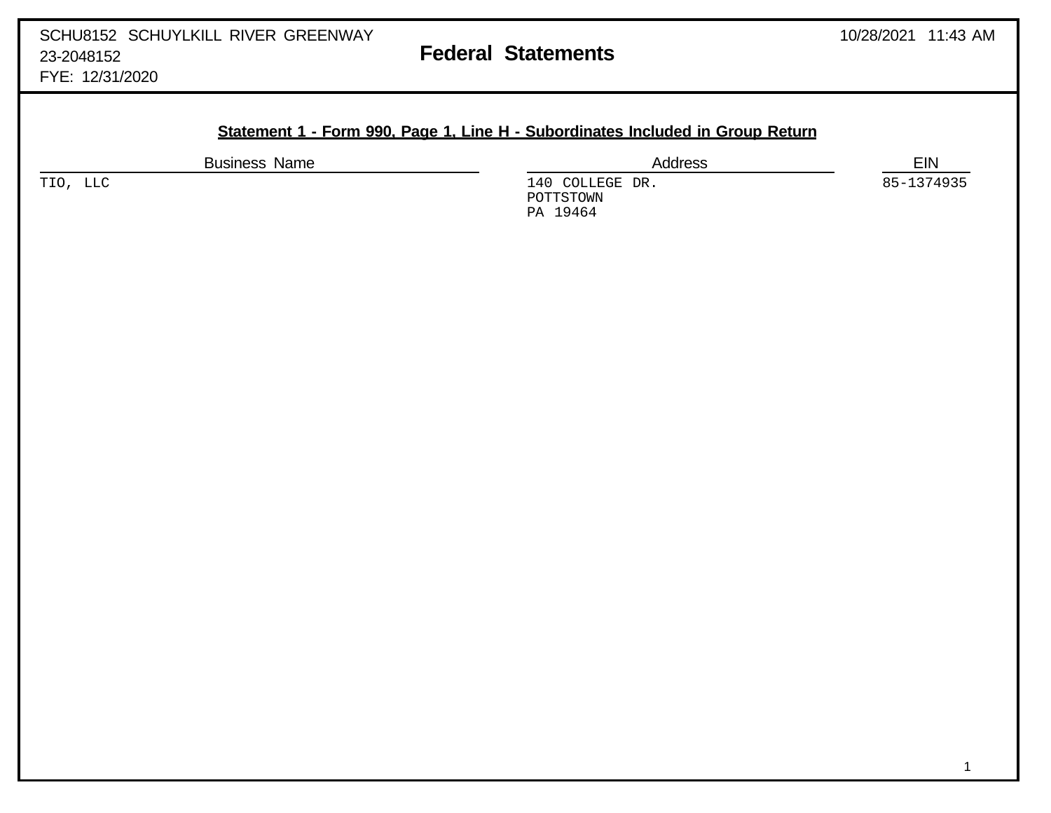**Statement 1 - Form 990, Page 1, Line H - Subordinates Included in Group Return**

PA 19464

Business Name **EIN** TIO, LLC 140 COLLEGE DR. 85-1374935 POTTSTOWN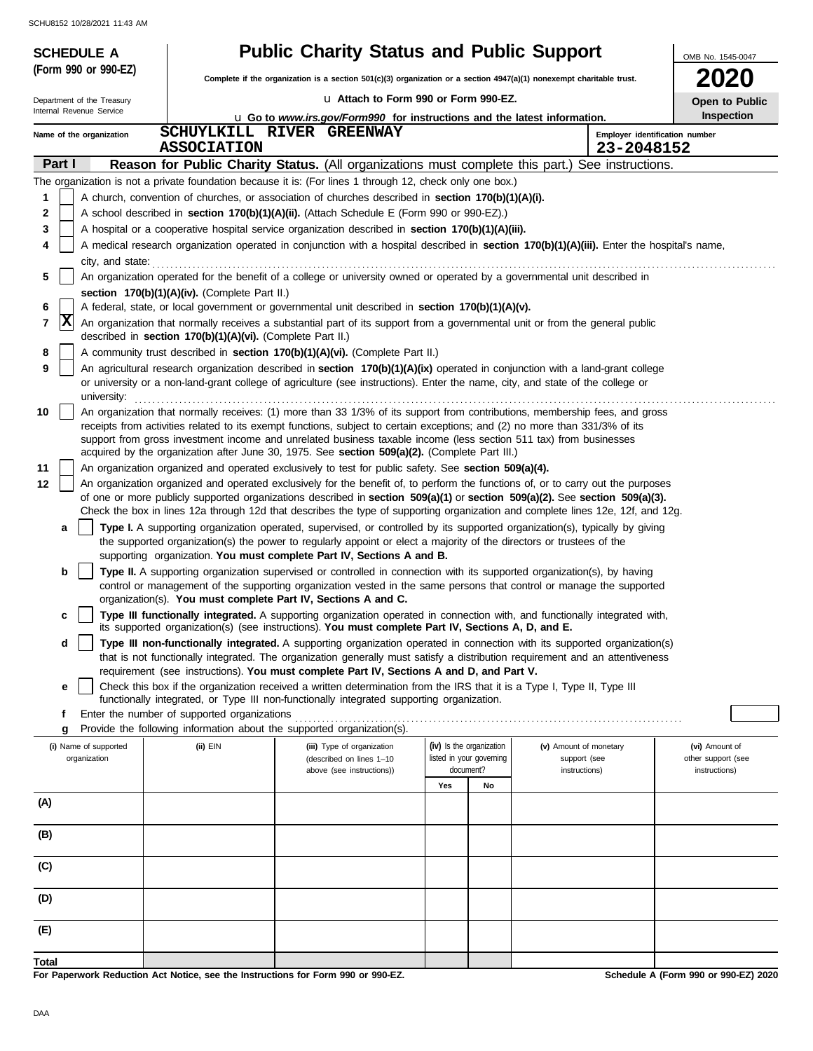| <b>SCHEDULE A</b>                     |                                                            | <b>Public Charity Status and Public Support</b>                                                                                                                                                                                                                                                                  |                                                                                                                                                                                                                                                                 |    |                                        | OMB No. 1545-0047                    |  |  |  |
|---------------------------------------|------------------------------------------------------------|------------------------------------------------------------------------------------------------------------------------------------------------------------------------------------------------------------------------------------------------------------------------------------------------------------------|-----------------------------------------------------------------------------------------------------------------------------------------------------------------------------------------------------------------------------------------------------------------|----|----------------------------------------|--------------------------------------|--|--|--|
| (Form 990 or 990-EZ)                  |                                                            | <b>2020</b><br>Complete if the organization is a section 501(c)(3) organization or a section 4947(a)(1) nonexempt charitable trust.                                                                                                                                                                              |                                                                                                                                                                                                                                                                 |    |                                        |                                      |  |  |  |
| Department of the Treasury            |                                                            | La Attach to Form 990 or Form 990-EZ.                                                                                                                                                                                                                                                                            |                                                                                                                                                                                                                                                                 |    |                                        | Open to Public                       |  |  |  |
| Internal Revenue Service              |                                                            | <b>u</b> Go to www.irs.gov/Form990 for instructions and the latest information.                                                                                                                                                                                                                                  |                                                                                                                                                                                                                                                                 |    |                                        | <b>Inspection</b>                    |  |  |  |
| Name of the organization              | <b>ASSOCIATION</b>                                         | SCHUYLKILL RIVER GREENWAY                                                                                                                                                                                                                                                                                        |                                                                                                                                                                                                                                                                 |    | 23-2048152                             | Employer identification number       |  |  |  |
| Part I                                |                                                            | Reason for Public Charity Status. (All organizations must complete this part.) See instructions.                                                                                                                                                                                                                 |                                                                                                                                                                                                                                                                 |    |                                        |                                      |  |  |  |
|                                       |                                                            | The organization is not a private foundation because it is: (For lines 1 through 12, check only one box.)                                                                                                                                                                                                        |                                                                                                                                                                                                                                                                 |    |                                        |                                      |  |  |  |
| 1                                     |                                                            | A church, convention of churches, or association of churches described in section 170(b)(1)(A)(i).                                                                                                                                                                                                               |                                                                                                                                                                                                                                                                 |    |                                        |                                      |  |  |  |
| $\mathbf 2$                           |                                                            | A school described in section 170(b)(1)(A)(ii). (Attach Schedule E (Form 990 or 990-EZ).)                                                                                                                                                                                                                        |                                                                                                                                                                                                                                                                 |    |                                        |                                      |  |  |  |
| 3<br>4                                |                                                            | A hospital or a cooperative hospital service organization described in section 170(b)(1)(A)(iii).<br>A medical research organization operated in conjunction with a hospital described in section 170(b)(1)(A)(iii). Enter the hospital's name,                                                                  |                                                                                                                                                                                                                                                                 |    |                                        |                                      |  |  |  |
| city, and state:                      |                                                            |                                                                                                                                                                                                                                                                                                                  |                                                                                                                                                                                                                                                                 |    |                                        |                                      |  |  |  |
| 5                                     |                                                            | An organization operated for the benefit of a college or university owned or operated by a governmental unit described in                                                                                                                                                                                        |                                                                                                                                                                                                                                                                 |    |                                        |                                      |  |  |  |
|                                       | section 170(b)(1)(A)(iv). (Complete Part II.)              |                                                                                                                                                                                                                                                                                                                  |                                                                                                                                                                                                                                                                 |    |                                        |                                      |  |  |  |
| 6                                     |                                                            | A federal, state, or local government or governmental unit described in section 170(b)(1)(A)(v).                                                                                                                                                                                                                 |                                                                                                                                                                                                                                                                 |    |                                        |                                      |  |  |  |
| x<br>7                                | described in section 170(b)(1)(A)(vi). (Complete Part II.) | An organization that normally receives a substantial part of its support from a governmental unit or from the general public                                                                                                                                                                                     |                                                                                                                                                                                                                                                                 |    |                                        |                                      |  |  |  |
| 8                                     |                                                            | A community trust described in section 170(b)(1)(A)(vi). (Complete Part II.)                                                                                                                                                                                                                                     |                                                                                                                                                                                                                                                                 |    |                                        |                                      |  |  |  |
| 9<br>university:                      |                                                            | An agricultural research organization described in section 170(b)(1)(A)(ix) operated in conjunction with a land-grant college<br>or university or a non-land-grant college of agriculture (see instructions). Enter the name, city, and state of the college or                                                  |                                                                                                                                                                                                                                                                 |    |                                        |                                      |  |  |  |
| 10                                    |                                                            | An organization that normally receives: (1) more than 33 1/3% of its support from contributions, membership fees, and gross                                                                                                                                                                                      |                                                                                                                                                                                                                                                                 |    |                                        |                                      |  |  |  |
|                                       |                                                            | receipts from activities related to its exempt functions, subject to certain exceptions; and (2) no more than 331/3% of its<br>support from gross investment income and unrelated business taxable income (less section 511 tax) from businesses                                                                 |                                                                                                                                                                                                                                                                 |    |                                        |                                      |  |  |  |
|                                       |                                                            | acquired by the organization after June 30, 1975. See section 509(a)(2). (Complete Part III.)                                                                                                                                                                                                                    |                                                                                                                                                                                                                                                                 |    |                                        |                                      |  |  |  |
| 11                                    |                                                            | An organization organized and operated exclusively to test for public safety. See section 509(a)(4).                                                                                                                                                                                                             |                                                                                                                                                                                                                                                                 |    |                                        |                                      |  |  |  |
| 12                                    |                                                            |                                                                                                                                                                                                                                                                                                                  | An organization organized and operated exclusively for the benefit of, to perform the functions of, or to carry out the purposes<br>of one or more publicly supported organizations described in section 509(a)(1) or section 509(a)(2). See section 509(a)(3). |    |                                        |                                      |  |  |  |
|                                       |                                                            | Check the box in lines 12a through 12d that describes the type of supporting organization and complete lines 12e, 12f, and 12g.                                                                                                                                                                                  |                                                                                                                                                                                                                                                                 |    |                                        |                                      |  |  |  |
| a                                     |                                                            | Type I. A supporting organization operated, supervised, or controlled by its supported organization(s), typically by giving<br>the supported organization(s) the power to regularly appoint or elect a majority of the directors or trustees of the                                                              |                                                                                                                                                                                                                                                                 |    |                                        |                                      |  |  |  |
|                                       |                                                            | supporting organization. You must complete Part IV, Sections A and B.                                                                                                                                                                                                                                            |                                                                                                                                                                                                                                                                 |    |                                        |                                      |  |  |  |
| b                                     |                                                            | Type II. A supporting organization supervised or controlled in connection with its supported organization(s), by having<br>control or management of the supporting organization vested in the same persons that control or manage the supported<br>organization(s). You must complete Part IV, Sections A and C. |                                                                                                                                                                                                                                                                 |    |                                        |                                      |  |  |  |
| c                                     |                                                            | Type III functionally integrated. A supporting organization operated in connection with, and functionally integrated with,                                                                                                                                                                                       |                                                                                                                                                                                                                                                                 |    |                                        |                                      |  |  |  |
|                                       |                                                            | its supported organization(s) (see instructions). You must complete Part IV, Sections A, D, and E.                                                                                                                                                                                                               |                                                                                                                                                                                                                                                                 |    |                                        |                                      |  |  |  |
| d                                     |                                                            | Type III non-functionally integrated. A supporting organization operated in connection with its supported organization(s)<br>that is not functionally integrated. The organization generally must satisfy a distribution requirement and an attentiveness                                                        |                                                                                                                                                                                                                                                                 |    |                                        |                                      |  |  |  |
|                                       |                                                            | requirement (see instructions). You must complete Part IV, Sections A and D, and Part V.                                                                                                                                                                                                                         |                                                                                                                                                                                                                                                                 |    |                                        |                                      |  |  |  |
| е                                     |                                                            | Check this box if the organization received a written determination from the IRS that it is a Type I, Type II, Type III<br>functionally integrated, or Type III non-functionally integrated supporting organization.                                                                                             |                                                                                                                                                                                                                                                                 |    |                                        |                                      |  |  |  |
| f                                     | Enter the number of supported organizations                |                                                                                                                                                                                                                                                                                                                  |                                                                                                                                                                                                                                                                 |    |                                        |                                      |  |  |  |
| g                                     |                                                            | Provide the following information about the supported organization(s).                                                                                                                                                                                                                                           |                                                                                                                                                                                                                                                                 |    |                                        |                                      |  |  |  |
| (i) Name of supported<br>organization | (ii) EIN                                                   | (iii) Type of organization<br>(described on lines 1-10                                                                                                                                                                                                                                                           | (iv) Is the organization<br>listed in your governing                                                                                                                                                                                                            |    | (v) Amount of monetary<br>support (see | (vi) Amount of<br>other support (see |  |  |  |
|                                       |                                                            | above (see instructions))                                                                                                                                                                                                                                                                                        | document?                                                                                                                                                                                                                                                       |    | instructions)                          | instructions)                        |  |  |  |
| (A)                                   |                                                            |                                                                                                                                                                                                                                                                                                                  | Yes                                                                                                                                                                                                                                                             | No |                                        |                                      |  |  |  |
|                                       |                                                            |                                                                                                                                                                                                                                                                                                                  |                                                                                                                                                                                                                                                                 |    |                                        |                                      |  |  |  |
| (B)                                   |                                                            |                                                                                                                                                                                                                                                                                                                  |                                                                                                                                                                                                                                                                 |    |                                        |                                      |  |  |  |
| (C)                                   |                                                            |                                                                                                                                                                                                                                                                                                                  |                                                                                                                                                                                                                                                                 |    |                                        |                                      |  |  |  |
| (D)                                   |                                                            |                                                                                                                                                                                                                                                                                                                  |                                                                                                                                                                                                                                                                 |    |                                        |                                      |  |  |  |
| (E)                                   |                                                            |                                                                                                                                                                                                                                                                                                                  |                                                                                                                                                                                                                                                                 |    |                                        |                                      |  |  |  |
| Total                                 |                                                            |                                                                                                                                                                                                                                                                                                                  |                                                                                                                                                                                                                                                                 |    |                                        |                                      |  |  |  |
|                                       |                                                            | For Paperwork Reduction Act Notice, see the Instructions for Form 990 or 990-EZ.                                                                                                                                                                                                                                 |                                                                                                                                                                                                                                                                 |    |                                        | Schedule A (Form 990 or 990-EZ) 2020 |  |  |  |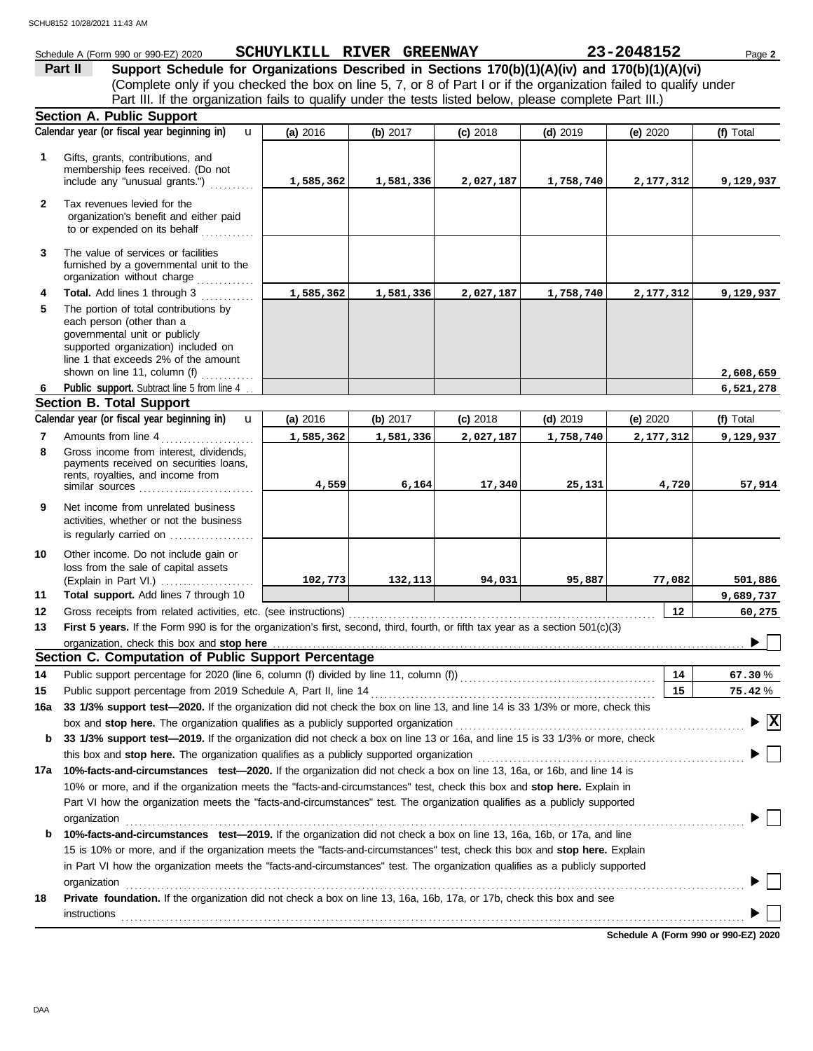|              | Schedule A (Form 990 or 990-EZ) 2020                                                                                                                                                               | SCHUYLKILL RIVER GREENWAY |            |            |            | 23-2048152 | Page 2                                      |
|--------------|----------------------------------------------------------------------------------------------------------------------------------------------------------------------------------------------------|---------------------------|------------|------------|------------|------------|---------------------------------------------|
|              | Support Schedule for Organizations Described in Sections 170(b)(1)(A)(iv) and 170(b)(1)(A)(vi)<br>Part II                                                                                          |                           |            |            |            |            |                                             |
|              | (Complete only if you checked the box on line 5, 7, or 8 of Part I or if the organization failed to qualify under                                                                                  |                           |            |            |            |            |                                             |
|              | Part III. If the organization fails to qualify under the tests listed below, please complete Part III.)                                                                                            |                           |            |            |            |            |                                             |
|              | Section A. Public Support                                                                                                                                                                          |                           |            |            |            |            |                                             |
|              | Calendar year (or fiscal year beginning in)<br>$\mathbf{u}$                                                                                                                                        | (a) 2016                  | (b) 2017   | $(c)$ 2018 | $(d)$ 2019 | (e) 2020   | (f) Total                                   |
| $\mathbf{1}$ | Gifts, grants, contributions, and<br>membership fees received. (Do not                                                                                                                             |                           |            |            |            |            |                                             |
|              | include any "unusual grants.")                                                                                                                                                                     | 1,585,362                 | 1,581,336  | 2,027,187  | 1,758,740  | 2,177,312  | 9,129,937                                   |
| $\mathbf{2}$ | Tax revenues levied for the<br>organization's benefit and either paid<br>to or expended on its behalf                                                                                              |                           |            |            |            |            |                                             |
| 3            | The value of services or facilities<br>furnished by a governmental unit to the<br>organization without charge                                                                                      |                           |            |            |            |            |                                             |
| 4            | Total. Add lines 1 through 3                                                                                                                                                                       | 1,585,362                 | 1,581,336  | 2,027,187  | 1,758,740  | 2,177,312  | 9,129,937                                   |
| 5            | The portion of total contributions by<br>each person (other than a<br>governmental unit or publicly<br>supported organization) included on<br>line 1 that exceeds 2% of the amount                 |                           |            |            |            |            |                                             |
| 6            | shown on line 11, column (f) $\ldots$<br>Public support. Subtract line 5 from line 4                                                                                                               |                           |            |            |            |            | 2,608,659                                   |
|              | <b>Section B. Total Support</b>                                                                                                                                                                    |                           |            |            |            |            | 6,521,278                                   |
|              | Calendar year (or fiscal year beginning in)<br>$\mathbf{u}$                                                                                                                                        | (a) 2016                  | (b) $2017$ | $(c)$ 2018 | $(d)$ 2019 | (e) 2020   | (f) Total                                   |
| 7            | Amounts from line 4                                                                                                                                                                                | 1,585,362                 | 1,581,336  | 2,027,187  | 1,758,740  | 2,177,312  | 9,129,937                                   |
| 8            | Gross income from interest, dividends,<br>payments received on securities loans,                                                                                                                   |                           |            |            |            |            |                                             |
|              | rents, royalties, and income from<br>similar sources                                                                                                                                               | 4,559                     | 6,164      | 17,340     | 25,131     | 4,720      | 57,914                                      |
| 9            | Net income from unrelated business<br>activities, whether or not the business<br>is regularly carried on                                                                                           |                           |            |            |            |            |                                             |
| 10           | Other income. Do not include gain or                                                                                                                                                               |                           |            |            |            |            |                                             |
|              | loss from the sale of capital assets                                                                                                                                                               |                           |            |            |            |            |                                             |
|              | (Explain in Part VI.)                                                                                                                                                                              | 102,773                   | 132,113    | 94,031     | 95,887     | 77,082     | 501,886                                     |
| 11           | Total support. Add lines 7 through 10                                                                                                                                                              |                           |            |            |            |            | 9,689,737                                   |
| 12<br>13     | Gross receipts from related activities, etc. (see instructions)<br>First 5 years. If the Form 990 is for the organization's first, second, third, fourth, or fifth tax year as a section 501(c)(3) |                           |            |            |            | 12         | 60,275                                      |
|              | organization, check this box and stop here                                                                                                                                                         |                           |            |            |            |            |                                             |
|              | Section C. Computation of Public Support Percentage                                                                                                                                                |                           |            |            |            |            |                                             |
| 14           | Public support percentage for 2020 (line 6, column (f) divided by line 11, column (f)) [[[[[[[[[[[[[[[[[[[[[[                                                                                      |                           |            |            |            | 14         | 67.30%                                      |
| 15           | Public support percentage from 2019 Schedule A, Part II, line 14                                                                                                                                   |                           |            |            |            | 15         | 75.42%                                      |
| 16a          | 33 1/3% support test-2020. If the organization did not check the box on line 13, and line 14 is 33 1/3% or more, check this                                                                        |                           |            |            |            |            |                                             |
|              | box and stop here. The organization qualifies as a publicly supported organization                                                                                                                 |                           |            |            |            |            | $\blacktriangleright \overline{\mathbf{X}}$ |
| b            | 33 1/3% support test-2019. If the organization did not check a box on line 13 or 16a, and line 15 is 33 1/3% or more, check                                                                        |                           |            |            |            |            |                                             |
|              | this box and stop here. The organization qualifies as a publicly supported organization                                                                                                            |                           |            |            |            |            |                                             |
| 17a          | 10%-facts-and-circumstances test-2020. If the organization did not check a box on line 13, 16a, or 16b, and line 14 is                                                                             |                           |            |            |            |            |                                             |
|              | 10% or more, and if the organization meets the "facts-and-circumstances" test, check this box and stop here. Explain in                                                                            |                           |            |            |            |            |                                             |
|              | Part VI how the organization meets the "facts-and-circumstances" test. The organization qualifies as a publicly supported                                                                          |                           |            |            |            |            |                                             |
|              | organization                                                                                                                                                                                       |                           |            |            |            |            |                                             |
| b            | 10%-facts-and-circumstances test-2019. If the organization did not check a box on line 13, 16a, 16b, or 17a, and line                                                                              |                           |            |            |            |            |                                             |
|              | 15 is 10% or more, and if the organization meets the "facts-and-circumstances" test, check this box and stop here. Explain                                                                         |                           |            |            |            |            |                                             |
|              | in Part VI how the organization meets the "facts-and-circumstances" test. The organization qualifies as a publicly supported                                                                       |                           |            |            |            |            |                                             |
|              | organization                                                                                                                                                                                       |                           |            |            |            |            |                                             |
| 18           | Private foundation. If the organization did not check a box on line 13, 16a, 16b, 17a, or 17b, check this box and see<br>instructions                                                              |                           |            |            |            |            |                                             |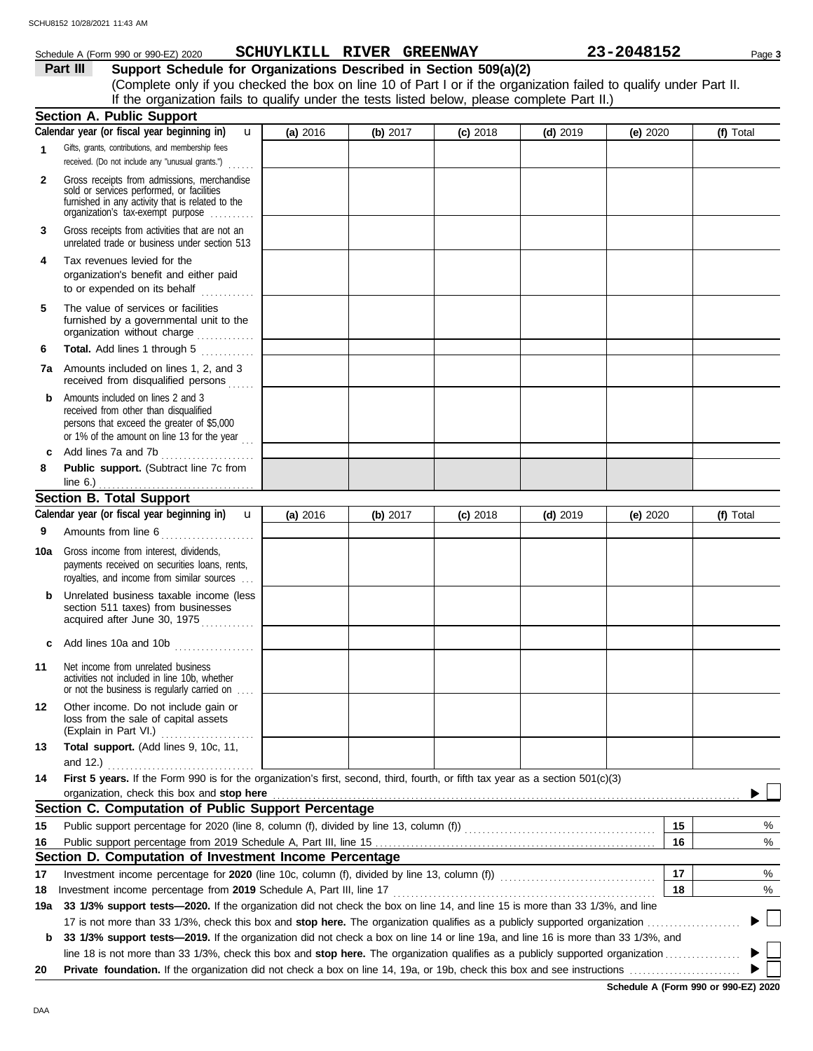## Schedule A (Form 990 or 990-EZ) 2020 Page **3 SCHUYLKILL RIVER GREENWAY 23-2048152**

**Part III Support Schedule for Organizations Described in Section 509(a)(2)** (Complete only if you checked the box on line 10 of Part I or if the organization failed to qualify under Part II. If the organization fails to qualify under the tests listed below, please complete Part II.)

|              | <b>Section A. Public Support</b>                                                                                                                                                  |            |          |            |            |            |          |           |
|--------------|-----------------------------------------------------------------------------------------------------------------------------------------------------------------------------------|------------|----------|------------|------------|------------|----------|-----------|
| $\mathbf{1}$ | Calendar year (or fiscal year beginning in)<br>u<br>Gifts, grants, contributions, and membership fees                                                                             | (a) 2016   | (b) 2017 | $(c)$ 2018 | $(d)$ 2019 | (e) $2020$ |          | (f) Total |
|              | received. (Do not include any "unusual grants.")<br>.                                                                                                                             |            |          |            |            |            |          |           |
| 2            | Gross receipts from admissions, merchandise<br>sold or services performed, or facilities<br>furnished in any activity that is related to the<br>organization's fax-exempt purpose |            |          |            |            |            |          |           |
| 3            | Gross receipts from activities that are not an<br>unrelated trade or business under section 513                                                                                   |            |          |            |            |            |          |           |
| 4            | Tax revenues levied for the<br>organization's benefit and either paid<br>to or expended on its behalf                                                                             |            |          |            |            |            |          |           |
| 5            | The value of services or facilities<br>furnished by a governmental unit to the<br>organization without charge                                                                     |            |          |            |            |            |          |           |
| 6            | Total. Add lines 1 through 5<br>. <b>.</b> .                                                                                                                                      |            |          |            |            |            |          |           |
|              | <b>7a</b> Amounts included on lines 1, 2, and 3<br>received from disqualified persons                                                                                             |            |          |            |            |            |          |           |
| b            | Amounts included on lines 2 and 3<br>received from other than disqualified<br>persons that exceed the greater of \$5,000<br>or 1% of the amount on line 13 for the year $\ldots$  |            |          |            |            |            |          |           |
| c            | Add lines 7a and 7b                                                                                                                                                               |            |          |            |            |            |          |           |
| 8            | Public support. (Subtract line 7c from                                                                                                                                            |            |          |            |            |            |          |           |
|              | line $6.$ )<br><b>Section B. Total Support</b>                                                                                                                                    |            |          |            |            |            |          |           |
|              | Calendar year (or fiscal year beginning in)<br>$\mathbf{u}$                                                                                                                       | (a) $2016$ | (b) 2017 | $(c)$ 2018 | $(d)$ 2019 | (e) $2020$ |          | (f) Total |
| 9            | Amounts from line 6                                                                                                                                                               |            |          |            |            |            |          |           |
| 10a          | Gross income from interest, dividends,<br>payments received on securities loans, rents,<br>royalties, and income from similar sources                                             |            |          |            |            |            |          |           |
|              | Unrelated business taxable income (less<br>section 511 taxes) from businesses<br>acquired after June 30, 1975                                                                     |            |          |            |            |            |          |           |
| c            | Add lines 10a and 10b                                                                                                                                                             |            |          |            |            |            |          |           |
| 11           | Net income from unrelated business<br>activities not included in line 10b, whether<br>or not the business is regularly carried on                                                 |            |          |            |            |            |          |           |
| 12           | Other income. Do not include gain or<br>loss from the sale of capital assets<br>(Explain in Part VI.)                                                                             |            |          |            |            |            |          |           |
| 13           | Total support. (Add lines 9, 10c, 11,                                                                                                                                             |            |          |            |            |            |          |           |
|              | and 12.)                                                                                                                                                                          |            |          |            |            |            |          |           |
| 14           | First 5 years. If the Form 990 is for the organization's first, second, third, fourth, or fifth tax year as a section 501(c)(3)                                                   |            |          |            |            |            |          |           |
|              | organization, check this box and stop here                                                                                                                                        |            |          |            |            |            |          |           |
|              | Section C. Computation of Public Support Percentage                                                                                                                               |            |          |            |            |            |          |           |
| 15<br>16     |                                                                                                                                                                                   |            |          |            |            |            | 15<br>16 | %<br>%    |
|              | Section D. Computation of Investment Income Percentage                                                                                                                            |            |          |            |            |            |          |           |
| 17           | Investment income percentage for 2020 (line 10c, column (f), divided by line 13, column (f)) [[[[[[[[[[[[[[[[                                                                     |            |          |            |            |            | 17       | %         |
| 18           | Investment income percentage from 2019 Schedule A, Part III, line 17                                                                                                              |            |          |            |            |            | 18       | %         |
| 19a          | 33 1/3% support tests-2020. If the organization did not check the box on line 14, and line 15 is more than 33 1/3%, and line                                                      |            |          |            |            |            |          |           |
|              | 17 is not more than 33 1/3%, check this box and stop here. The organization qualifies as a publicly supported organization                                                        |            |          |            |            |            |          |           |
| b            | 33 1/3% support tests-2019. If the organization did not check a box on line 14 or line 19a, and line 16 is more than 33 1/3%, and                                                 |            |          |            |            |            |          |           |
|              | line 18 is not more than 33 1/3%, check this box and stop here. The organization qualifies as a publicly supported organization                                                   |            |          |            |            |            |          |           |
| 20           |                                                                                                                                                                                   |            |          |            |            |            |          |           |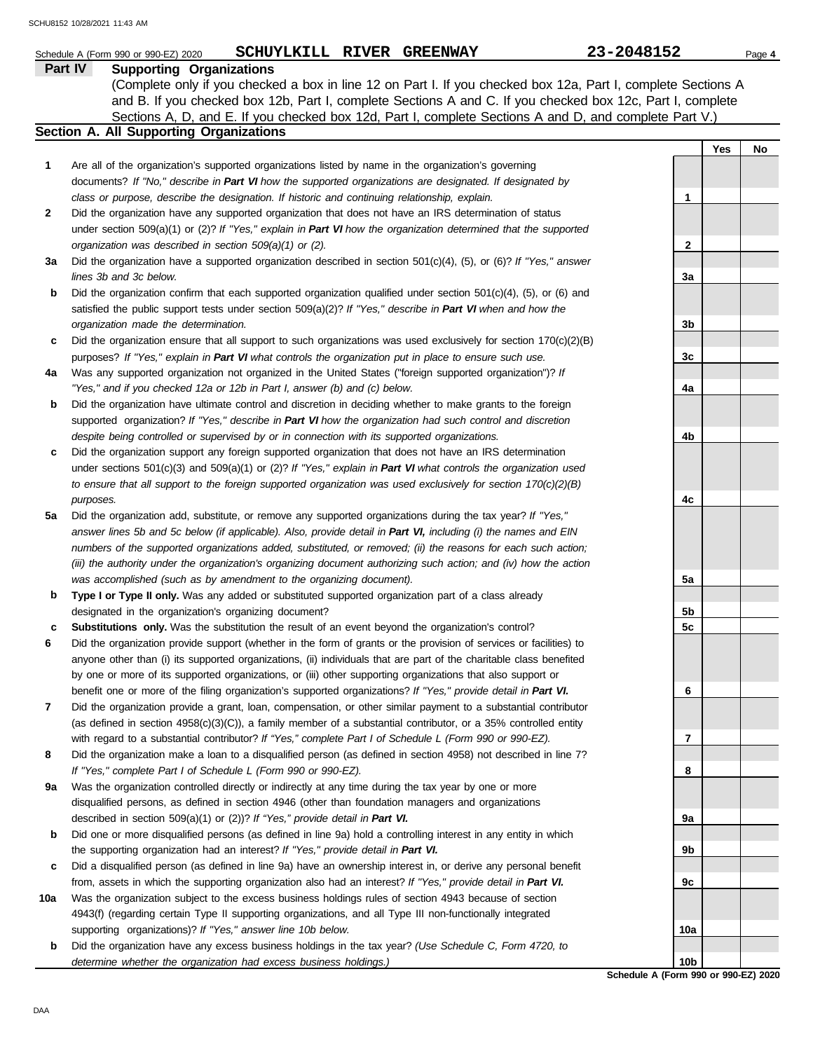|     | SCHUYLKILL RIVER GREENWAY<br>Schedule A (Form 990 or 990-EZ) 2020                                                        | 23-2048152                                  |     | Page 4 |
|-----|--------------------------------------------------------------------------------------------------------------------------|---------------------------------------------|-----|--------|
|     | Part IV<br><b>Supporting Organizations</b>                                                                               |                                             |     |        |
|     | (Complete only if you checked a box in line 12 on Part I. If you checked box 12a, Part I, complete Sections A            |                                             |     |        |
|     | and B. If you checked box 12b, Part I, complete Sections A and C. If you checked box 12c, Part I, complete               |                                             |     |        |
|     | Sections A, D, and E. If you checked box 12d, Part I, complete Sections A and D, and complete Part V.)                   |                                             |     |        |
|     | Section A. All Supporting Organizations                                                                                  |                                             |     |        |
|     |                                                                                                                          |                                             | Yes | No     |
| 1   | Are all of the organization's supported organizations listed by name in the organization's governing                     |                                             |     |        |
|     | documents? If "No," describe in Part VI how the supported organizations are designated. If designated by                 |                                             |     |        |
|     | class or purpose, describe the designation. If historic and continuing relationship, explain.                            | $\mathbf 1$                                 |     |        |
| 2   | Did the organization have any supported organization that does not have an IRS determination of status                   |                                             |     |        |
|     | under section 509(a)(1) or (2)? If "Yes," explain in Part VI how the organization determined that the supported          |                                             |     |        |
|     | organization was described in section 509(a)(1) or (2).                                                                  | 2                                           |     |        |
| За  | Did the organization have a supported organization described in section $501(c)(4)$ , (5), or (6)? If "Yes," answer      |                                             |     |        |
|     | lines 3b and 3c below.                                                                                                   | За                                          |     |        |
| b   | Did the organization confirm that each supported organization qualified under section $501(c)(4)$ , $(5)$ , or $(6)$ and |                                             |     |        |
|     | satisfied the public support tests under section 509(a)(2)? If "Yes," describe in Part VI when and how the               |                                             |     |        |
|     | organization made the determination.                                                                                     | 3b                                          |     |        |
| c   | Did the organization ensure that all support to such organizations was used exclusively for section $170(c)(2)(B)$       |                                             |     |        |
|     | purposes? If "Yes," explain in Part VI what controls the organization put in place to ensure such use.                   | 3c                                          |     |        |
| 4a  | Was any supported organization not organized in the United States ("foreign supported organization")? If                 |                                             |     |        |
|     | "Yes," and if you checked 12a or 12b in Part I, answer (b) and (c) below.                                                | 4a                                          |     |        |
| b   | Did the organization have ultimate control and discretion in deciding whether to make grants to the foreign              |                                             |     |        |
|     | supported organization? If "Yes," describe in Part VI how the organization had such control and discretion               |                                             |     |        |
|     | despite being controlled or supervised by or in connection with its supported organizations.                             | 4b                                          |     |        |
| c   | Did the organization support any foreign supported organization that does not have an IRS determination                  |                                             |     |        |
|     | under sections $501(c)(3)$ and $509(a)(1)$ or (2)? If "Yes," explain in Part VI what controls the organization used      |                                             |     |        |
|     | to ensure that all support to the foreign supported organization was used exclusively for section $170(c)(2)(B)$         |                                             |     |        |
|     | purposes.                                                                                                                | 4c                                          |     |        |
| 5a  | Did the organization add, substitute, or remove any supported organizations during the tax year? If "Yes,"               |                                             |     |        |
|     | answer lines 5b and 5c below (if applicable). Also, provide detail in Part VI, including (i) the names and EIN           |                                             |     |        |
|     | numbers of the supported organizations added, substituted, or removed; (ii) the reasons for each such action;            |                                             |     |        |
|     | (iii) the authority under the organization's organizing document authorizing such action; and (iv) how the action        |                                             |     |        |
|     | was accomplished (such as by amendment to the organizing document).                                                      | 5a                                          |     |        |
| b   | Type I or Type II only. Was any added or substituted supported organization part of a class already                      |                                             |     |        |
|     | designated in the organization's organizing document?                                                                    | 5b                                          |     |        |
| c   | Substitutions only. Was the substitution the result of an event beyond the organization's control?                       | 5 <sub>c</sub>                              |     |        |
| 6   | Did the organization provide support (whether in the form of grants or the provision of services or facilities) to       |                                             |     |        |
|     | anyone other than (i) its supported organizations, (ii) individuals that are part of the charitable class benefited      |                                             |     |        |
|     | by one or more of its supported organizations, or (iii) other supporting organizations that also support or              |                                             |     |        |
|     | benefit one or more of the filing organization's supported organizations? If "Yes," provide detail in Part VI.           | 6                                           |     |        |
| 7   | Did the organization provide a grant, loan, compensation, or other similar payment to a substantial contributor          |                                             |     |        |
|     | (as defined in section $4958(c)(3)(C)$ ), a family member of a substantial contributor, or a 35% controlled entity       |                                             |     |        |
|     | with regard to a substantial contributor? If "Yes," complete Part I of Schedule L (Form 990 or 990-EZ).                  | 7                                           |     |        |
| 8   | Did the organization make a loan to a disqualified person (as defined in section 4958) not described in line 7?          |                                             |     |        |
|     | If "Yes," complete Part I of Schedule L (Form 990 or 990-EZ).                                                            | 8                                           |     |        |
| 9а  | Was the organization controlled directly or indirectly at any time during the tax year by one or more                    |                                             |     |        |
|     | disqualified persons, as defined in section 4946 (other than foundation managers and organizations                       |                                             |     |        |
|     | described in section 509(a)(1) or (2))? If "Yes," provide detail in Part VI.                                             | 9а                                          |     |        |
| b   | Did one or more disqualified persons (as defined in line 9a) hold a controlling interest in any entity in which          |                                             |     |        |
|     | the supporting organization had an interest? If "Yes," provide detail in Part VI.                                        | 9b                                          |     |        |
|     | Did a disqualified person (as defined in line 9a) have an ownership interest in, or derive any personal benefit          |                                             |     |        |
| c   | from, assets in which the supporting organization also had an interest? If "Yes," provide detail in Part VI.             | 9c                                          |     |        |
| 10a | Was the organization subject to the excess business holdings rules of section 4943 because of section                    |                                             |     |        |
|     | 4943(f) (regarding certain Type II supporting organizations, and all Type III non-functionally integrated                |                                             |     |        |
|     |                                                                                                                          |                                             |     |        |
|     | supporting organizations)? If "Yes," answer line 10b below.                                                              | 10a                                         |     |        |
| b   | Did the organization have any excess business holdings in the tax year? (Use Schedule C, Form 4720, to                   |                                             |     |        |
|     | determine whether the organization had excess business holdings.)                                                        | 10b<br>Schedule A (Form 990 or 990-F7) 2020 |     |        |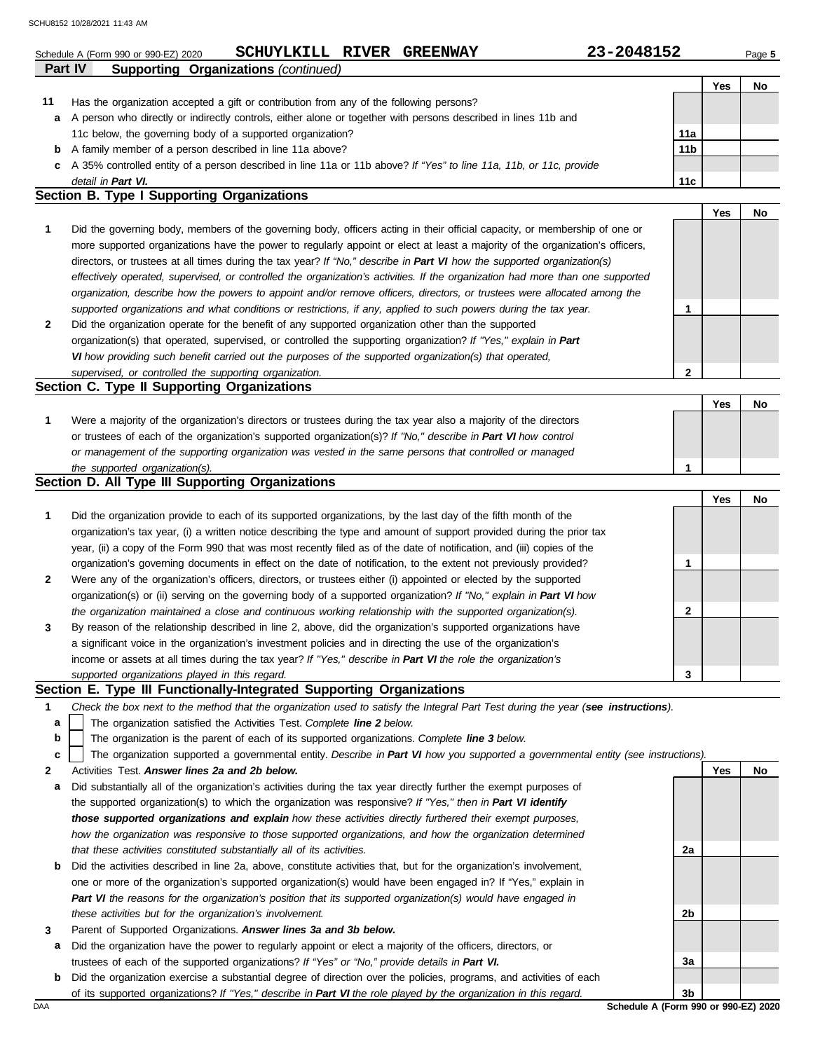|    | 23-2048152<br>SCHUYLKILL RIVER GREENWAY<br>Schedule A (Form 990 or 990-EZ) 2020                                                   |                 |     | Page 5 |
|----|-----------------------------------------------------------------------------------------------------------------------------------|-----------------|-----|--------|
|    | <b>Supporting Organizations (continued)</b><br>Part IV                                                                            |                 |     |        |
|    |                                                                                                                                   |                 | Yes | No     |
| 11 | Has the organization accepted a gift or contribution from any of the following persons?                                           |                 |     |        |
| а  | A person who directly or indirectly controls, either alone or together with persons described in lines 11b and                    | 11a             |     |        |
|    | 11c below, the governing body of a supported organization?<br>A family member of a person described in line 11a above?            | 11 <sub>b</sub> |     |        |
| b  | A 35% controlled entity of a person described in line 11a or 11b above? If "Yes" to line 11a, 11b, or 11c, provide                |                 |     |        |
| c  | detail in Part VI.                                                                                                                | 11c             |     |        |
|    | Section B. Type I Supporting Organizations                                                                                        |                 |     |        |
|    |                                                                                                                                   |                 | Yes | No     |
| 1  | Did the governing body, members of the governing body, officers acting in their official capacity, or membership of one or        |                 |     |        |
|    | more supported organizations have the power to regularly appoint or elect at least a majority of the organization's officers,     |                 |     |        |
|    | directors, or trustees at all times during the tax year? If "No," describe in Part VI how the supported organization(s)           |                 |     |        |
|    | effectively operated, supervised, or controlled the organization's activities. If the organization had more than one supported    |                 |     |        |
|    | organization, describe how the powers to appoint and/or remove officers, directors, or trustees were allocated among the          |                 |     |        |
|    | supported organizations and what conditions or restrictions, if any, applied to such powers during the tax year.                  | 1               |     |        |
| 2  | Did the organization operate for the benefit of any supported organization other than the supported                               |                 |     |        |
|    | organization(s) that operated, supervised, or controlled the supporting organization? If "Yes," explain in Part                   |                 |     |        |
|    | VI how providing such benefit carried out the purposes of the supported organization(s) that operated,                            |                 |     |        |
|    | supervised, or controlled the supporting organization.                                                                            | $\mathbf{2}$    |     |        |
|    | Section C. Type II Supporting Organizations                                                                                       |                 |     |        |
|    |                                                                                                                                   |                 | Yes | No     |
| 1  | Were a majority of the organization's directors or trustees during the tax year also a majority of the directors                  |                 |     |        |
|    | or trustees of each of the organization's supported organization(s)? If "No," describe in Part VI how control                     |                 |     |        |
|    | or management of the supporting organization was vested in the same persons that controlled or managed                            |                 |     |        |
|    | the supported organization(s).                                                                                                    | 1               |     |        |
|    | Section D. All Type III Supporting Organizations                                                                                  |                 |     |        |
|    |                                                                                                                                   |                 | Yes | No     |
| 1  | Did the organization provide to each of its supported organizations, by the last day of the fifth month of the                    |                 |     |        |
|    | organization's tax year, (i) a written notice describing the type and amount of support provided during the prior tax             |                 |     |        |
|    | year, (ii) a copy of the Form 990 that was most recently filed as of the date of notification, and (iii) copies of the            |                 |     |        |
|    | organization's governing documents in effect on the date of notification, to the extent not previously provided?                  | 1               |     |        |
| 2  | Were any of the organization's officers, directors, or trustees either (i) appointed or elected by the supported                  |                 |     |        |
|    | organization(s) or (ii) serving on the governing body of a supported organization? If "No," explain in Part VI how                |                 |     |        |
|    | the organization maintained a close and continuous working relationship with the supported organization(s).                       | 2               |     |        |
| 3  | By reason of the relationship described in line 2, above, did the organization's supported organizations have                     |                 |     |        |
|    | a significant voice in the organization's investment policies and in directing the use of the organization's                      |                 |     |        |
|    | income or assets at all times during the tax year? If "Yes," describe in Part VI the role the organization's                      |                 |     |        |
|    | supported organizations played in this regard.                                                                                    | 3               |     |        |
|    | Section E. Type III Functionally-Integrated Supporting Organizations                                                              |                 |     |        |
| 1  | Check the box next to the method that the organization used to satisfy the Integral Part Test during the year (see instructions). |                 |     |        |
| а  | The organization satisfied the Activities Test. Complete line 2 below.                                                            |                 |     |        |
| b  | The organization is the parent of each of its supported organizations. Complete line 3 below.                                     |                 |     |        |
| c  | The organization supported a governmental entity. Describe in Part VI how you supported a governmental entity (see instructions). |                 |     |        |
| 2  | Activities Test. Answer lines 2a and 2b below.                                                                                    |                 | Yes | No     |
| а  | Did substantially all of the organization's activities during the tax year directly further the exempt purposes of                |                 |     |        |
|    | the supported organization(s) to which the organization was responsive? If "Yes," then in Part VI identify                        |                 |     |        |
|    | those supported organizations and explain how these activities directly furthered their exempt purposes,                          |                 |     |        |
|    | how the organization was responsive to those supported organizations, and how the organization determined                         |                 |     |        |
|    | that these activities constituted substantially all of its activities.                                                            | 2a              |     |        |

| <b>b</b> Did the activities described in line 2a, above, constitute activities that, but for the organization's involvement, |
|------------------------------------------------------------------------------------------------------------------------------|
| one or more of the organization's supported organization(s) would have been engaged in? If "Yes," explain in                 |
| Part VI the reasons for the organization's position that its supported organization(s) would have engaged in                 |
| these activities but for the organization's involvement.                                                                     |

- **3** Parent of Supported Organizations. *Answer lines 3a and 3b below.*
	- **a** Did the organization have the power to regularly appoint or elect a majority of the officers, directors, or trustees of each of the supported organizations? *If "Yes" or "No," provide details in Part VI.*
	- **b** Did the organization exercise a substantial degree of direction over the policies, programs, and activities of each of its supported organizations? *If "Yes," describe in Part VI the role played by the organization in this regard.*

DAA **Schedule A (Form 990 or 990-EZ) 2020 3b**

**2b**

**3a**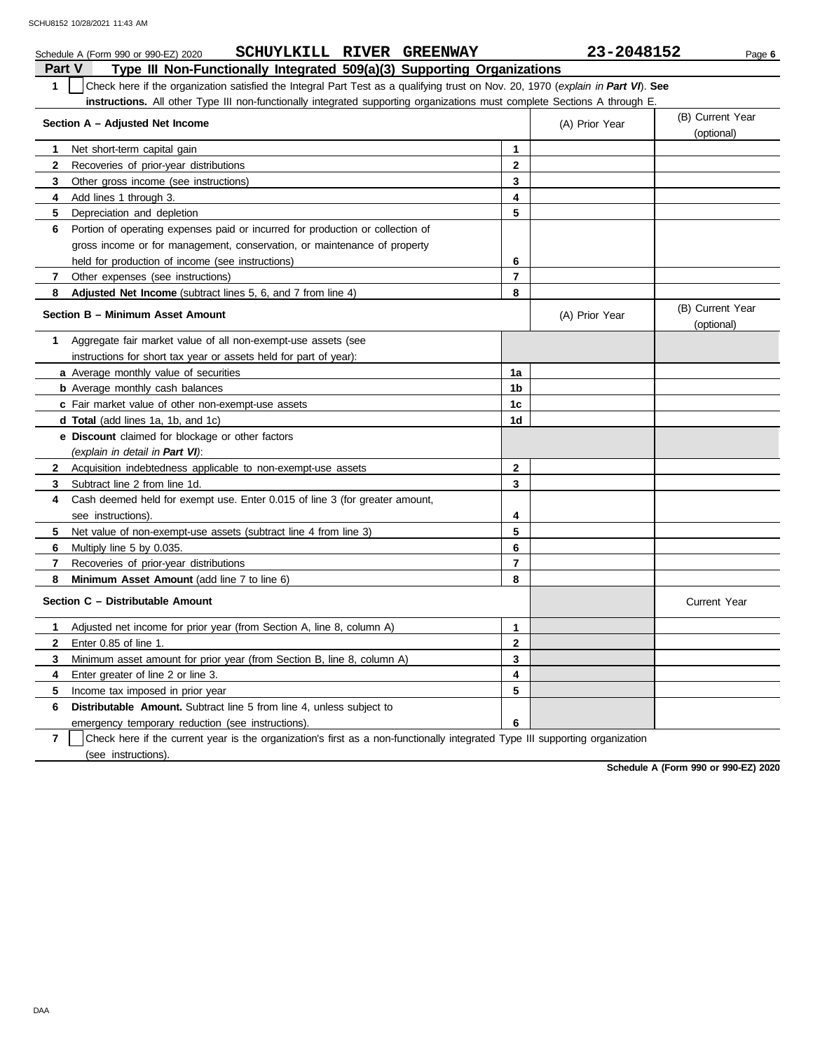|                                                   | SCHUYLKILL RIVER GREENWAY<br>Schedule A (Form 990 or 990-EZ) 2020                                                                |                | 23-2048152     | Page 6                         |  |
|---------------------------------------------------|----------------------------------------------------------------------------------------------------------------------------------|----------------|----------------|--------------------------------|--|
| <b>Part V</b>                                     | Type III Non-Functionally Integrated 509(a)(3) Supporting Organizations                                                          |                |                |                                |  |
| $\mathbf{1}$                                      | Check here if the organization satisfied the Integral Part Test as a qualifying trust on Nov. 20, 1970 (explain in Part VI). See |                |                |                                |  |
|                                                   | instructions. All other Type III non-functionally integrated supporting organizations must complete Sections A through E.        |                |                |                                |  |
| Section A - Adjusted Net Income<br>(A) Prior Year |                                                                                                                                  |                |                |                                |  |
| 1                                                 | Net short-term capital gain                                                                                                      | 1              |                |                                |  |
| $\mathbf{2}$                                      | Recoveries of prior-year distributions                                                                                           | $\mathbf{2}$   |                |                                |  |
| 3                                                 | Other gross income (see instructions)                                                                                            | 3              |                |                                |  |
| 4                                                 | Add lines 1 through 3.                                                                                                           | 4              |                |                                |  |
| 5                                                 | Depreciation and depletion                                                                                                       | 5              |                |                                |  |
| 6                                                 | Portion of operating expenses paid or incurred for production or collection of                                                   |                |                |                                |  |
|                                                   | gross income or for management, conservation, or maintenance of property                                                         |                |                |                                |  |
|                                                   | held for production of income (see instructions)                                                                                 | 6              |                |                                |  |
| 7                                                 | Other expenses (see instructions)                                                                                                | $\overline{7}$ |                |                                |  |
| 8                                                 | Adjusted Net Income (subtract lines 5, 6, and 7 from line 4)                                                                     | 8              |                |                                |  |
|                                                   | Section B - Minimum Asset Amount                                                                                                 |                | (A) Prior Year | (B) Current Year<br>(optional) |  |
| 1                                                 | Aggregate fair market value of all non-exempt-use assets (see                                                                    |                |                |                                |  |
|                                                   | instructions for short tax year or assets held for part of year):                                                                |                |                |                                |  |
|                                                   | a Average monthly value of securities                                                                                            | 1a             |                |                                |  |
|                                                   | <b>b</b> Average monthly cash balances                                                                                           | 1 <sub>b</sub> |                |                                |  |
|                                                   | c Fair market value of other non-exempt-use assets                                                                               | 1 <sub>c</sub> |                |                                |  |
|                                                   | d Total (add lines 1a, 1b, and 1c)                                                                                               | 1 <sub>d</sub> |                |                                |  |
|                                                   | e Discount claimed for blockage or other factors                                                                                 |                |                |                                |  |
|                                                   | (explain in detail in Part VI):                                                                                                  |                |                |                                |  |
| $\mathbf{2}$                                      | Acquisition indebtedness applicable to non-exempt-use assets                                                                     | $\mathbf{2}$   |                |                                |  |
| 3                                                 | Subtract line 2 from line 1d.                                                                                                    | 3              |                |                                |  |
| 4                                                 | Cash deemed held for exempt use. Enter 0.015 of line 3 (for greater amount,                                                      |                |                |                                |  |
|                                                   | see instructions).                                                                                                               | 4              |                |                                |  |
| 5.                                                | Net value of non-exempt-use assets (subtract line 4 from line 3)                                                                 | 5              |                |                                |  |
| 6                                                 | Multiply line 5 by 0.035.                                                                                                        | 6              |                |                                |  |
| 7                                                 | Recoveries of prior-year distributions                                                                                           | $\overline{7}$ |                |                                |  |
| 8                                                 | Minimum Asset Amount (add line 7 to line 6)                                                                                      | 8              |                |                                |  |
|                                                   | Section C - Distributable Amount                                                                                                 |                |                | <b>Current Year</b>            |  |
| 1.                                                | Adjusted net income for prior year (from Section A, line 8, column A)                                                            | 1              |                |                                |  |
|                                                   | 2 Enter 0.85 of line 1.                                                                                                          | $\mathbf 2$    |                |                                |  |
| 3                                                 | Minimum asset amount for prior year (from Section B, line 8, column A)                                                           | 3              |                |                                |  |
| 4                                                 | Enter greater of line 2 or line 3.                                                                                               | 4              |                |                                |  |
| 5                                                 | Income tax imposed in prior year                                                                                                 | 5              |                |                                |  |
| 6                                                 | Distributable Amount. Subtract line 5 from line 4, unless subject to                                                             |                |                |                                |  |
|                                                   | emergency temporary reduction (see instructions).                                                                                | 6              |                |                                |  |
| $\overline{7}$                                    | Check here if the current year is the organization's first as a non-functionally integrated Type III supporting organization     |                |                |                                |  |

(see instructions).

**Schedule A (Form 990 or 990-EZ) 2020**

DAA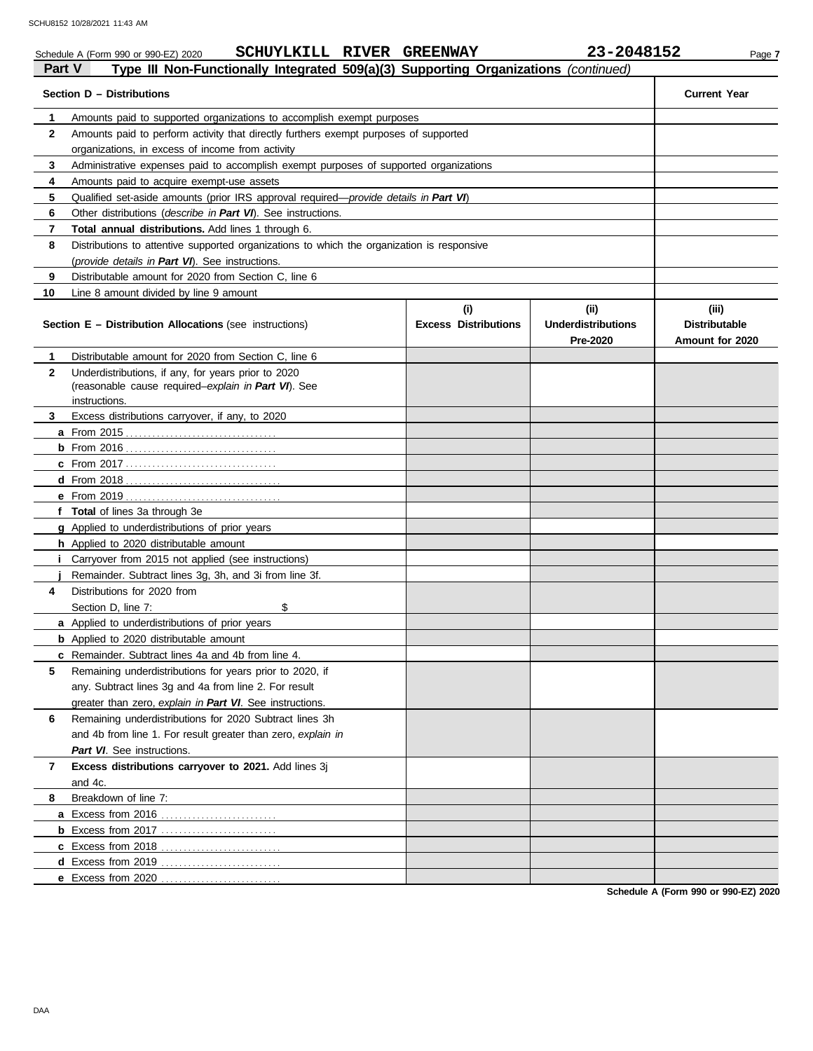|              | SCHUYLKILL RIVER GREENWAY<br>Schedule A (Form 990 or 990-EZ) 2020                          |                             | 23-2048152                            | Page 7                                  |
|--------------|--------------------------------------------------------------------------------------------|-----------------------------|---------------------------------------|-----------------------------------------|
| Part V       | Type III Non-Functionally Integrated 509(a)(3) Supporting Organizations (continued)        |                             |                                       |                                         |
|              | Section D - Distributions                                                                  |                             |                                       | <b>Current Year</b>                     |
| 1            | Amounts paid to supported organizations to accomplish exempt purposes                      |                             |                                       |                                         |
| $\mathbf{2}$ | Amounts paid to perform activity that directly furthers exempt purposes of supported       |                             |                                       |                                         |
|              | organizations, in excess of income from activity                                           |                             |                                       |                                         |
| 3            | Administrative expenses paid to accomplish exempt purposes of supported organizations      |                             |                                       |                                         |
| 4            | Amounts paid to acquire exempt-use assets                                                  |                             |                                       |                                         |
| 5            | Qualified set-aside amounts (prior IRS approval required—provide details in Part VI)       |                             |                                       |                                         |
| 6            | Other distributions (describe in Part VI). See instructions.                               |                             |                                       |                                         |
| 7            | Total annual distributions. Add lines 1 through 6.                                         |                             |                                       |                                         |
| 8            | Distributions to attentive supported organizations to which the organization is responsive |                             |                                       |                                         |
|              | (provide details in Part VI). See instructions.                                            |                             |                                       |                                         |
| 9            | Distributable amount for 2020 from Section C, line 6                                       |                             |                                       |                                         |
| 10           | Line 8 amount divided by line 9 amount                                                     |                             |                                       |                                         |
|              |                                                                                            | (i)                         | (ii)                                  | (iii)                                   |
|              | <b>Section E - Distribution Allocations (see instructions)</b>                             | <b>Excess Distributions</b> | <b>Underdistributions</b><br>Pre-2020 | <b>Distributable</b><br>Amount for 2020 |
| 1            | Distributable amount for 2020 from Section C, line 6                                       |                             |                                       |                                         |
| $\mathbf{2}$ | Underdistributions, if any, for years prior to 2020                                        |                             |                                       |                                         |
|              | (reasonable cause required-explain in Part VI). See                                        |                             |                                       |                                         |
|              | instructions.                                                                              |                             |                                       |                                         |
| 3            | Excess distributions carryover, if any, to 2020                                            |                             |                                       |                                         |
|              |                                                                                            |                             |                                       |                                         |
|              |                                                                                            |                             |                                       |                                         |
|              |                                                                                            |                             |                                       |                                         |
|              |                                                                                            |                             |                                       |                                         |
|              |                                                                                            |                             |                                       |                                         |
|              | f Total of lines 3a through 3e                                                             |                             |                                       |                                         |
|              | g Applied to underdistributions of prior years                                             |                             |                                       |                                         |
|              | h Applied to 2020 distributable amount                                                     |                             |                                       |                                         |
| Ť.           | Carryover from 2015 not applied (see instructions)                                         |                             |                                       |                                         |
|              | Remainder. Subtract lines 3g, 3h, and 3i from line 3f.                                     |                             |                                       |                                         |
| 4            | Distributions for 2020 from                                                                |                             |                                       |                                         |
|              | Section D, line 7:<br>\$                                                                   |                             |                                       |                                         |
|              | a Applied to underdistributions of prior years                                             |                             |                                       |                                         |
|              | <b>b</b> Applied to 2020 distributable amount                                              |                             |                                       |                                         |
|              | c Remainder. Subtract lines 4a and 4b from line 4.                                         |                             |                                       |                                         |
| 5            | Remaining underdistributions for years prior to 2020, if                                   |                             |                                       |                                         |
|              | any. Subtract lines 3g and 4a from line 2. For result                                      |                             |                                       |                                         |
|              | greater than zero, explain in Part VI. See instructions.                                   |                             |                                       |                                         |
| 6            | Remaining underdistributions for 2020 Subtract lines 3h                                    |                             |                                       |                                         |
|              | and 4b from line 1. For result greater than zero, explain in                               |                             |                                       |                                         |
|              | Part VI. See instructions.                                                                 |                             |                                       |                                         |
| 7            | Excess distributions carryover to 2021. Add lines 3j                                       |                             |                                       |                                         |
|              | and 4c.                                                                                    |                             |                                       |                                         |
| 8            | Breakdown of line 7:                                                                       |                             |                                       |                                         |
|              |                                                                                            |                             |                                       |                                         |
|              | <b>b</b> Excess from 2017                                                                  |                             |                                       |                                         |
|              |                                                                                            |                             |                                       |                                         |
|              |                                                                                            |                             |                                       |                                         |
|              | e Excess from 2020                                                                         |                             |                                       |                                         |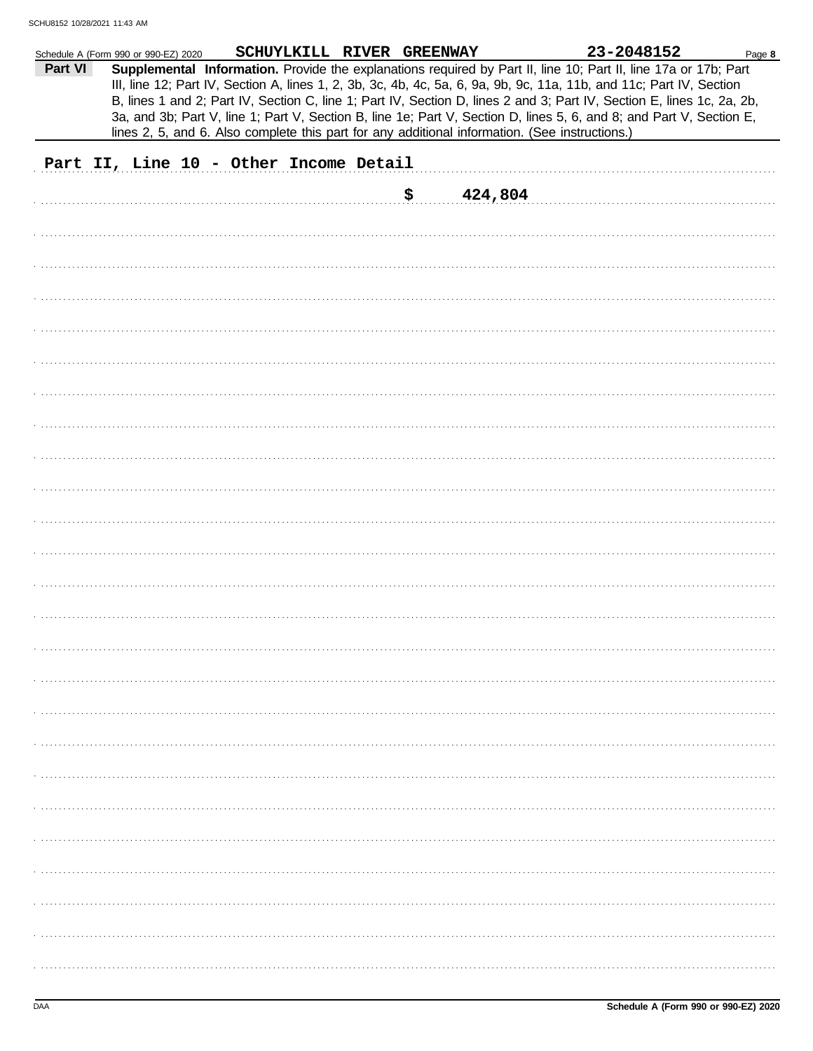|         | Schedule A (Form 990 or 990-EZ) 2020   | SCHUYLKILL RIVER GREENWAY |     |                                                                                                | 23-2048152                                                                                                                                                                                                                                                                                                                                                        | Page 8 |
|---------|----------------------------------------|---------------------------|-----|------------------------------------------------------------------------------------------------|-------------------------------------------------------------------------------------------------------------------------------------------------------------------------------------------------------------------------------------------------------------------------------------------------------------------------------------------------------------------|--------|
| Part VI |                                        |                           |     |                                                                                                | Supplemental Information. Provide the explanations required by Part II, line 10; Part II, line 17a or 17b; Part<br>III, line 12; Part IV, Section A, lines 1, 2, 3b, 3c, 4b, 4c, 5a, 6, 9a, 9b, 9c, 11a, 11b, and 11c; Part IV, Section<br>B, lines 1 and 2; Part IV, Section C, line 1; Part IV, Section D, lines 2 and 3; Part IV, Section E, lines 1c, 2a, 2b, |        |
|         |                                        |                           |     | lines 2, 5, and 6. Also complete this part for any additional information. (See instructions.) | 3a, and 3b; Part V, line 1; Part V, Section B, line 1e; Part V, Section D, lines 5, 6, and 8; and Part V, Section E,                                                                                                                                                                                                                                              |        |
|         | Part II, Line 10 - Other Income Detail |                           |     |                                                                                                |                                                                                                                                                                                                                                                                                                                                                                   |        |
|         |                                        |                           |     |                                                                                                |                                                                                                                                                                                                                                                                                                                                                                   |        |
|         |                                        |                           | \$. | 424,804                                                                                        |                                                                                                                                                                                                                                                                                                                                                                   |        |
|         |                                        |                           |     |                                                                                                |                                                                                                                                                                                                                                                                                                                                                                   |        |
|         |                                        |                           |     |                                                                                                |                                                                                                                                                                                                                                                                                                                                                                   |        |
|         |                                        |                           |     |                                                                                                |                                                                                                                                                                                                                                                                                                                                                                   |        |
|         |                                        |                           |     |                                                                                                |                                                                                                                                                                                                                                                                                                                                                                   |        |
|         |                                        |                           |     |                                                                                                |                                                                                                                                                                                                                                                                                                                                                                   |        |
|         |                                        |                           |     |                                                                                                |                                                                                                                                                                                                                                                                                                                                                                   |        |
|         |                                        |                           |     |                                                                                                |                                                                                                                                                                                                                                                                                                                                                                   |        |
|         |                                        |                           |     |                                                                                                |                                                                                                                                                                                                                                                                                                                                                                   |        |
|         |                                        |                           |     |                                                                                                |                                                                                                                                                                                                                                                                                                                                                                   |        |
|         |                                        |                           |     |                                                                                                |                                                                                                                                                                                                                                                                                                                                                                   |        |
|         |                                        |                           |     |                                                                                                |                                                                                                                                                                                                                                                                                                                                                                   |        |
|         |                                        |                           |     |                                                                                                |                                                                                                                                                                                                                                                                                                                                                                   |        |
|         |                                        |                           |     |                                                                                                |                                                                                                                                                                                                                                                                                                                                                                   |        |
|         |                                        |                           |     |                                                                                                |                                                                                                                                                                                                                                                                                                                                                                   |        |
|         |                                        |                           |     |                                                                                                |                                                                                                                                                                                                                                                                                                                                                                   |        |
|         |                                        |                           |     |                                                                                                |                                                                                                                                                                                                                                                                                                                                                                   |        |
|         |                                        |                           |     |                                                                                                |                                                                                                                                                                                                                                                                                                                                                                   |        |
|         |                                        |                           |     |                                                                                                |                                                                                                                                                                                                                                                                                                                                                                   |        |
|         |                                        |                           |     |                                                                                                |                                                                                                                                                                                                                                                                                                                                                                   |        |
|         |                                        |                           |     |                                                                                                |                                                                                                                                                                                                                                                                                                                                                                   |        |
|         |                                        |                           |     |                                                                                                |                                                                                                                                                                                                                                                                                                                                                                   |        |
|         |                                        |                           |     |                                                                                                |                                                                                                                                                                                                                                                                                                                                                                   |        |
|         |                                        |                           |     |                                                                                                |                                                                                                                                                                                                                                                                                                                                                                   |        |
|         |                                        |                           |     |                                                                                                |                                                                                                                                                                                                                                                                                                                                                                   |        |
|         |                                        |                           |     |                                                                                                |                                                                                                                                                                                                                                                                                                                                                                   |        |
|         |                                        |                           |     |                                                                                                |                                                                                                                                                                                                                                                                                                                                                                   |        |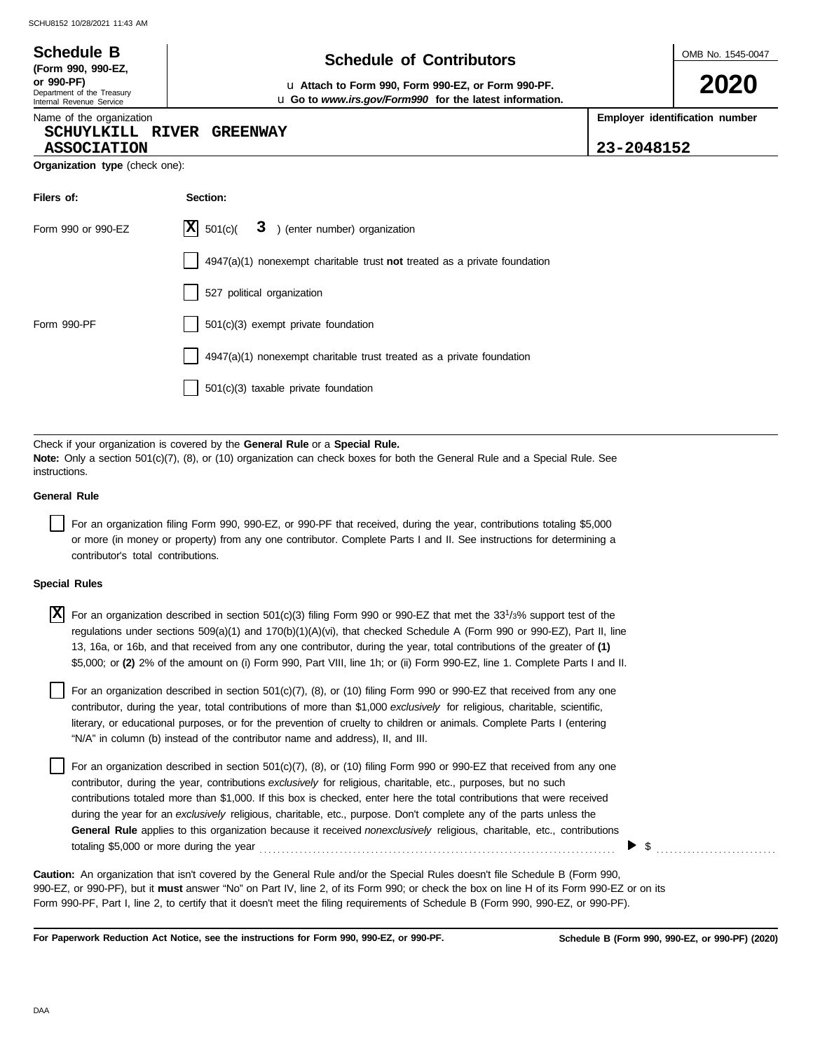# **Schedule of Contributors Schedule B**

**or 990-PF)** u **Attach to Form 990, Form 990-EZ, or Form 990-PF.** u **Go to** *www.irs.gov/Form990* **for the latest information.** OMB No. 1545-0047

**2020**

Name of the organization

**ASSOCIATION 23-2048152**

Department of the Treasury Internal Revenue Service

**(Form 990, 990-EZ,**

### **SCHUYLKILL RIVER GREENWAY**

**Employer identification number**

| 23-2048152 |  |  |  |
|------------|--|--|--|
|------------|--|--|--|

**Organization type** (check one):

| Filers of:         | Section:                                                                  |
|--------------------|---------------------------------------------------------------------------|
| Form 990 or 990-EZ | $ \mathbf{X} $ 501(c)( $3$ ) (enter number) organization                  |
|                    | 4947(a)(1) nonexempt charitable trust not treated as a private foundation |
|                    | 527 political organization                                                |
| Form 990-PF        | 501(c)(3) exempt private foundation                                       |
|                    | 4947(a)(1) nonexempt charitable trust treated as a private foundation     |
|                    | 501(c)(3) taxable private foundation                                      |

Check if your organization is covered by the **General Rule** or a **Special Rule. Note:** Only a section 501(c)(7), (8), or (10) organization can check boxes for both the General Rule and a Special Rule. See instructions.

### **General Rule**

For an organization filing Form 990, 990-EZ, or 990-PF that received, during the year, contributions totaling \$5,000 or more (in money or property) from any one contributor. Complete Parts I and II. See instructions for determining a contributor's total contributions.

#### **Special Rules**

| $X$ For an organization described in section 501(c)(3) filing Form 990 or 990-EZ that met the 33 <sup>1</sup> /3% support test of the |
|---------------------------------------------------------------------------------------------------------------------------------------|
| regulations under sections 509(a)(1) and 170(b)(1)(A)(vi), that checked Schedule A (Form 990 or 990-EZ), Part II, line                |
| 13, 16a, or 16b, and that received from any one contributor, during the year, total contributions of the greater of (1)               |
| \$5,000; or (2) 2% of the amount on (i) Form 990, Part VIII, line 1h; or (ii) Form 990-EZ, line 1. Complete Parts I and II.           |

literary, or educational purposes, or for the prevention of cruelty to children or animals. Complete Parts I (entering For an organization described in section 501(c)(7), (8), or (10) filing Form 990 or 990-EZ that received from any one contributor, during the year, total contributions of more than \$1,000 *exclusively* for religious, charitable, scientific, "N/A" in column (b) instead of the contributor name and address), II, and III.

For an organization described in section 501(c)(7), (8), or (10) filing Form 990 or 990-EZ that received from any one contributor, during the year, contributions *exclusively* for religious, charitable, etc., purposes, but no such contributions totaled more than \$1,000. If this box is checked, enter here the total contributions that were received during the year for an *exclusively* religious, charitable, etc., purpose. Don't complete any of the parts unless the **General Rule** applies to this organization because it received *nonexclusively* religious, charitable, etc., contributions totaling \$5,000 or more during the year . . . . . . . . . . . . . . . . . . . . . . . . . . . . . . . . . . . . . . . . . . . . . . . . . . . . . . . . . . . . . . . . . . . . . . . . . . . . . . . .

990-EZ, or 990-PF), but it **must** answer "No" on Part IV, line 2, of its Form 990; or check the box on line H of its Form 990-EZ or on its Form 990-PF, Part I, line 2, to certify that it doesn't meet the filing requirements of Schedule B (Form 990, 990-EZ, or 990-PF). **Caution:** An organization that isn't covered by the General Rule and/or the Special Rules doesn't file Schedule B (Form 990,

**For Paperwork Reduction Act Notice, see the instructions for Form 990, 990-EZ, or 990-PF.**

\$ . . . . . . . . . . . . . . . . . . . . . . . . . . .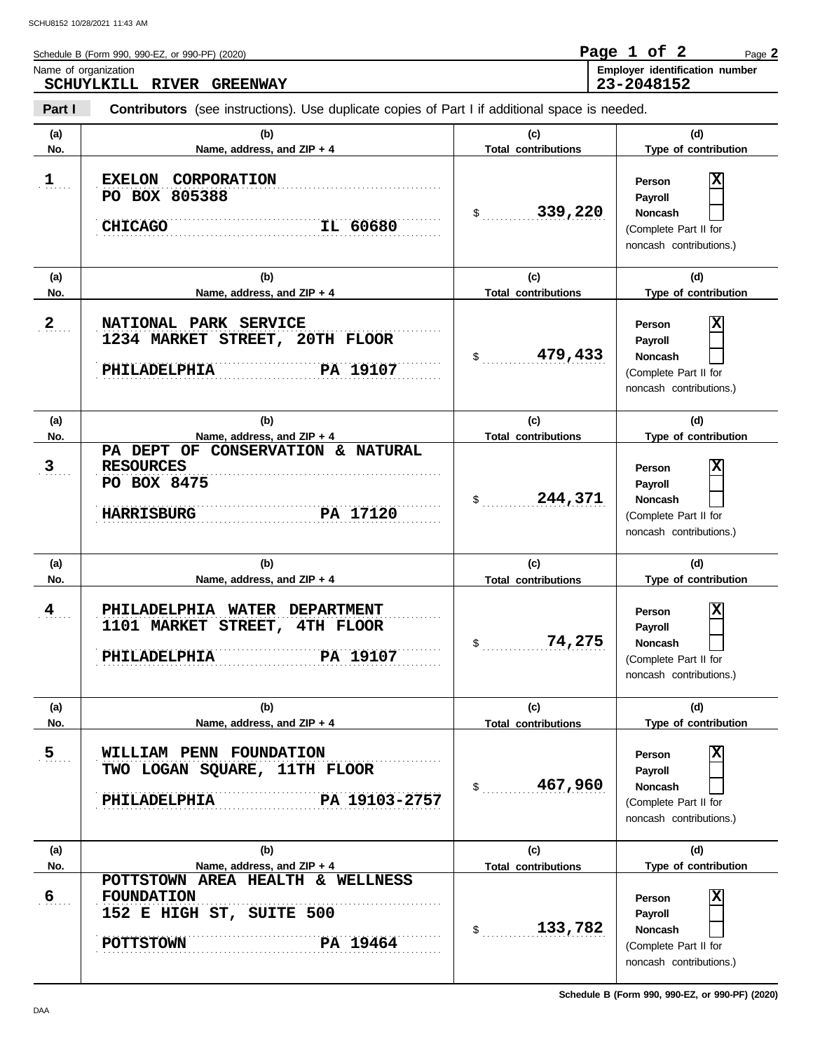Schedule B (Form 990, 990-EZ, or 990-PF) (2020) Name of organization **Employer identification number** Page **2 SCHUYLKILL RIVER GREENWAY Page 1 of 2 23-2048152**

**Part I Type of contribution Person Payroll Noncash (a) (b) (c) (d) No. Name, address, and ZIP + 4 Type of contribution Person Payroll Noncash (a) (b) (c) (d) No. Name, address, and ZIP + 4 Type of contribution Person Payroll Noncash (a) (b) (c) (d) No. Name, address, and ZIP + 4 Type of contribution Person Payroll Noncash** \$ . . . . . . . . . . . . . . . . . . . . . . . . . . . . **339,220** (Complete Part II for noncash contributions.) \$ . . . . . . . . . . . . . . . . . . . . . . . . . . . . **479,433** (Complete Part II for noncash contributions.) \$ . . . . . . . . . . . . . . . . . . . . . . . . . . . . **244,371** (Complete Part II for noncash contributions.) \$ . . . . . . . . . . . . . . . . . . . . . . . . . . . . **74,275** (Complete Part II for noncash contributions.) \$ . . . . . . . . . . . . . . . . . . . . . . . . . . . . **467,960** (Complete Part II for noncash contributions.) \$ . . . . . . . . . . . . . . . . . . . . . . . . . . . . **133,782** (Complete Part II for noncash contributions.) **Contributors** (see instructions). Use duplicate copies of Part I if additional space is needed. **(a) (b) (c) (d) No. Name, address, and ZIP + 4 Total contributions Type of contribution Person Payroll Noncash (a) (b) (c) (d) No. Name, address, and ZIP + 4 Type of contribution Person Payroll Noncash (a) (b) (c) (d) No. Name, address, and ZIP + 4**  $\mathbf{1}$ ....  $2_{\ldots}$ . . . . . . . **3**  $4$ ...  $5$ .... . 6<sub>. . . .</sub> . . . . . . . . . . . . . . . . . . . . . . . . . . . . . . . . . . . . . . . . . . . . . . . . . . . . . . . . . . . . . . . . . . . . . . . . . . . . . . . . . . . . . . . . . . . . . . . . . . . . . . . . . . . . . . . . . . . . . . . . . . . . . . . . . . . . . . . . . . . . . . . . . . . . . . . . . . **POTTSTOWN PA 19464** . . . . . . . . . . . . . . . . . . . . . . . . . . . . . . . . . . . . . . . . . . . . . . . . . . . . . . . . . . . . . . . . . . . . . . . . . . . . . **FOUNDATION 5 WILLIAM PENN FOUNDATION** . . . . . . . . . . . . . . . . . . . . . . . . . . . . . . . . . . . . . . . . . . . . . . . . . . . . . . . . . . . . . . . . . . . . . . . . . . . . . . . . . . . . . . . . . . . . . . . . . . . . . . . . . . . . . . . . . . . . . . . . . . . . . . . . . . . . . . . . . . . . . . . . . . . . . . . . . . **PHILADELPHIA PA 19103-2757** . . . . . . . . . . . . . . . . . . . . . . . . . . . . . . . . . . . . . . . . . . . . . . . . . . . . . . . . . . . . . . . . . . . . . . . . . . . . . **PHILADELPHIA PA 19107** . . . . . . . . . . . . . . . . . . . . . . . . . . . . . . . . . . . . . . . . . . . . . . . . . . . . . . . . . . . . . . . . . . . . . . . . . . . . .  $\frac{4}{4}$  PHILADELPHIA WATER DEPARTMENT . . . . . . . . . . . . . . . . . . . . . . . . . . . . . . . . . . . . . . . . . . . . . . . . . . . . . . . . . . . . . . . . . . . . . . . . . . . . . . . . . . . . . . . . . . . . . . . . . . . . . . . . . . . . . . . . . . . . . . . . . . . . . . . . . . . . . . . . . . . . . . . . . . . . . . . . . . . . . . . . . . . . . . . . . . . . . . . . . . . . . . . . . . . . . . . . . . . . . . . . . . . . . . . . . . . . . . . . . . . . . . . . . . . . . . . **HARRISBURG PA 17120** PA 19107 . . . . . . . . . . . . . . . . . . . . . . . . . . . . . . . . . . . . . . . . . . . . . . . . . . . . . . . . . . . . . . . . . . . . . . . . . . . . . . . . . . . . . . . . . . . . . . . . . . . . . . . . . . . . . . . . . . . . . . . . . . . . . . . . . . . . . . . . . . . . . . . . . . . . . . . . . . **2 NATIONAL PARK SERVICE** 1 **EXELON CORPORATION** . . . . . . . . . . . . . . . . . . . . . . . . . . . . . . . . . . . . . . . . . . . . . . . . . . . . . . . . . . . . . . . . . . . . . . . . . . . . . . . . . . . . . . . . . . . . . . . . . . . . . . . . . . . . . . . . . . . . . . . . . . . . . . . . . . . . . . . . . . . . . . . . . . . . . . . . . . **CHICAGO IL 60680 Total contributions Total contributions Total contributions Total contributions Total contributions PO BOX 805388 X 1234 MARKET STREET, 20TH FLOOR PHILADELPHIA PA 19107 X PA DEPT OF CONSERVATION & NATURAL RESOURCES PO BOX 8475 X 1101 MARKET STREET, 4TH FLOOR X TWO LOGAN SQUARE, 11TH FLOOR X POTTSTOWN AREA HEALTH & WELLNESS 152 E HIGH ST, SUITE 500 X**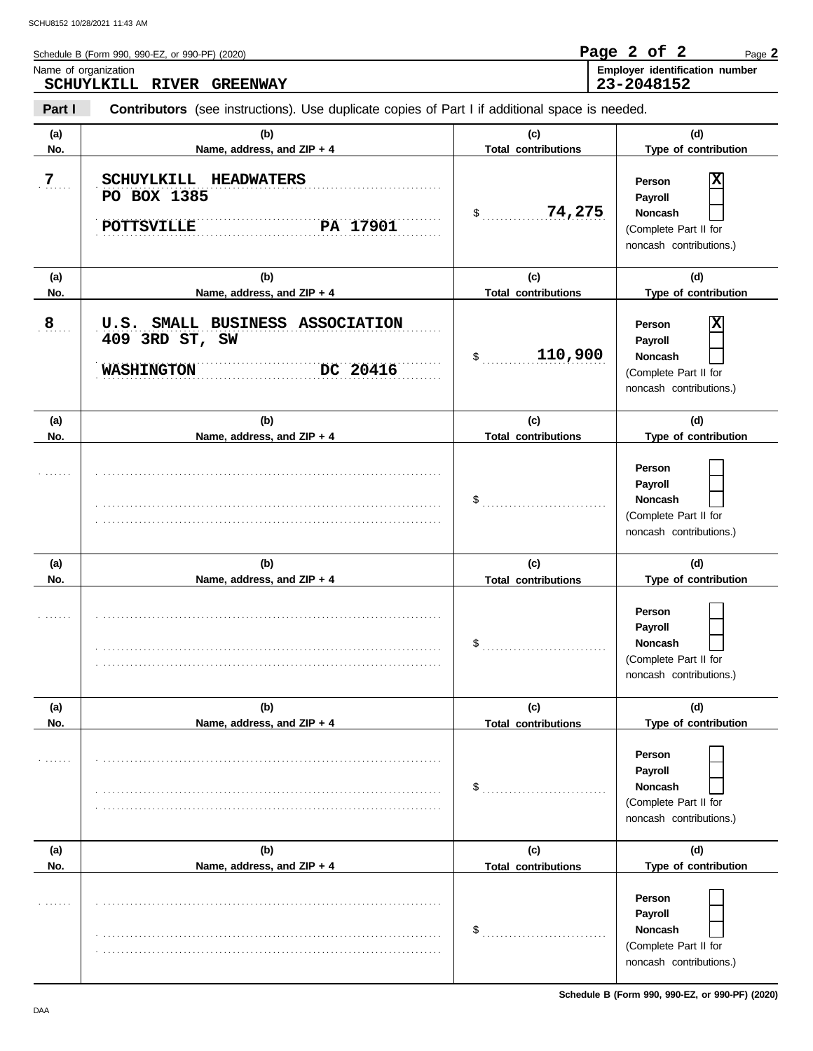| Schedule B (Form 990, 990-EZ, or 990-PF) (2020)   | Page 2 of 2 |  | Page 2                                |
|---------------------------------------------------|-------------|--|---------------------------------------|
| Name of organization<br>SCHUYLKILL RIVER GREENWAY | 23-2048152  |  | <b>Employer identification number</b> |
|                                                   |             |  |                                       |

**Part I Contributors** (see instructions). Use duplicate copies of Part I if additional space is needed.

| (a)<br>No. | (b)<br>Name, address, and ZIP + 4                                                  | (c)<br><b>Total contributions</b> | (d)<br>Type of contribution                                                                  |
|------------|------------------------------------------------------------------------------------|-----------------------------------|----------------------------------------------------------------------------------------------|
| 7          | SCHUYLKILL HEADWATERS<br>PO BOX 1385<br>PA 17901<br><b>POTTSVILLE</b>              | 74,275<br>$\sim$                  | X<br>Person<br>Payroll<br>Noncash<br>(Complete Part II for<br>noncash contributions.)        |
| (a)<br>No. | (b)<br>Name, address, and ZIP + 4                                                  | (c)<br><b>Total contributions</b> | (d)<br>Type of contribution                                                                  |
| 8          | U.S. SMALL BUSINESS ASSOCIATION<br>409 3RD ST, SW<br>DC 20416<br><b>WASHINGTON</b> | 110,900<br>\$                     | X<br>Person<br>Payroll<br><b>Noncash</b><br>(Complete Part II for<br>noncash contributions.) |
| (a)        | (b)                                                                                | (c)                               | (d)                                                                                          |
| No.        | Name, address, and ZIP + 4                                                         | <b>Total contributions</b>        | Type of contribution                                                                         |
|            |                                                                                    | $\$\$                             | Person<br>Payroll<br><b>Noncash</b><br>(Complete Part II for<br>noncash contributions.)      |
| (a)<br>No. | (b)<br>Name, address, and ZIP + 4                                                  | (c)<br><b>Total contributions</b> | (d)<br>Type of contribution                                                                  |
|            |                                                                                    | \$                                | Person<br>Payroll<br><b>Noncash</b><br>(Complete Part II for<br>noncash contributions.)      |
| (a)        | (b)                                                                                | (c)                               | (d)                                                                                          |
| No.        | Name, address, and ZIP + 4                                                         | <b>Total contributions</b>        | Type of contribution                                                                         |
|            |                                                                                    | $$^{\circ}$                       | Person<br>Payroll<br>Noncash<br>(Complete Part II for<br>noncash contributions.)             |
| (a)        | (b)                                                                                | (c)                               | (d)                                                                                          |
| No.        | Name, address, and ZIP + 4                                                         | <b>Total contributions</b>        | Type of contribution                                                                         |
|            |                                                                                    | \$                                | Person<br>Payroll<br>Noncash<br>(Complete Part II for<br>noncash contributions.)             |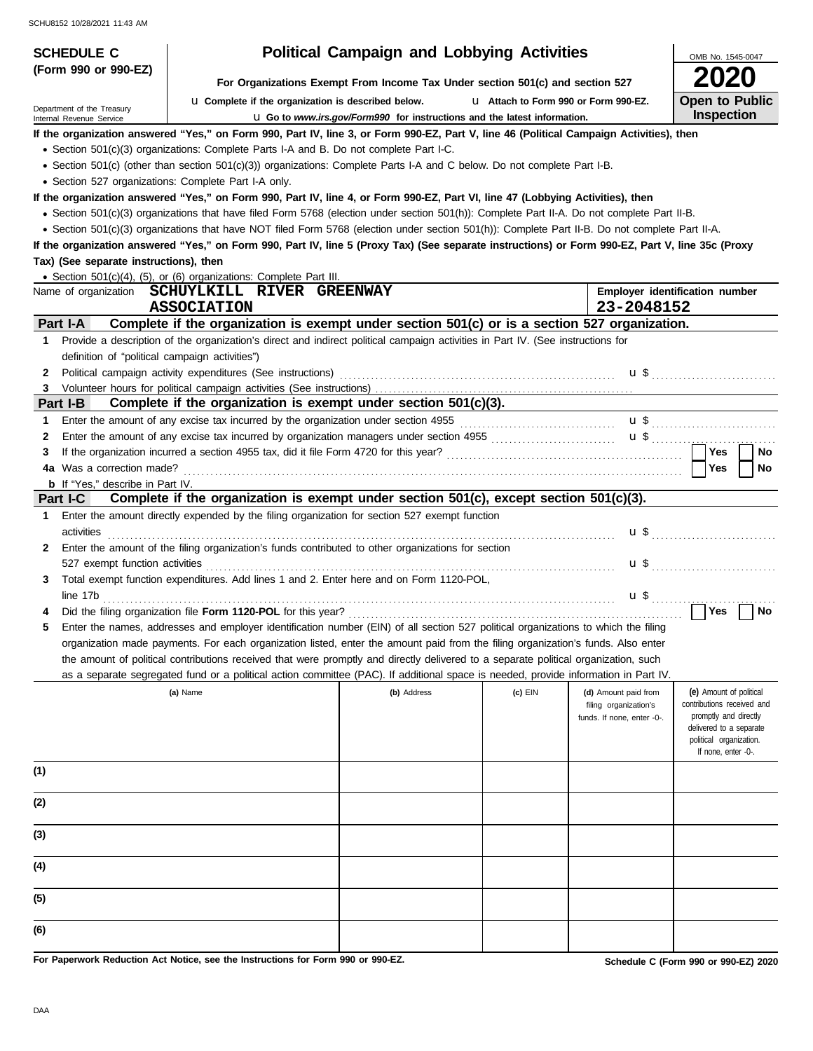| <b>SCHEDULE C</b>                                                                                                                                             |                                                                                                                                                                                                                                                                                                     | <b>Political Campaign and Lobbying Activities</b> |           |                                                                             | OMB No. 1545-0047                                                                                                                                           |  |  |  |  |  |
|---------------------------------------------------------------------------------------------------------------------------------------------------------------|-----------------------------------------------------------------------------------------------------------------------------------------------------------------------------------------------------------------------------------------------------------------------------------------------------|---------------------------------------------------|-----------|-----------------------------------------------------------------------------|-------------------------------------------------------------------------------------------------------------------------------------------------------------|--|--|--|--|--|
| (Form 990 or 990-EZ)                                                                                                                                          |                                                                                                                                                                                                                                                                                                     |                                                   |           |                                                                             |                                                                                                                                                             |  |  |  |  |  |
| For Organizations Exempt From Income Tax Under section 501(c) and section 527<br><b>Open to Public</b><br>La Complete if the organization is described below. |                                                                                                                                                                                                                                                                                                     |                                                   |           |                                                                             |                                                                                                                                                             |  |  |  |  |  |
| Department of the Treasury<br>Internal Revenue Service                                                                                                        | L1 Attach to Form 990 or Form 990-EZ.<br>Inspection<br><b>u</b> Go to www.irs.gov/Form990 for instructions and the latest information.                                                                                                                                                              |                                                   |           |                                                                             |                                                                                                                                                             |  |  |  |  |  |
|                                                                                                                                                               | If the organization answered "Yes," on Form 990, Part IV, line 3, or Form 990-EZ, Part V, line 46 (Political Campaign Activities), then                                                                                                                                                             |                                                   |           |                                                                             |                                                                                                                                                             |  |  |  |  |  |
|                                                                                                                                                               | • Section 501(c)(3) organizations: Complete Parts I-A and B. Do not complete Part I-C.                                                                                                                                                                                                              |                                                   |           |                                                                             |                                                                                                                                                             |  |  |  |  |  |
|                                                                                                                                                               | • Section 501(c) (other than section 501(c)(3)) organizations: Complete Parts I-A and C below. Do not complete Part I-B.                                                                                                                                                                            |                                                   |           |                                                                             |                                                                                                                                                             |  |  |  |  |  |
| • Section 527 organizations: Complete Part I-A only.                                                                                                          |                                                                                                                                                                                                                                                                                                     |                                                   |           |                                                                             |                                                                                                                                                             |  |  |  |  |  |
|                                                                                                                                                               | If the organization answered "Yes," on Form 990, Part IV, line 4, or Form 990-EZ, Part VI, line 47 (Lobbying Activities), then<br>• Section 501(c)(3) organizations that have filed Form 5768 (election under section 501(h)): Complete Part II-A. Do not complete Part II-B.                       |                                                   |           |                                                                             |                                                                                                                                                             |  |  |  |  |  |
|                                                                                                                                                               |                                                                                                                                                                                                                                                                                                     |                                                   |           |                                                                             |                                                                                                                                                             |  |  |  |  |  |
|                                                                                                                                                               | • Section 501(c)(3) organizations that have NOT filed Form 5768 (election under section 501(h)): Complete Part II-B. Do not complete Part II-A.<br>If the organization answered "Yes," on Form 990, Part IV, line 5 (Proxy Tax) (See separate instructions) or Form 990-EZ, Part V, line 35c (Proxy |                                                   |           |                                                                             |                                                                                                                                                             |  |  |  |  |  |
| Tax) (See separate instructions), then                                                                                                                        |                                                                                                                                                                                                                                                                                                     |                                                   |           |                                                                             |                                                                                                                                                             |  |  |  |  |  |
|                                                                                                                                                               | • Section 501(c)(4), (5), or (6) organizations: Complete Part III.                                                                                                                                                                                                                                  |                                                   |           |                                                                             |                                                                                                                                                             |  |  |  |  |  |
|                                                                                                                                                               | Name of organization  SCHUYLKILL  RIVER  GREENWAY                                                                                                                                                                                                                                                   |                                                   |           |                                                                             | Employer identification number                                                                                                                              |  |  |  |  |  |
|                                                                                                                                                               | <b>ASSOCIATION</b>                                                                                                                                                                                                                                                                                  |                                                   |           | 23-2048152                                                                  |                                                                                                                                                             |  |  |  |  |  |
| Part I-A                                                                                                                                                      | Complete if the organization is exempt under section 501(c) or is a section 527 organization.                                                                                                                                                                                                       |                                                   |           |                                                                             |                                                                                                                                                             |  |  |  |  |  |
| $\mathbf 1$                                                                                                                                                   | Provide a description of the organization's direct and indirect political campaign activities in Part IV. (See instructions for                                                                                                                                                                     |                                                   |           |                                                                             |                                                                                                                                                             |  |  |  |  |  |
| definition of "political campaign activities")                                                                                                                |                                                                                                                                                                                                                                                                                                     |                                                   |           |                                                                             |                                                                                                                                                             |  |  |  |  |  |
| 2                                                                                                                                                             |                                                                                                                                                                                                                                                                                                     |                                                   |           |                                                                             |                                                                                                                                                             |  |  |  |  |  |
| $\mathbf{3}$<br>Part I-B                                                                                                                                      | Complete if the organization is exempt under section $501(c)(3)$ .                                                                                                                                                                                                                                  |                                                   |           |                                                                             |                                                                                                                                                             |  |  |  |  |  |
| 1                                                                                                                                                             | Enter the amount of any excise tax incurred by the organization under section 4955                                                                                                                                                                                                                  |                                                   |           |                                                                             |                                                                                                                                                             |  |  |  |  |  |
| 2                                                                                                                                                             |                                                                                                                                                                                                                                                                                                     |                                                   |           |                                                                             | $\mathbf{u}$ \$                                                                                                                                             |  |  |  |  |  |
| 3                                                                                                                                                             |                                                                                                                                                                                                                                                                                                     |                                                   |           |                                                                             | Yes<br><b>No</b>                                                                                                                                            |  |  |  |  |  |
| 4a Was a correction made?                                                                                                                                     |                                                                                                                                                                                                                                                                                                     |                                                   |           |                                                                             | Yes<br>No                                                                                                                                                   |  |  |  |  |  |
| <b>b</b> If "Yes," describe in Part IV.                                                                                                                       |                                                                                                                                                                                                                                                                                                     |                                                   |           |                                                                             |                                                                                                                                                             |  |  |  |  |  |
| Part I-C                                                                                                                                                      | Complete if the organization is exempt under section $501(c)$ , except section $501(c)(3)$ .                                                                                                                                                                                                        |                                                   |           |                                                                             |                                                                                                                                                             |  |  |  |  |  |
| 1<br>activities                                                                                                                                               | Enter the amount directly expended by the filing organization for section 527 exempt function                                                                                                                                                                                                       |                                                   |           |                                                                             |                                                                                                                                                             |  |  |  |  |  |
| 2                                                                                                                                                             | Enter the amount of the filing organization's funds contributed to other organizations for section                                                                                                                                                                                                  |                                                   |           |                                                                             |                                                                                                                                                             |  |  |  |  |  |
| 527 exempt function activities<br>3                                                                                                                           | Total exempt function expenditures. Add lines 1 and 2. Enter here and on Form 1120-POL,                                                                                                                                                                                                             |                                                   |           |                                                                             |                                                                                                                                                             |  |  |  |  |  |
| line 17b                                                                                                                                                      |                                                                                                                                                                                                                                                                                                     |                                                   |           |                                                                             |                                                                                                                                                             |  |  |  |  |  |
|                                                                                                                                                               |                                                                                                                                                                                                                                                                                                     |                                                   |           | $\mathbf{u}$ \$                                                             | Yes<br>No                                                                                                                                                   |  |  |  |  |  |
|                                                                                                                                                               | Enter the names, addresses and employer identification number (EIN) of all section 527 political organizations to which the filing                                                                                                                                                                  |                                                   |           |                                                                             |                                                                                                                                                             |  |  |  |  |  |
|                                                                                                                                                               | organization made payments. For each organization listed, enter the amount paid from the filing organization's funds. Also enter                                                                                                                                                                    |                                                   |           |                                                                             |                                                                                                                                                             |  |  |  |  |  |
|                                                                                                                                                               | the amount of political contributions received that were promptly and directly delivered to a separate political organization, such                                                                                                                                                                 |                                                   |           |                                                                             |                                                                                                                                                             |  |  |  |  |  |
|                                                                                                                                                               | as a separate segregated fund or a political action committee (PAC). If additional space is needed, provide information in Part IV.                                                                                                                                                                 |                                                   |           |                                                                             |                                                                                                                                                             |  |  |  |  |  |
|                                                                                                                                                               | (a) Name                                                                                                                                                                                                                                                                                            | (b) Address                                       | $(c)$ EIN | (d) Amount paid from<br>filing organization's<br>funds. If none, enter -0-. | (e) Amount of political<br>contributions received and<br>promptly and directly<br>delivered to a separate<br>political organization.<br>If none, enter -0-. |  |  |  |  |  |
| (1)                                                                                                                                                           |                                                                                                                                                                                                                                                                                                     |                                                   |           |                                                                             |                                                                                                                                                             |  |  |  |  |  |
| (2)                                                                                                                                                           |                                                                                                                                                                                                                                                                                                     |                                                   |           |                                                                             |                                                                                                                                                             |  |  |  |  |  |
| (3)                                                                                                                                                           |                                                                                                                                                                                                                                                                                                     |                                                   |           |                                                                             |                                                                                                                                                             |  |  |  |  |  |
| (4)                                                                                                                                                           |                                                                                                                                                                                                                                                                                                     |                                                   |           |                                                                             |                                                                                                                                                             |  |  |  |  |  |
| (5)                                                                                                                                                           |                                                                                                                                                                                                                                                                                                     |                                                   |           |                                                                             |                                                                                                                                                             |  |  |  |  |  |
| (6)                                                                                                                                                           |                                                                                                                                                                                                                                                                                                     |                                                   |           |                                                                             |                                                                                                                                                             |  |  |  |  |  |

**For Paperwork Reduction Act Notice, see the Instructions for Form 990 or 990-EZ.**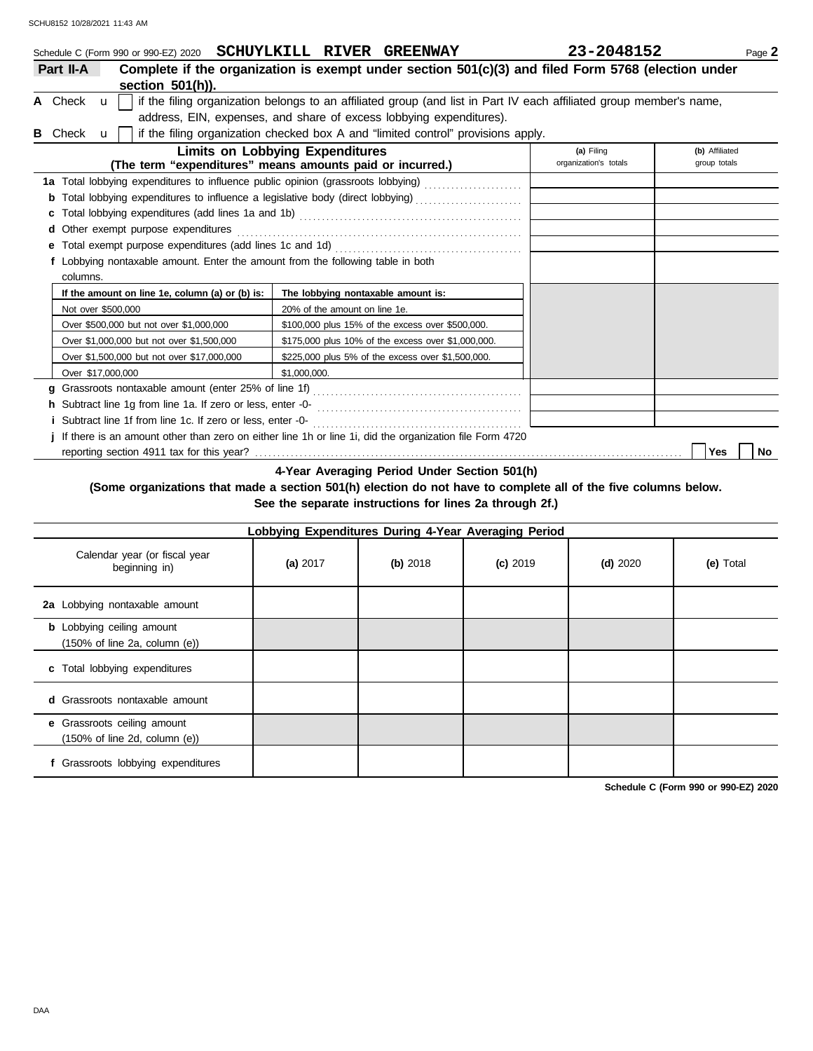|   |                      | Schedule C (Form 990 or 990-EZ) 2020 SCHUYLKILL RIVER GREENWAY                                                |                                        |                               |                                                                                  | 23-2048152                                                                                                          | Page 2         |  |  |  |
|---|----------------------|---------------------------------------------------------------------------------------------------------------|----------------------------------------|-------------------------------|----------------------------------------------------------------------------------|---------------------------------------------------------------------------------------------------------------------|----------------|--|--|--|
|   | Part II-A            |                                                                                                               |                                        |                               |                                                                                  | Complete if the organization is exempt under section 501(c)(3) and filed Form 5768 (election under                  |                |  |  |  |
|   |                      | section $501(h)$ ).                                                                                           |                                        |                               |                                                                                  |                                                                                                                     |                |  |  |  |
|   | A Check $\mathbf{u}$ |                                                                                                               |                                        |                               |                                                                                  | if the filing organization belongs to an affiliated group (and list in Part IV each affiliated group member's name, |                |  |  |  |
|   |                      |                                                                                                               |                                        |                               | address, EIN, expenses, and share of excess lobbying expenditures).              |                                                                                                                     |                |  |  |  |
| в | Check                | $\mathbf{u}$                                                                                                  |                                        |                               | if the filing organization checked box A and "limited control" provisions apply. |                                                                                                                     |                |  |  |  |
|   |                      |                                                                                                               | <b>Limits on Lobbying Expenditures</b> |                               |                                                                                  | (a) Filing                                                                                                          | (b) Affiliated |  |  |  |
|   |                      | (The term "expenditures" means amounts paid or incurred.)                                                     |                                        |                               |                                                                                  | organization's totals                                                                                               | group totals   |  |  |  |
|   |                      | 1a Total lobbying expenditures to influence public opinion (grassroots lobbying) [[[[[[[[[[[[[[[[[[[[[[[[[[[[ |                                        |                               |                                                                                  |                                                                                                                     |                |  |  |  |
|   |                      | Total lobbying expenditures to influence a legislative body (direct lobbying) [[[[[[[[[[[[[[[[[[[[[[          |                                        |                               |                                                                                  |                                                                                                                     |                |  |  |  |
|   |                      |                                                                                                               |                                        |                               |                                                                                  |                                                                                                                     |                |  |  |  |
|   |                      | d Other exempt purpose expenditures                                                                           |                                        |                               |                                                                                  |                                                                                                                     |                |  |  |  |
|   |                      |                                                                                                               |                                        |                               |                                                                                  |                                                                                                                     |                |  |  |  |
|   |                      | f Lobbying nontaxable amount. Enter the amount from the following table in both                               |                                        |                               |                                                                                  |                                                                                                                     |                |  |  |  |
|   | columns.             |                                                                                                               |                                        |                               |                                                                                  |                                                                                                                     |                |  |  |  |
|   |                      | If the amount on line 1e, column (a) or (b) is:                                                               |                                        |                               | The lobbying nontaxable amount is:                                               |                                                                                                                     |                |  |  |  |
|   |                      | Not over \$500,000                                                                                            |                                        | 20% of the amount on line 1e. |                                                                                  |                                                                                                                     |                |  |  |  |
|   |                      | Over \$500,000 but not over \$1,000,000                                                                       |                                        |                               | \$100,000 plus 15% of the excess over \$500,000.                                 |                                                                                                                     |                |  |  |  |
|   |                      | Over \$1,000,000 but not over \$1,500,000                                                                     |                                        |                               | \$175,000 plus 10% of the excess over \$1,000,000.                               |                                                                                                                     |                |  |  |  |
|   |                      | Over \$1,500,000 but not over \$17,000,000                                                                    |                                        |                               | \$225,000 plus 5% of the excess over \$1,500,000.                                |                                                                                                                     |                |  |  |  |
|   |                      | Over \$17,000,000                                                                                             | \$1.000.000.                           |                               |                                                                                  |                                                                                                                     |                |  |  |  |
|   |                      |                                                                                                               |                                        |                               |                                                                                  |                                                                                                                     |                |  |  |  |
|   |                      |                                                                                                               |                                        |                               |                                                                                  |                                                                                                                     |                |  |  |  |
|   |                      | <i>i</i> Subtract line 1f from line 1c. If zero or less, enter -0-                                            |                                        |                               |                                                                                  |                                                                                                                     |                |  |  |  |
|   |                      | j If there is an amount other than zero on either line 1h or line 1i, did the organization file Form 4720     |                                        |                               |                                                                                  |                                                                                                                     |                |  |  |  |

reporting section 4911 tax for this year? . . . . . . . . . . . . . . . . . . . . . . . . . . . . . . . . . . . . . . . . . . . . . . . . . . . . . . . . . . . . . . . . . . . . . . . . . . . . . . . . . . . . . . . . . . . . . . . . **Yes No**

**4-Year Averaging Period Under Section 501(h)**

## **(Some organizations that made a section 501(h) election do not have to complete all of the five columns below. See the separate instructions for lines 2a through 2f.)**

| Lobbying Expenditures During 4-Year Averaging Period                                   |          |          |            |            |           |  |  |
|----------------------------------------------------------------------------------------|----------|----------|------------|------------|-----------|--|--|
| Calendar year (or fiscal year<br>beginning in)                                         | (a) 2017 | (b) 2018 | $(c)$ 2019 | $(d)$ 2020 | (e) Total |  |  |
| 2a Lobbying nontaxable amount                                                          |          |          |            |            |           |  |  |
| <b>b</b> Lobbying ceiling amount<br>$(150\% \text{ of line } 2a, \text{ column } (e))$ |          |          |            |            |           |  |  |
| c Total lobbying expenditures                                                          |          |          |            |            |           |  |  |
| <b>d</b> Grassroots nontaxable amount                                                  |          |          |            |            |           |  |  |
| e Grassroots ceiling amount<br>$(150\% \text{ of line } 2d, \text{ column } (e))$      |          |          |            |            |           |  |  |
| f Grassroots lobbying expenditures                                                     |          |          |            |            |           |  |  |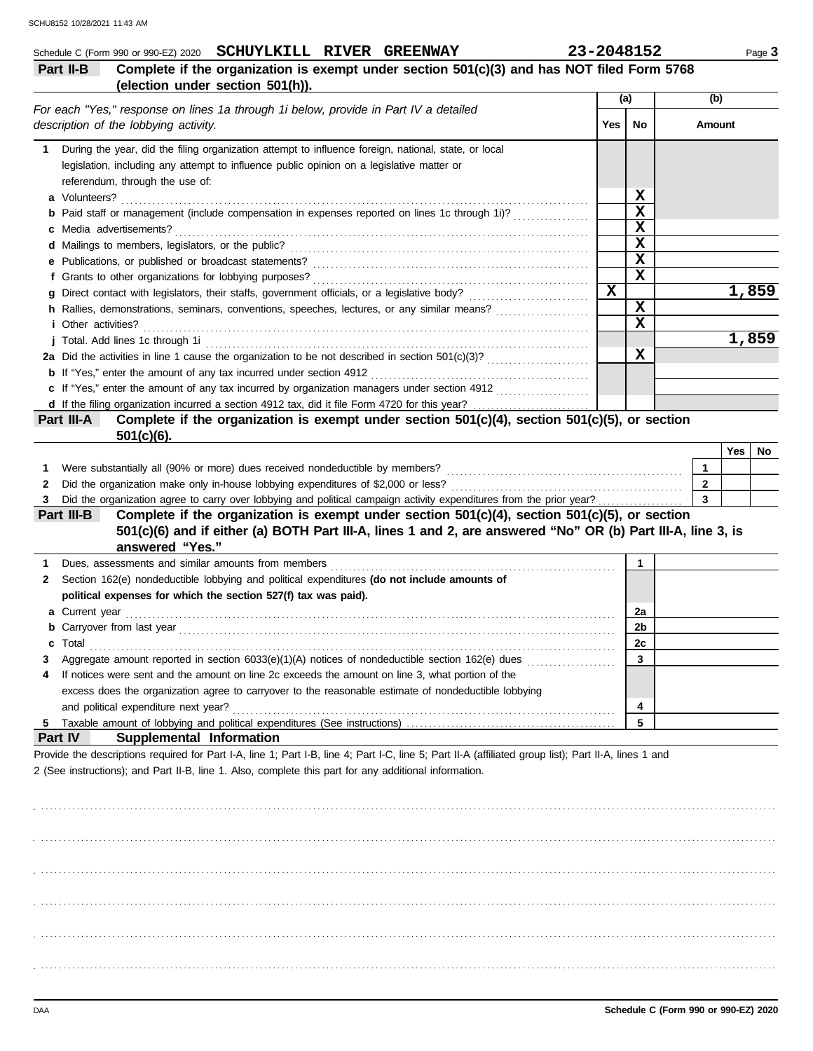|    | Schedule C (Form 990 or 990-EZ) 2020 SCHUYLKILL RIVER GREENWAY<br>Complete if the organization is exempt under section 501(c)(3) and has NOT filed Form 5768<br>Part II-B<br>(election under section 501(h)).                                                  |             | 23-2048152  |                         | Page 3 |
|----|----------------------------------------------------------------------------------------------------------------------------------------------------------------------------------------------------------------------------------------------------------------|-------------|-------------|-------------------------|--------|
|    |                                                                                                                                                                                                                                                                |             | (a)         | (b)                     |        |
|    | For each "Yes," response on lines 1a through 1i below, provide in Part IV a detailed<br>description of the lobbying activity.                                                                                                                                  | Yes         | No          | Amount                  |        |
|    | 1 During the year, did the filing organization attempt to influence foreign, national, state, or local                                                                                                                                                         |             |             |                         |        |
|    | legislation, including any attempt to influence public opinion on a legislative matter or<br>referendum, through the use of:                                                                                                                                   |             |             |                         |        |
|    | a Volunteers?                                                                                                                                                                                                                                                  |             | X           |                         |        |
|    | <b>b</b> Paid staff or management (include compensation in expenses reported on lines 1c through 1i)?                                                                                                                                                          |             | X           |                         |        |
|    | Media advertisements?                                                                                                                                                                                                                                          |             | X<br>X      |                         |        |
|    | e Publications, or published or broadcast statements?                                                                                                                                                                                                          |             | X           |                         |        |
|    | f Grants to other organizations for lobbying purposes?                                                                                                                                                                                                         |             | $\mathbf x$ |                         |        |
|    |                                                                                                                                                                                                                                                                | $\mathbf x$ |             |                         | 1,859  |
|    | h Rallies, demonstrations, seminars, conventions, speeches, lectures, or any similar means?                                                                                                                                                                    |             | $\mathbf x$ |                         |        |
|    | <i>i</i> Other activities?                                                                                                                                                                                                                                     |             | X           |                         |        |
|    | j Total. Add lines 1c through 1i entertainment contracts and the form of the contract of the contract of the contract of the contract of the contract of the contract of the contract of the contract of the contract of the c                                 |             |             |                         | 1,859  |
|    |                                                                                                                                                                                                                                                                |             | X           |                         |        |
|    | <b>b</b> If "Yes," enter the amount of any tax incurred under section 4912                                                                                                                                                                                     |             |             |                         |        |
|    | c If "Yes," enter the amount of any tax incurred by organization managers under section 4912                                                                                                                                                                   |             |             |                         |        |
|    | Complete if the organization is exempt under section 501(c)(4), section 501(c)(5), or section<br>Part III-A<br>$501(c)(6)$ .                                                                                                                                   |             |             |                         |        |
|    |                                                                                                                                                                                                                                                                |             |             | Yes                     | No     |
| 1. | Were substantially all (90% or more) dues received nondeductible by members?                                                                                                                                                                                   |             |             | 1                       |        |
| 2  | Did the organization make only in-house lobbying expenditures of \$2,000 or less?                                                                                                                                                                              |             |             | $\mathbf{2}$            |        |
| 3  | Did the organization agree to carry over lobbying and political campaign activity expenditures from the prior year?                                                                                                                                            |             |             | $\overline{\mathbf{3}}$ |        |
|    | Complete if the organization is exempt under section 501(c)(4), section 501(c)(5), or section<br>Part III-B<br>501(c)(6) and if either (a) BOTH Part III-A, lines 1 and 2, are answered "No" OR (b) Part III-A, line 3, is<br>answered "Yes."                  |             |             |                         |        |
| 1  | Dues, assessments and similar amounts from members                                                                                                                                                                                                             |             | 1           |                         |        |
| 2  | Section 162(e) nondeductible lobbying and political expenditures (do not include amounts of                                                                                                                                                                    |             |             |                         |        |
|    | political expenses for which the section 527(f) tax was paid).                                                                                                                                                                                                 |             |             |                         |        |
| a  | Current year                                                                                                                                                                                                                                                   |             | 2a          |                         |        |
|    | <b>b</b> Carryover from last year                                                                                                                                                                                                                              |             | 2b          |                         |        |
| c  | Total                                                                                                                                                                                                                                                          |             | 2c          |                         |        |
| 4  | Aggregate amount reported in section 6033(e)(1)(A) notices of nondeductible section 162(e) dues<br>If notices were sent and the amount on line 2c exceeds the amount on line 3, what portion of the                                                            |             | 3           |                         |        |
|    | excess does the organization agree to carryover to the reasonable estimate of nondeductible lobbying                                                                                                                                                           |             |             |                         |        |
|    | and political expenditure next year?                                                                                                                                                                                                                           |             | 4           |                         |        |
| 5  |                                                                                                                                                                                                                                                                |             | 5           |                         |        |
|    | Part IV<br>Supplemental Information                                                                                                                                                                                                                            |             |             |                         |        |
|    | Provide the descriptions required for Part I-A, line 1; Part I-B, line 4; Part I-C, line 5; Part II-A (affiliated group list); Part II-A, lines 1 and<br>2 (See instructions); and Part II-B, line 1. Also, complete this part for any additional information. |             |             |                         |        |
|    |                                                                                                                                                                                                                                                                |             |             |                         |        |
|    |                                                                                                                                                                                                                                                                |             |             |                         |        |
|    |                                                                                                                                                                                                                                                                |             |             |                         |        |
|    |                                                                                                                                                                                                                                                                |             |             |                         |        |
|    |                                                                                                                                                                                                                                                                |             |             |                         |        |

. . . . . . . . . . . . . . . . . . . . . . . . . . . . . . . . . . . . . . . . . . . . . . . . . . . . . . . . . . . . . . . . . . . . . . . . . . . . . . . . . . . . . . . . . . . . . . . . . . . . . . . . . . . . . . . . . . . . . . . . . . . . . . . . . . . . . . . . . . . . . . . . . . . . . . . . . . . . . . . . . . . . . .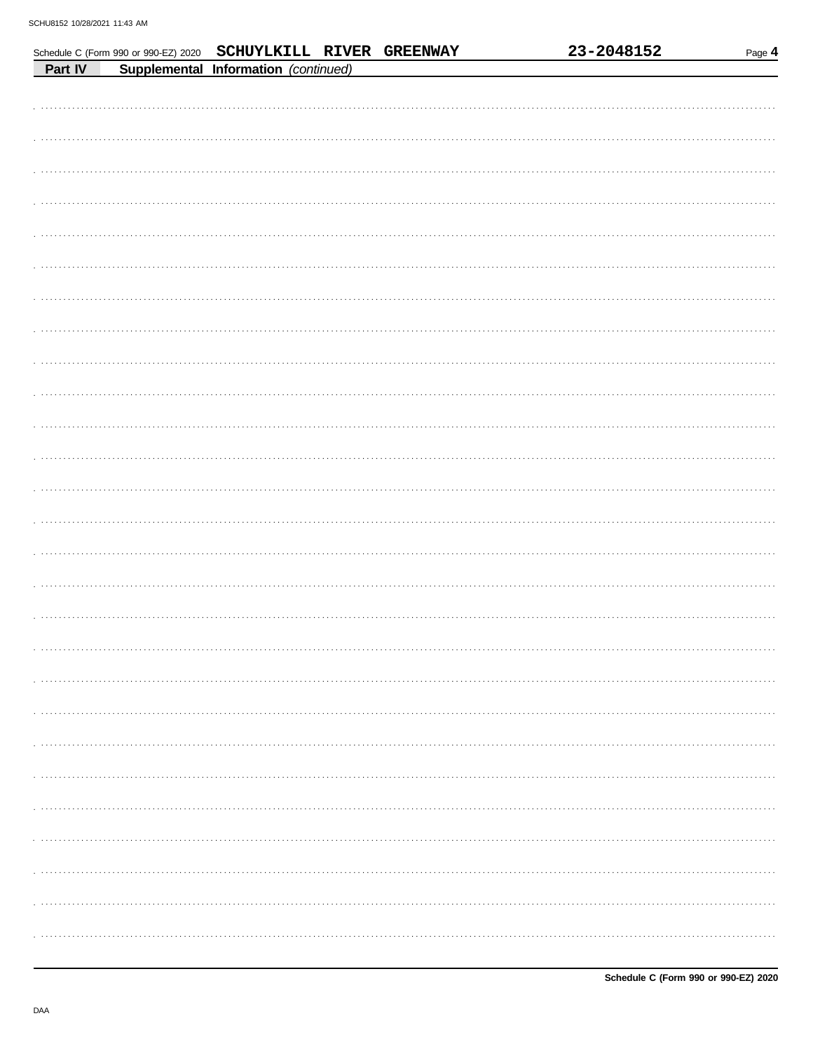|  |                                                                |  | 23-2048152 | Page 4 |
|--|----------------------------------------------------------------|--|------------|--------|
|  | Schedule C (Form 990 or 990-EZ) 2020 SCHUYLKILL RIVER GREENWAY |  |            |        |
|  |                                                                |  |            |        |
|  |                                                                |  |            |        |
|  |                                                                |  |            |        |
|  |                                                                |  |            |        |
|  |                                                                |  |            |        |
|  |                                                                |  |            |        |
|  |                                                                |  |            |        |
|  |                                                                |  |            |        |
|  |                                                                |  |            |        |
|  |                                                                |  |            |        |
|  |                                                                |  |            |        |
|  |                                                                |  |            |        |
|  |                                                                |  |            |        |
|  |                                                                |  |            |        |
|  |                                                                |  |            |        |
|  |                                                                |  |            |        |
|  |                                                                |  |            |        |
|  |                                                                |  |            |        |
|  |                                                                |  |            |        |
|  |                                                                |  |            |        |
|  |                                                                |  |            |        |
|  |                                                                |  |            |        |
|  |                                                                |  |            |        |
|  |                                                                |  |            |        |
|  |                                                                |  |            |        |
|  |                                                                |  |            |        |
|  |                                                                |  |            |        |
|  |                                                                |  |            |        |
|  |                                                                |  |            |        |
|  |                                                                |  |            |        |
|  |                                                                |  |            |        |
|  |                                                                |  |            |        |
|  |                                                                |  |            |        |
|  |                                                                |  |            |        |
|  |                                                                |  |            |        |
|  |                                                                |  |            |        |
|  |                                                                |  |            |        |
|  |                                                                |  |            |        |
|  |                                                                |  |            |        |
|  |                                                                |  |            |        |
|  |                                                                |  |            |        |
|  |                                                                |  |            |        |
|  |                                                                |  |            |        |
|  |                                                                |  |            |        |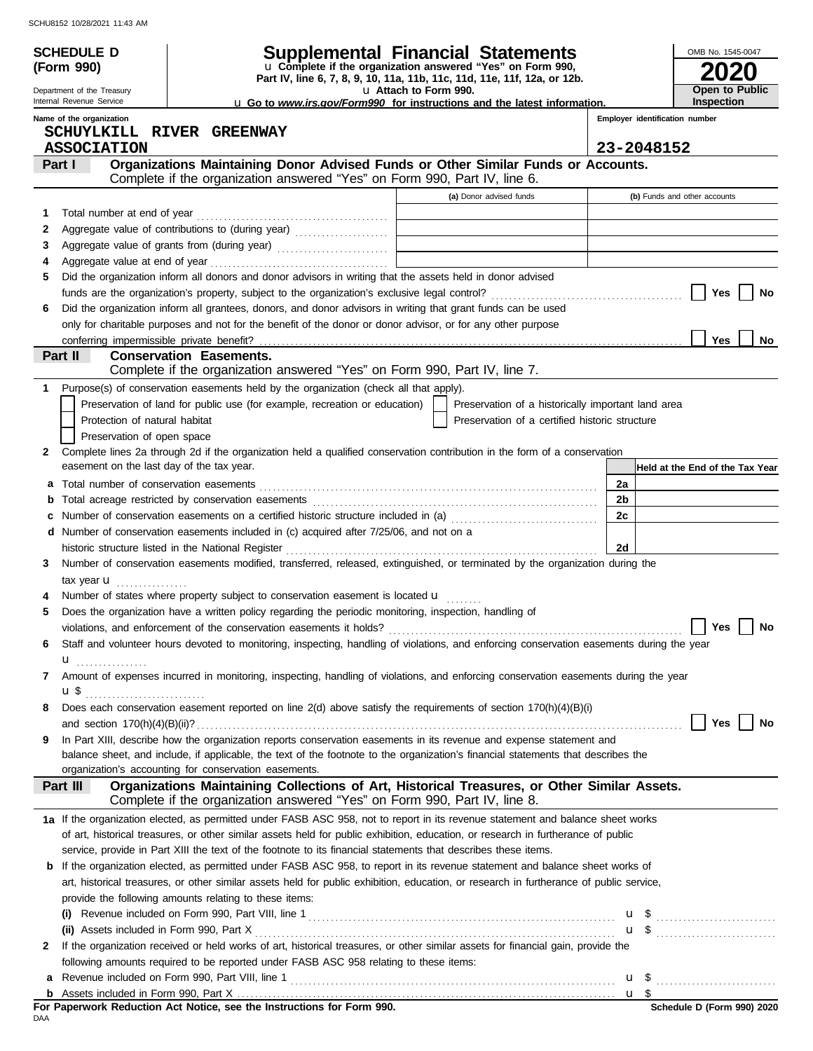|              | SCHU8152 10/28/2021 11:43 AM                                |                                                                                                                                                                                                                  |                                                                                                        |                                |                                 |
|--------------|-------------------------------------------------------------|------------------------------------------------------------------------------------------------------------------------------------------------------------------------------------------------------------------|--------------------------------------------------------------------------------------------------------|--------------------------------|---------------------------------|
|              | <b>SCHEDULE D</b>                                           |                                                                                                                                                                                                                  | <b>Supplemental Financial Statements</b><br>u Complete if the organization answered "Yes" on Form 990, |                                | OMB No. 1545-0047               |
| (Form 990)   |                                                             |                                                                                                                                                                                                                  |                                                                                                        |                                |                                 |
|              | Department of the Treasury                                  |                                                                                                                                                                                                                  | Part IV, line 6, 7, 8, 9, 10, 11a, 11b, 11c, 11d, 11e, 11f, 12a, or 12b.<br>La Attach to Form 990.     |                                | Open to Public                  |
|              | Internal Revenue Service                                    |                                                                                                                                                                                                                  | <b>u</b> Go to <i>www.irs.gov/Form990</i> for instructions and the latest information.                 |                                | Inspection                      |
|              | Name of the organization                                    | SCHUYLKILL RIVER GREENWAY                                                                                                                                                                                        |                                                                                                        | Employer identification number |                                 |
|              | <b>ASSOCIATION</b>                                          |                                                                                                                                                                                                                  |                                                                                                        | 23-2048152                     |                                 |
|              | Part I                                                      | Organizations Maintaining Donor Advised Funds or Other Similar Funds or Accounts.                                                                                                                                |                                                                                                        |                                |                                 |
|              |                                                             | Complete if the organization answered "Yes" on Form 990, Part IV, line 6.                                                                                                                                        |                                                                                                        |                                |                                 |
|              |                                                             |                                                                                                                                                                                                                  | (a) Donor advised funds                                                                                |                                | (b) Funds and other accounts    |
| 1            |                                                             |                                                                                                                                                                                                                  |                                                                                                        |                                |                                 |
| $\mathbf{2}$ |                                                             |                                                                                                                                                                                                                  |                                                                                                        |                                |                                 |
| 3            |                                                             |                                                                                                                                                                                                                  |                                                                                                        |                                |                                 |
| 4<br>5       |                                                             | Did the organization inform all donors and donor advisors in writing that the assets held in donor advised                                                                                                       |                                                                                                        |                                |                                 |
|              |                                                             | funds are the organization's property, subject to the organization's exclusive legal control?<br>[                                                                                                               |                                                                                                        |                                | Yes<br>No                       |
| 6            |                                                             | Did the organization inform all grantees, donors, and donor advisors in writing that grant funds can be used                                                                                                     |                                                                                                        |                                |                                 |
|              |                                                             | only for charitable purposes and not for the benefit of the donor or donor advisor, or for any other purpose                                                                                                     |                                                                                                        |                                |                                 |
|              |                                                             |                                                                                                                                                                                                                  |                                                                                                        |                                | Yes<br>No                       |
|              | Part II                                                     | <b>Conservation Easements.</b>                                                                                                                                                                                   |                                                                                                        |                                |                                 |
|              |                                                             | Complete if the organization answered "Yes" on Form 990, Part IV, line 7.                                                                                                                                        |                                                                                                        |                                |                                 |
| 1            |                                                             | Purpose(s) of conservation easements held by the organization (check all that apply).                                                                                                                            |                                                                                                        |                                |                                 |
|              |                                                             | Preservation of land for public use (for example, recreation or education)                                                                                                                                       | Preservation of a historically important land area                                                     |                                |                                 |
|              | Protection of natural habitat<br>Preservation of open space |                                                                                                                                                                                                                  | Preservation of a certified historic structure                                                         |                                |                                 |
| $\mathbf{2}$ |                                                             | Complete lines 2a through 2d if the organization held a qualified conservation contribution in the form of a conservation                                                                                        |                                                                                                        |                                |                                 |
|              | easement on the last day of the tax year.                   |                                                                                                                                                                                                                  |                                                                                                        |                                | Held at the End of the Tax Year |
| а            |                                                             |                                                                                                                                                                                                                  |                                                                                                        | 2a                             |                                 |
| b            |                                                             | Total acreage restricted by conservation easements [111] [12] conservation casements [11] [12] acreage restricted by conservation easements [11] [12] acreage restricted by conservation easements [11] $\alpha$ |                                                                                                        | 2b                             |                                 |
|              |                                                             | Number of conservation easements on a certified historic structure included in (a) [11] Number of conservation                                                                                                   |                                                                                                        | 2c                             |                                 |
|              |                                                             | d Number of conservation easements included in (c) acquired after 7/25/06, and not on a                                                                                                                          |                                                                                                        |                                |                                 |
|              |                                                             | historic structure listed in the National Register                                                                                                                                                               |                                                                                                        | 2d                             |                                 |
| 3            |                                                             | Number of conservation easements modified, transferred, released, extinguished, or terminated by the organization during the                                                                                     |                                                                                                        |                                |                                 |
|              | tax year <b>u</b>                                           | Number of states where property subject to conservation easement is located <b>u</b>                                                                                                                             |                                                                                                        |                                |                                 |
|              |                                                             | Does the organization have a written policy regarding the periodic monitoring, inspection, handling of                                                                                                           |                                                                                                        |                                |                                 |
|              |                                                             |                                                                                                                                                                                                                  |                                                                                                        |                                | Yes<br>No                       |
| 6            |                                                             | Staff and volunteer hours devoted to monitoring, inspecting, handling of violations, and enforcing conservation easements during the year                                                                        |                                                                                                        |                                |                                 |
|              | u <sub></sub>                                               |                                                                                                                                                                                                                  |                                                                                                        |                                |                                 |
| 7            |                                                             | Amount of expenses incurred in monitoring, inspecting, handling of violations, and enforcing conservation easements during the year                                                                              |                                                                                                        |                                |                                 |
|              |                                                             |                                                                                                                                                                                                                  |                                                                                                        |                                |                                 |
| 8            |                                                             | Does each conservation easement reported on line 2(d) above satisfy the requirements of section 170(h)(4)(B)(i)                                                                                                  |                                                                                                        |                                |                                 |
|              |                                                             | In Part XIII, describe how the organization reports conservation easements in its revenue and expense statement and                                                                                              |                                                                                                        |                                | Yes<br>No                       |
| 9            |                                                             | balance sheet, and include, if applicable, the text of the footnote to the organization's financial statements that describes the                                                                                |                                                                                                        |                                |                                 |
|              |                                                             | organization's accounting for conservation easements.                                                                                                                                                            |                                                                                                        |                                |                                 |
|              | Part III                                                    | Organizations Maintaining Collections of Art, Historical Treasures, or Other Similar Assets.                                                                                                                     |                                                                                                        |                                |                                 |
|              |                                                             | Complete if the organization answered "Yes" on Form 990, Part IV, line 8.                                                                                                                                        |                                                                                                        |                                |                                 |
|              |                                                             | 1a If the organization elected, as permitted under FASB ASC 958, not to report in its revenue statement and balance sheet works                                                                                  |                                                                                                        |                                |                                 |
|              |                                                             | of art, historical treasures, or other similar assets held for public exhibition, education, or research in furtherance of public                                                                                |                                                                                                        |                                |                                 |
|              |                                                             | service, provide in Part XIII the text of the footnote to its financial statements that describes these items.                                                                                                   |                                                                                                        |                                |                                 |
| b            |                                                             | If the organization elected, as permitted under FASB ASC 958, to report in its revenue statement and balance sheet works of                                                                                      |                                                                                                        |                                |                                 |
|              |                                                             | art, historical treasures, or other similar assets held for public exhibition, education, or research in furtherance of public service,                                                                          |                                                                                                        |                                |                                 |
|              |                                                             | provide the following amounts relating to these items:                                                                                                                                                           |                                                                                                        |                                |                                 |
|              |                                                             |                                                                                                                                                                                                                  |                                                                                                        |                                |                                 |
| 2            |                                                             | If the organization received or held works of art, historical treasures, or other similar assets for financial gain, provide the                                                                                 |                                                                                                        |                                |                                 |
|              |                                                             | following amounts required to be reported under FASB ASC 958 relating to these items:                                                                                                                            |                                                                                                        |                                |                                 |
| а            |                                                             |                                                                                                                                                                                                                  |                                                                                                        |                                |                                 |
|              |                                                             |                                                                                                                                                                                                                  |                                                                                                        |                                |                                 |

**For Paperwork Reduction Act Notice, see the Instructions for Form 990.**<br><sub>DAA</sub>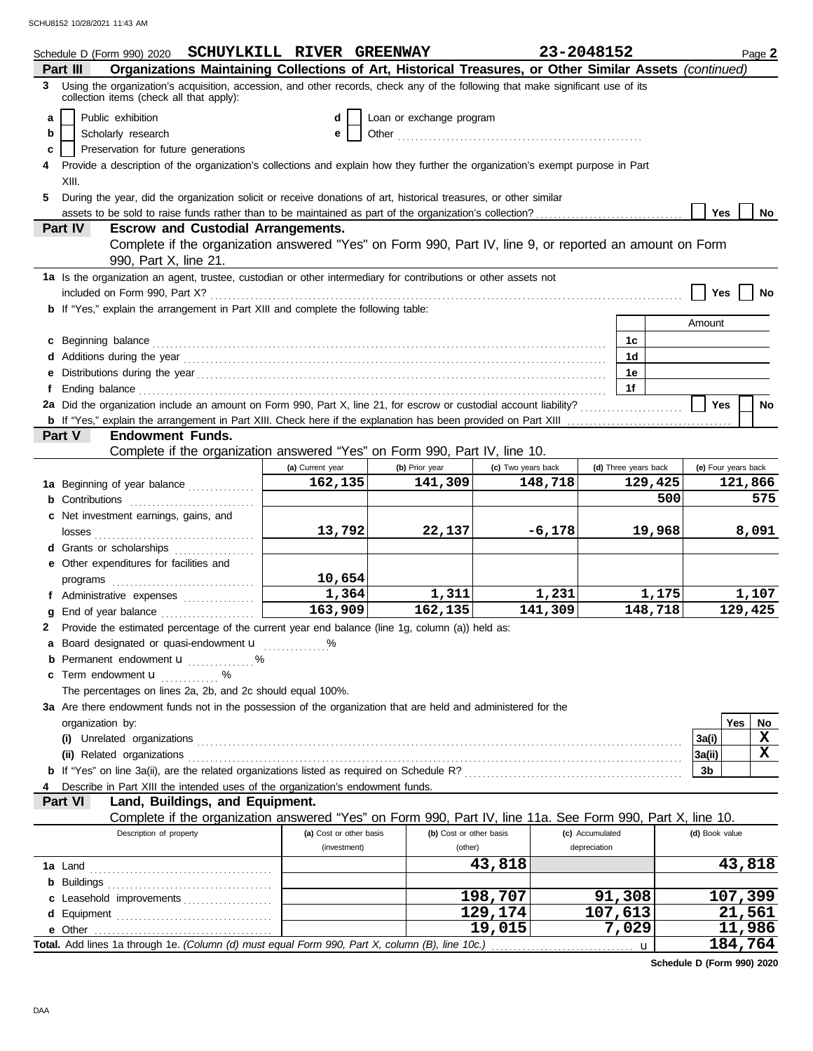|    | Schedule D (Form 990) 2020 SCHUYLKILL RIVER GREENWAY                                                                                                                                                                                                                                                                                                      |                         |                          |                    | 23-2048152      |                      |         |                     |         | Page 2 |
|----|-----------------------------------------------------------------------------------------------------------------------------------------------------------------------------------------------------------------------------------------------------------------------------------------------------------------------------------------------------------|-------------------------|--------------------------|--------------------|-----------------|----------------------|---------|---------------------|---------|--------|
| 3  | Organizations Maintaining Collections of Art, Historical Treasures, or Other Similar Assets (continued)<br>Part III<br>Using the organization's acquisition, accession, and other records, check any of the following that make significant use of its                                                                                                    |                         |                          |                    |                 |                      |         |                     |         |        |
|    | collection items (check all that apply):                                                                                                                                                                                                                                                                                                                  |                         |                          |                    |                 |                      |         |                     |         |        |
| a  | Public exhibition                                                                                                                                                                                                                                                                                                                                         | d                       | Loan or exchange program |                    |                 |                      |         |                     |         |        |
| b  | Scholarly research                                                                                                                                                                                                                                                                                                                                        | е                       |                          |                    |                 |                      |         |                     |         |        |
| c  | Preservation for future generations                                                                                                                                                                                                                                                                                                                       |                         |                          |                    |                 |                      |         |                     |         |        |
|    | Provide a description of the organization's collections and explain how they further the organization's exempt purpose in Part                                                                                                                                                                                                                            |                         |                          |                    |                 |                      |         |                     |         |        |
|    | XIII.                                                                                                                                                                                                                                                                                                                                                     |                         |                          |                    |                 |                      |         |                     |         |        |
| 5. | During the year, did the organization solicit or receive donations of art, historical treasures, or other similar                                                                                                                                                                                                                                         |                         |                          |                    |                 |                      |         | <b>Yes</b>          |         | No     |
|    | <b>Escrow and Custodial Arrangements.</b><br>Part IV                                                                                                                                                                                                                                                                                                      |                         |                          |                    |                 |                      |         |                     |         |        |
|    | Complete if the organization answered "Yes" on Form 990, Part IV, line 9, or reported an amount on Form                                                                                                                                                                                                                                                   |                         |                          |                    |                 |                      |         |                     |         |        |
|    | 990, Part X, line 21.                                                                                                                                                                                                                                                                                                                                     |                         |                          |                    |                 |                      |         |                     |         |        |
|    | 1a Is the organization an agent, trustee, custodian or other intermediary for contributions or other assets not                                                                                                                                                                                                                                           |                         |                          |                    |                 |                      |         |                     |         |        |
|    |                                                                                                                                                                                                                                                                                                                                                           |                         |                          |                    |                 |                      |         | Yes                 |         | No     |
|    | <b>b</b> If "Yes," explain the arrangement in Part XIII and complete the following table:                                                                                                                                                                                                                                                                 |                         |                          |                    |                 |                      |         |                     |         |        |
|    |                                                                                                                                                                                                                                                                                                                                                           |                         |                          |                    |                 |                      |         | Amount              |         |        |
|    | c Beginning balance <b>contract to the contract of the set of the contract of the contract of the contract of the contract of the contract of the contract of the contract of the contract of the contract of the contract of th</b>                                                                                                                      |                         |                          |                    |                 | 1c                   |         |                     |         |        |
|    |                                                                                                                                                                                                                                                                                                                                                           |                         |                          |                    |                 | 1d                   |         |                     |         |        |
| е  |                                                                                                                                                                                                                                                                                                                                                           |                         |                          |                    |                 | 1е                   |         |                     |         |        |
| f  | Ending balance <i>communication</i> and the contract of the contract of the contract of the contract of the contract of the contract of the contract of the contract of the contract of the contract of the contract of the contrac<br>2a Did the organization include an amount on Form 990, Part X, line 21, for escrow or custodial account liability? |                         |                          |                    |                 | 1f                   |         | Yes                 |         |        |
|    |                                                                                                                                                                                                                                                                                                                                                           |                         |                          |                    |                 |                      |         |                     |         | No     |
|    | Part V<br><b>Endowment Funds.</b>                                                                                                                                                                                                                                                                                                                         |                         |                          |                    |                 |                      |         |                     |         |        |
|    | Complete if the organization answered "Yes" on Form 990, Part IV, line 10.                                                                                                                                                                                                                                                                                |                         |                          |                    |                 |                      |         |                     |         |        |
|    |                                                                                                                                                                                                                                                                                                                                                           | (a) Current year        | (b) Prior year           | (c) Two years back |                 | (d) Three years back |         | (e) Four years back |         |        |
|    | 1a Beginning of year balance                                                                                                                                                                                                                                                                                                                              | 162,135                 | 141,309                  |                    | 148,718         |                      | 129,425 |                     | 121,866 |        |
|    | <b>b</b> Contributions <b>contributions</b>                                                                                                                                                                                                                                                                                                               |                         |                          |                    |                 |                      | 500     |                     |         | 575    |
|    | c Net investment earnings, gains, and                                                                                                                                                                                                                                                                                                                     |                         |                          |                    |                 |                      |         |                     |         |        |
|    |                                                                                                                                                                                                                                                                                                                                                           | 13,792                  | 22,137                   |                    | $-6,178$        |                      | 19,968  |                     |         | 8,091  |
|    | d Grants or scholarships                                                                                                                                                                                                                                                                                                                                  |                         |                          |                    |                 |                      |         |                     |         |        |
|    | e Other expenditures for facilities and                                                                                                                                                                                                                                                                                                                   |                         |                          |                    |                 |                      |         |                     |         |        |
|    |                                                                                                                                                                                                                                                                                                                                                           | 10,654<br>1,364         | 1,311                    |                    | 1,231           |                      | 1,175   |                     |         | 1,107  |
| g  | f Administrative expenses<br>End of year balance                                                                                                                                                                                                                                                                                                          | 163,909                 | 162, 135                 |                    | 141,309         |                      | 148,718 |                     | 129,425 |        |
| 2  | Provide the estimated percentage of the current year end balance (line 1g, column (a)) held as:                                                                                                                                                                                                                                                           |                         |                          |                    |                 |                      |         |                     |         |        |
|    | a Board designated or quasi-endowment u                                                                                                                                                                                                                                                                                                                   |                         |                          |                    |                 |                      |         |                     |         |        |
|    | <b>b</b> Permanent endowment $\mathbf{u}$ %                                                                                                                                                                                                                                                                                                               |                         |                          |                    |                 |                      |         |                     |         |        |
|    | c Term endowment <b>u</b>                                                                                                                                                                                                                                                                                                                                 |                         |                          |                    |                 |                      |         |                     |         |        |
|    | The percentages on lines 2a, 2b, and 2c should equal 100%.                                                                                                                                                                                                                                                                                                |                         |                          |                    |                 |                      |         |                     |         |        |
|    | 3a Are there endowment funds not in the possession of the organization that are held and administered for the                                                                                                                                                                                                                                             |                         |                          |                    |                 |                      |         |                     |         |        |
|    | organization by:                                                                                                                                                                                                                                                                                                                                          |                         |                          |                    |                 |                      |         |                     | Yes     | No     |
|    |                                                                                                                                                                                                                                                                                                                                                           |                         |                          |                    |                 |                      |         | 3a(i)               |         | X      |
|    |                                                                                                                                                                                                                                                                                                                                                           |                         |                          |                    |                 |                      |         | 3a(ii)              |         | X      |
|    |                                                                                                                                                                                                                                                                                                                                                           |                         |                          |                    |                 |                      |         | 3b                  |         |        |
|    | Describe in Part XIII the intended uses of the organization's endowment funds.<br>Part VI<br>Land, Buildings, and Equipment.                                                                                                                                                                                                                              |                         |                          |                    |                 |                      |         |                     |         |        |
|    | Complete if the organization answered "Yes" on Form 990, Part IV, line 11a. See Form 990, Part X, line 10.                                                                                                                                                                                                                                                |                         |                          |                    |                 |                      |         |                     |         |        |
|    | Description of property                                                                                                                                                                                                                                                                                                                                   | (a) Cost or other basis | (b) Cost or other basis  |                    | (c) Accumulated |                      |         | (d) Book value      |         |        |
|    |                                                                                                                                                                                                                                                                                                                                                           | (investment)            | (other)                  |                    | depreciation    |                      |         |                     |         |        |
|    |                                                                                                                                                                                                                                                                                                                                                           |                         |                          | 43,818             |                 |                      |         |                     |         | 43,818 |
|    |                                                                                                                                                                                                                                                                                                                                                           |                         |                          |                    |                 |                      |         |                     |         |        |
|    | c Leasehold improvements                                                                                                                                                                                                                                                                                                                                  |                         |                          | 198,707            |                 | 91,308               |         |                     | 107,399 |        |
|    |                                                                                                                                                                                                                                                                                                                                                           |                         |                          | 129,174            |                 | 107,613              |         |                     | 21,561  |        |
|    |                                                                                                                                                                                                                                                                                                                                                           |                         |                          | 19,015             |                 | 7,029                |         |                     | 11,986  |        |
|    | Total. Add lines 1a through 1e. (Column (d) must equal Form 990, Part X, column (B), line 10c.)                                                                                                                                                                                                                                                           |                         |                          |                    |                 | u                    |         |                     | 184,764 |        |

**Schedule D (Form 990) 2020**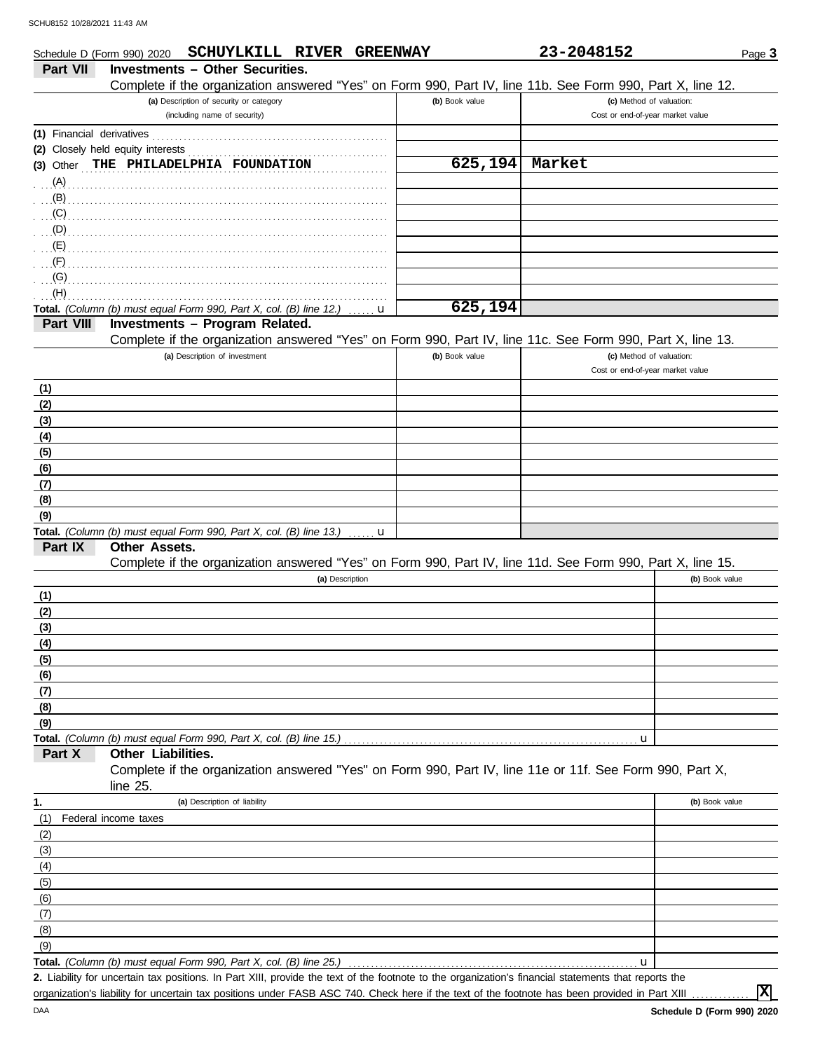|                           | Schedule D (Form 990) 2020        | SCHUYLKILL RIVER GREENWAY                                          |                 |   |                                                                                                                                                     | 23-2048152 | Page 3                           |
|---------------------------|-----------------------------------|--------------------------------------------------------------------|-----------------|---|-----------------------------------------------------------------------------------------------------------------------------------------------------|------------|----------------------------------|
| Part VII                  |                                   | <b>Investments - Other Securities.</b>                             |                 |   |                                                                                                                                                     |            |                                  |
|                           |                                   |                                                                    |                 |   | Complete if the organization answered "Yes" on Form 990, Part IV, line 11b. See Form 990, Part X, line 12.                                          |            |                                  |
|                           |                                   | (a) Description of security or category                            |                 |   | (b) Book value                                                                                                                                      |            | (c) Method of valuation:         |
|                           |                                   | (including name of security)                                       |                 |   |                                                                                                                                                     |            | Cost or end-of-year market value |
| (1) Financial derivatives |                                   |                                                                    |                 |   |                                                                                                                                                     |            |                                  |
|                           | (2) Closely held equity interests |                                                                    |                 |   |                                                                                                                                                     |            |                                  |
| $(3)$ Other               |                                   | THE PHILADELPHIA FOUNDATION                                        |                 |   | 625, 194                                                                                                                                            | Market     |                                  |
| (A)                       |                                   |                                                                    |                 |   |                                                                                                                                                     |            |                                  |
| (B)                       |                                   |                                                                    |                 |   |                                                                                                                                                     |            |                                  |
| (C)                       |                                   |                                                                    |                 |   |                                                                                                                                                     |            |                                  |
| (D)                       |                                   |                                                                    |                 |   |                                                                                                                                                     |            |                                  |
| (E)<br>(F)                |                                   |                                                                    |                 |   |                                                                                                                                                     |            |                                  |
| (G)                       |                                   |                                                                    |                 |   |                                                                                                                                                     |            |                                  |
| (H)                       |                                   |                                                                    |                 |   |                                                                                                                                                     |            |                                  |
|                           |                                   | Total. (Column (b) must equal Form 990, Part X, col. (B) line 12.) |                 | u | 625,194                                                                                                                                             |            |                                  |
| Part VIII                 |                                   | Investments - Program Related.                                     |                 |   |                                                                                                                                                     |            |                                  |
|                           |                                   |                                                                    |                 |   | Complete if the organization answered "Yes" on Form 990, Part IV, line 11c. See Form 990, Part X, line 13.                                          |            |                                  |
|                           |                                   | (a) Description of investment                                      |                 |   | (b) Book value                                                                                                                                      |            | (c) Method of valuation:         |
|                           |                                   |                                                                    |                 |   |                                                                                                                                                     |            | Cost or end-of-year market value |
| (1)                       |                                   |                                                                    |                 |   |                                                                                                                                                     |            |                                  |
| (2)                       |                                   |                                                                    |                 |   |                                                                                                                                                     |            |                                  |
| (3)                       |                                   |                                                                    |                 |   |                                                                                                                                                     |            |                                  |
| (4)                       |                                   |                                                                    |                 |   |                                                                                                                                                     |            |                                  |
| (5)                       |                                   |                                                                    |                 |   |                                                                                                                                                     |            |                                  |
| (6)                       |                                   |                                                                    |                 |   |                                                                                                                                                     |            |                                  |
| (7)                       |                                   |                                                                    |                 |   |                                                                                                                                                     |            |                                  |
| (8)                       |                                   |                                                                    |                 |   |                                                                                                                                                     |            |                                  |
| (9)                       |                                   |                                                                    |                 |   |                                                                                                                                                     |            |                                  |
| Part IX                   | <b>Other Assets.</b>              | Total. (Column (b) must equal Form 990, Part X, col. (B) line 13.) |                 | u |                                                                                                                                                     |            |                                  |
|                           |                                   |                                                                    |                 |   | Complete if the organization answered "Yes" on Form 990, Part IV, line 11d. See Form 990, Part X, line 15.                                          |            |                                  |
|                           |                                   |                                                                    | (a) Description |   |                                                                                                                                                     |            | (b) Book value                   |
| (1)                       |                                   |                                                                    |                 |   |                                                                                                                                                     |            |                                  |
| (2)                       |                                   |                                                                    |                 |   |                                                                                                                                                     |            |                                  |
| (3)                       |                                   |                                                                    |                 |   |                                                                                                                                                     |            |                                  |
| (4)                       |                                   |                                                                    |                 |   |                                                                                                                                                     |            |                                  |
| (5)                       |                                   |                                                                    |                 |   |                                                                                                                                                     |            |                                  |
| (6)                       |                                   |                                                                    |                 |   |                                                                                                                                                     |            |                                  |
| (7)                       |                                   |                                                                    |                 |   |                                                                                                                                                     |            |                                  |
| (8)                       |                                   |                                                                    |                 |   |                                                                                                                                                     |            |                                  |
| (9)                       |                                   |                                                                    |                 |   |                                                                                                                                                     |            |                                  |
|                           |                                   | Total. (Column (b) must equal Form 990, Part X, col. (B) line 15.) |                 |   |                                                                                                                                                     |            | u                                |
| Part X                    | Other Liabilities.                |                                                                    |                 |   |                                                                                                                                                     |            |                                  |
|                           |                                   |                                                                    |                 |   | Complete if the organization answered "Yes" on Form 990, Part IV, line 11e or 11f. See Form 990, Part X,                                            |            |                                  |
|                           | line $25$ .                       |                                                                    |                 |   |                                                                                                                                                     |            |                                  |
| 1.                        |                                   | (a) Description of liability                                       |                 |   |                                                                                                                                                     |            | (b) Book value                   |
| (1)                       | Federal income taxes              |                                                                    |                 |   |                                                                                                                                                     |            |                                  |
| (2)                       |                                   |                                                                    |                 |   |                                                                                                                                                     |            |                                  |
| (3)<br>(4)                |                                   |                                                                    |                 |   |                                                                                                                                                     |            |                                  |
| (5)                       |                                   |                                                                    |                 |   |                                                                                                                                                     |            |                                  |
| (6)                       |                                   |                                                                    |                 |   |                                                                                                                                                     |            |                                  |
| (7)                       |                                   |                                                                    |                 |   |                                                                                                                                                     |            |                                  |
| (8)                       |                                   |                                                                    |                 |   |                                                                                                                                                     |            |                                  |
| (9)                       |                                   |                                                                    |                 |   |                                                                                                                                                     |            |                                  |
|                           |                                   | Total. (Column (b) must equal Form 990, Part X, col. (B) line 25.) |                 |   |                                                                                                                                                     |            | u                                |
|                           |                                   |                                                                    |                 |   | 2. Liability for uncertain tax positions, In Part XIII provide the text of the footpote to the organization's financial statements that reports the |            |                                  |

bility for uncertain tax positions. In Part XIII, provide the text of the footnote to the organization's financial statements that reports the organization's liability for uncertain tax positions under FASB ASC 740. Check here if the text of the footnote has been provided in Part XIII **2.**

**X**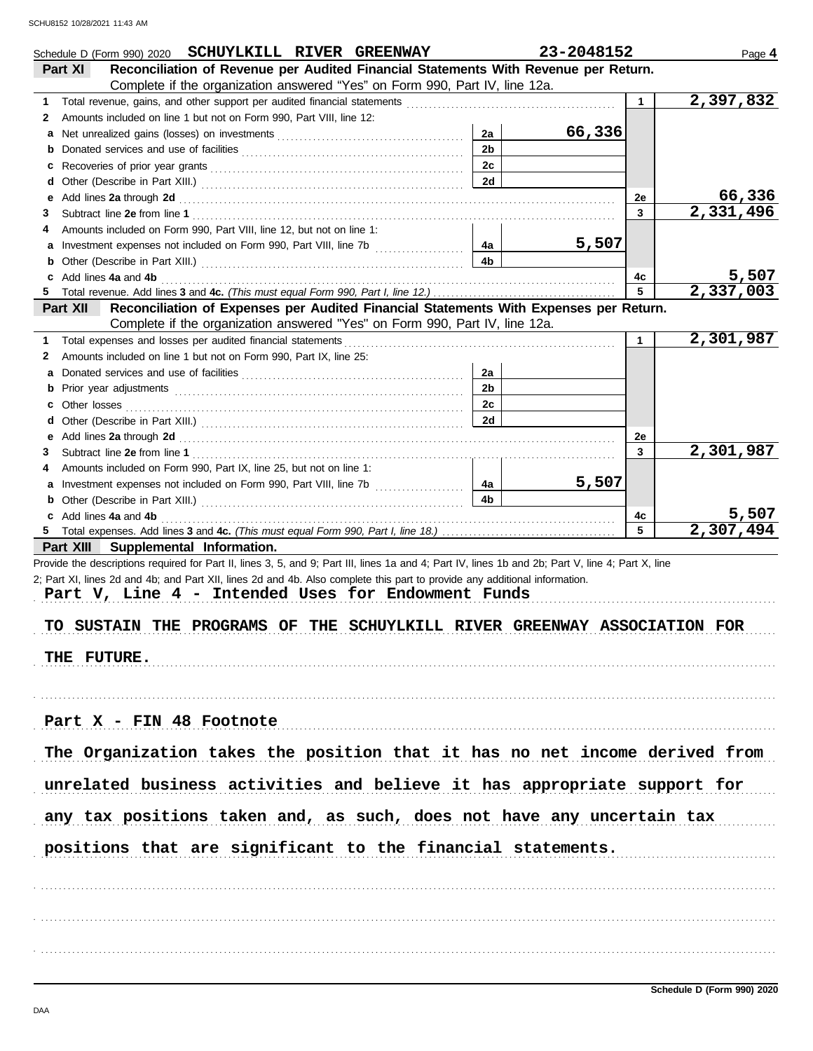|   | Schedule D (Form 990) 2020 SCHUYLKILL RIVER GREENWAY                                                                                                                                                                                                                        |                      | 23-2048152 |              | Page 4                 |
|---|-----------------------------------------------------------------------------------------------------------------------------------------------------------------------------------------------------------------------------------------------------------------------------|----------------------|------------|--------------|------------------------|
|   | Reconciliation of Revenue per Audited Financial Statements With Revenue per Return.<br>Part XI                                                                                                                                                                              |                      |            |              |                        |
|   | Complete if the organization answered "Yes" on Form 990, Part IV, line 12a.                                                                                                                                                                                                 |                      |            |              |                        |
| 1 |                                                                                                                                                                                                                                                                             |                      |            | $\mathbf{1}$ | 2,397,832              |
| 2 | Amounts included on line 1 but not on Form 990, Part VIII, line 12:                                                                                                                                                                                                         |                      |            |              |                        |
| а |                                                                                                                                                                                                                                                                             | 2a                   | 66,336     |              |                        |
| b |                                                                                                                                                                                                                                                                             | 2 <sub>b</sub>       |            |              |                        |
| c |                                                                                                                                                                                                                                                                             | 2c                   |            |              |                        |
| d |                                                                                                                                                                                                                                                                             | 2d                   |            |              |                        |
| е | Add lines 2a through 2d [11] Add [12] Add [12] Add lines 2a through 2d [12] Add lines 2a through 2d [12] Add [12] Add [12] Add [12] Add [12] Addd [12] Add [12] Add [12] Add [12] Add [12] Add [12] Add [12] Add [12] Add [12]                                              |                      |            | 2е           | 66,336                 |
| З |                                                                                                                                                                                                                                                                             |                      |            | 3            | $\overline{2,331,496}$ |
| 4 | Amounts included on Form 990, Part VIII, line 12, but not on line 1:                                                                                                                                                                                                        |                      |            |              |                        |
|   | Investment expenses not included on Form 990, Part VIII, line 7b [                                                                                                                                                                                                          | 4a                   | 5,507      |              |                        |
| b |                                                                                                                                                                                                                                                                             | 4b                   |            |              |                        |
|   | Add lines 4a and 4b                                                                                                                                                                                                                                                         |                      |            | 4c           | 5,507                  |
|   |                                                                                                                                                                                                                                                                             |                      |            | 5            | 2,337,003              |
|   | Reconciliation of Expenses per Audited Financial Statements With Expenses per Return.<br>Part XII                                                                                                                                                                           |                      |            |              |                        |
|   | Complete if the organization answered "Yes" on Form 990, Part IV, line 12a.                                                                                                                                                                                                 |                      |            |              |                        |
| 1 | Total expenses and losses per audited financial statements                                                                                                                                                                                                                  |                      |            | $\mathbf{1}$ | 2,301,987              |
| 2 | Amounts included on line 1 but not on Form 990, Part IX, line 25:                                                                                                                                                                                                           |                      |            |              |                        |
| а |                                                                                                                                                                                                                                                                             | 2a                   |            |              |                        |
| b |                                                                                                                                                                                                                                                                             | 2 <sub>b</sub>       |            |              |                        |
|   |                                                                                                                                                                                                                                                                             | 2c                   |            |              |                        |
| d |                                                                                                                                                                                                                                                                             | 2d                   |            |              |                        |
|   |                                                                                                                                                                                                                                                                             |                      |            |              |                        |
| е | Add lines 2a through 2d [11] Martin Martin Martin Martin Martin Martin Martin Martin Martin Martin Martin Martin Martin Martin Martin Martin Martin Martin Martin Martin Martin Martin Martin Martin Martin Martin Martin Mart                                              |                      |            | 2e<br>3      | 2,301,987              |
| З |                                                                                                                                                                                                                                                                             |                      |            |              |                        |
| 4 | Amounts included on Form 990, Part IX, line 25, but not on line 1:                                                                                                                                                                                                          |                      | 5,507      |              |                        |
|   | Investment expenses not included on Form 990, Part VIII, line 7b [                                                                                                                                                                                                          | 4a<br>4 <sub>b</sub> |            |              |                        |
| b |                                                                                                                                                                                                                                                                             |                      |            |              |                        |
|   | c Add lines 4a and 4b                                                                                                                                                                                                                                                       |                      |            | 4с<br>5      | 5,507<br>2,307,494     |
| 5 |                                                                                                                                                                                                                                                                             |                      |            |              |                        |
|   | Part XIII Supplemental Information.<br>Provide the descriptions required for Part II, lines 3, 5, and 9; Part III, lines 1a and 4; Part IV, lines 1b and 2b; Part V, line 4; Part X, line                                                                                   |                      |            |              |                        |
|   | 2; Part XI, lines 2d and 4b; and Part XII, lines 2d and 4b. Also complete this part to provide any additional information.<br>Part V, Line 4 - Intended Uses for Endowment Funds<br>TO SUSTAIN THE PROGRAMS OF THE SCHUYLKILL RIVER GREENWAY ASSOCIATION FOR<br>THE FUTURE. |                      |            |              |                        |
|   | Part X - FIN 48 Footnote<br>The Organization takes the position that it has no net income derived from<br>unrelated business activities and believe it has appropriate support for<br>any tax positions taken and, as such, does not have any uncertain tax                 |                      |            |              |                        |
|   | positions that are significant to the financial statements.                                                                                                                                                                                                                 |                      |            |              |                        |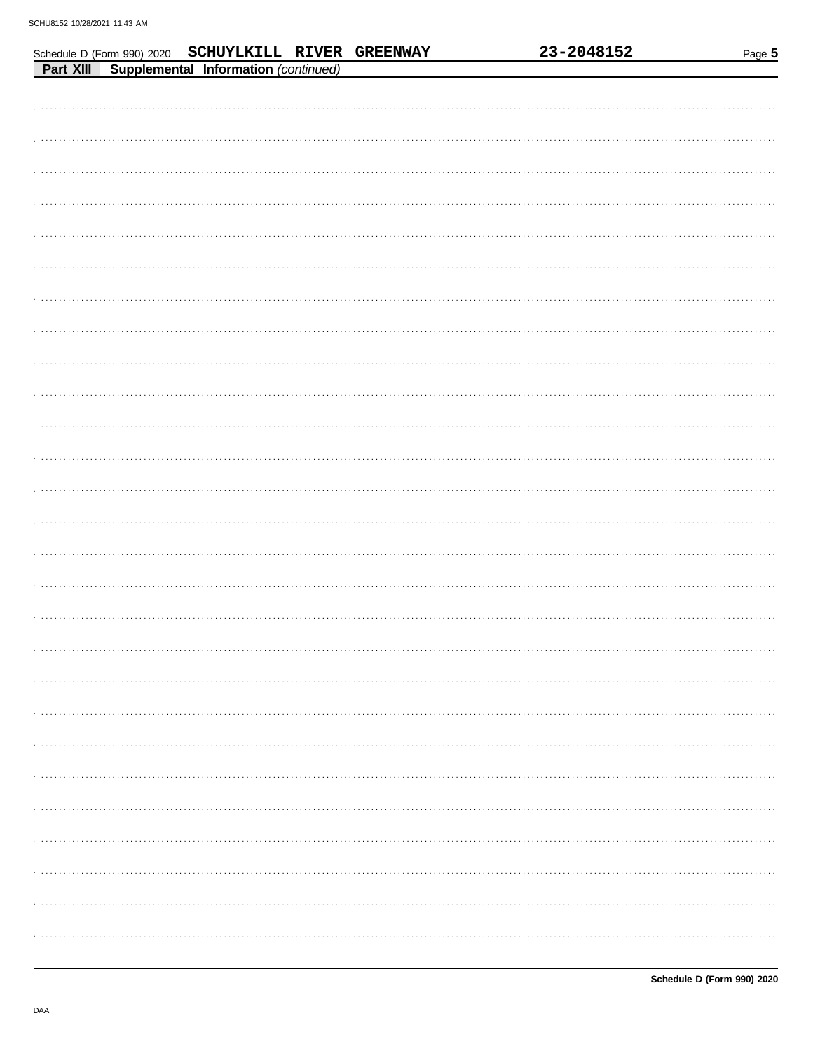|           | Schedule D (Form 990) 2020 SCHUYLKILL RIVER GREENWAY |  | 23-2048152 | Page 5 |
|-----------|------------------------------------------------------|--|------------|--------|
| Part XIII | <b>Supplemental Information (continued)</b>          |  |            |        |
|           |                                                      |  |            |        |
|           |                                                      |  |            |        |
|           |                                                      |  |            |        |
|           |                                                      |  |            |        |
|           |                                                      |  |            |        |
|           |                                                      |  |            |        |
|           |                                                      |  |            |        |
|           |                                                      |  |            |        |
|           |                                                      |  |            |        |
|           |                                                      |  |            |        |
|           |                                                      |  |            |        |
|           |                                                      |  |            |        |
|           |                                                      |  |            |        |
|           |                                                      |  |            |        |
|           |                                                      |  |            |        |
|           |                                                      |  |            |        |
|           |                                                      |  |            |        |
|           |                                                      |  |            |        |
|           |                                                      |  |            |        |
|           |                                                      |  |            |        |
|           |                                                      |  |            |        |
|           |                                                      |  |            |        |
|           |                                                      |  |            |        |
|           |                                                      |  |            |        |
|           |                                                      |  |            |        |
|           |                                                      |  |            |        |
|           |                                                      |  |            |        |
|           |                                                      |  |            |        |
|           |                                                      |  |            |        |
|           |                                                      |  |            |        |
|           |                                                      |  |            |        |
|           |                                                      |  |            |        |
|           |                                                      |  |            |        |
|           |                                                      |  |            |        |
|           |                                                      |  |            |        |
|           |                                                      |  |            |        |
|           |                                                      |  |            |        |
|           |                                                      |  |            |        |
|           |                                                      |  |            |        |
|           |                                                      |  |            |        |
|           |                                                      |  |            |        |
|           |                                                      |  |            |        |
|           |                                                      |  |            |        |
|           |                                                      |  |            |        |
|           |                                                      |  |            |        |
|           |                                                      |  |            |        |
|           |                                                      |  |            |        |
|           |                                                      |  |            |        |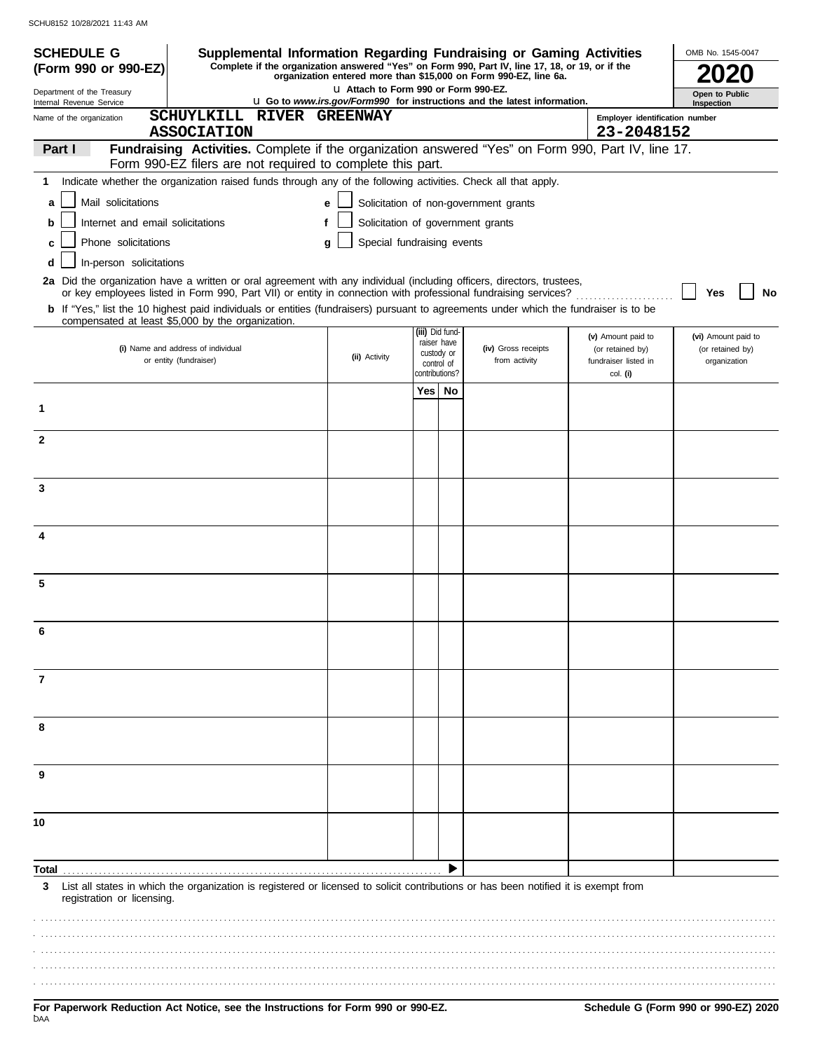| <b>SCHEDULE G</b>                                      | Supplemental Information Regarding Fundraising or Gaming Activities                                                                                                                                                                      |               |                            |                              |                                                                                                                          |                                  | OMB No. 1545-0047            |
|--------------------------------------------------------|------------------------------------------------------------------------------------------------------------------------------------------------------------------------------------------------------------------------------------------|---------------|----------------------------|------------------------------|--------------------------------------------------------------------------------------------------------------------------|----------------------------------|------------------------------|
| (Form 990 or 990-EZ)                                   | Complete if the organization answered "Yes" on Form 990, Part IV, line 17, 18, or 19, or if the                                                                                                                                          |               |                            |                              | organization entered more than \$15,000 on Form 990-EZ, line 6a.                                                         |                                  |                              |
| Department of the Treasury<br>Internal Revenue Service |                                                                                                                                                                                                                                          |               |                            |                              | LI Attach to Form 990 or Form 990-EZ.<br><b>u</b> Go to www.irs.gov/Form990 for instructions and the latest information. |                                  | Open to Public<br>Inspection |
| Name of the organization                               | SCHUYLKILL RIVER GREENWAY                                                                                                                                                                                                                |               |                            |                              |                                                                                                                          | Employer identification number   |                              |
| Part I                                                 | <b>ASSOCIATION</b><br>Fundraising Activities. Complete if the organization answered "Yes" on Form 990, Part IV, line 17.                                                                                                                 |               |                            |                              |                                                                                                                          | 23-2048152                       |                              |
|                                                        | Form 990-EZ filers are not required to complete this part.                                                                                                                                                                               |               |                            |                              |                                                                                                                          |                                  |                              |
| 1                                                      | Indicate whether the organization raised funds through any of the following activities. Check all that apply.                                                                                                                            |               |                            |                              |                                                                                                                          |                                  |                              |
| Mail solicitations<br>a                                |                                                                                                                                                                                                                                          | e             |                            |                              | Solicitation of non-government grants                                                                                    |                                  |                              |
| Internet and email solicitations<br>b                  |                                                                                                                                                                                                                                          | f             |                            |                              | Solicitation of government grants                                                                                        |                                  |                              |
| Phone solicitations<br>C                               |                                                                                                                                                                                                                                          | a             | Special fundraising events |                              |                                                                                                                          |                                  |                              |
| In-person solicitations<br>d                           |                                                                                                                                                                                                                                          |               |                            |                              |                                                                                                                          |                                  |                              |
|                                                        | 2a Did the organization have a written or oral agreement with any individual (including officers, directors, trustees,<br>or key employees listed in Form 990, Part VII) or entity in connection with professional fundraising services? |               |                            |                              |                                                                                                                          |                                  | No<br>Yes                    |
|                                                        | b If "Yes," list the 10 highest paid individuals or entities (fundraisers) pursuant to agreements under which the fundraiser is to be                                                                                                    |               |                            |                              |                                                                                                                          |                                  |                              |
|                                                        | compensated at least \$5,000 by the organization.                                                                                                                                                                                        |               |                            | (iii) Did fund-              |                                                                                                                          | (v) Amount paid to               | (vi) Amount paid to          |
|                                                        | (i) Name and address of individual                                                                                                                                                                                                       | (ii) Activity |                            | raiser have<br>custody or    | (iv) Gross receipts                                                                                                      | (or retained by)                 | (or retained by)             |
|                                                        | or entity (fundraiser)                                                                                                                                                                                                                   |               |                            | control of<br>contributions? | from activity                                                                                                            | fundraiser listed in<br>col. (i) | organization                 |
|                                                        |                                                                                                                                                                                                                                          |               |                            | Yes   No                     |                                                                                                                          |                                  |                              |
| 1                                                      |                                                                                                                                                                                                                                          |               |                            |                              |                                                                                                                          |                                  |                              |
| $\mathbf{2}$                                           |                                                                                                                                                                                                                                          |               |                            |                              |                                                                                                                          |                                  |                              |
|                                                        |                                                                                                                                                                                                                                          |               |                            |                              |                                                                                                                          |                                  |                              |
|                                                        |                                                                                                                                                                                                                                          |               |                            |                              |                                                                                                                          |                                  |                              |
| 3                                                      |                                                                                                                                                                                                                                          |               |                            |                              |                                                                                                                          |                                  |                              |
|                                                        |                                                                                                                                                                                                                                          |               |                            |                              |                                                                                                                          |                                  |                              |
| 4                                                      |                                                                                                                                                                                                                                          |               |                            |                              |                                                                                                                          |                                  |                              |
|                                                        |                                                                                                                                                                                                                                          |               |                            |                              |                                                                                                                          |                                  |                              |
| 5                                                      |                                                                                                                                                                                                                                          |               |                            |                              |                                                                                                                          |                                  |                              |
|                                                        |                                                                                                                                                                                                                                          |               |                            |                              |                                                                                                                          |                                  |                              |
|                                                        |                                                                                                                                                                                                                                          |               |                            |                              |                                                                                                                          |                                  |                              |
|                                                        |                                                                                                                                                                                                                                          |               |                            |                              |                                                                                                                          |                                  |                              |
|                                                        |                                                                                                                                                                                                                                          |               |                            |                              |                                                                                                                          |                                  |                              |
| 7                                                      |                                                                                                                                                                                                                                          |               |                            |                              |                                                                                                                          |                                  |                              |
|                                                        |                                                                                                                                                                                                                                          |               |                            |                              |                                                                                                                          |                                  |                              |
| 8                                                      |                                                                                                                                                                                                                                          |               |                            |                              |                                                                                                                          |                                  |                              |
|                                                        |                                                                                                                                                                                                                                          |               |                            |                              |                                                                                                                          |                                  |                              |
|                                                        |                                                                                                                                                                                                                                          |               |                            |                              |                                                                                                                          |                                  |                              |
| 9                                                      |                                                                                                                                                                                                                                          |               |                            |                              |                                                                                                                          |                                  |                              |
|                                                        |                                                                                                                                                                                                                                          |               |                            |                              |                                                                                                                          |                                  |                              |
| 10                                                     |                                                                                                                                                                                                                                          |               |                            |                              |                                                                                                                          |                                  |                              |
|                                                        |                                                                                                                                                                                                                                          |               |                            |                              |                                                                                                                          |                                  |                              |
|                                                        |                                                                                                                                                                                                                                          |               |                            |                              |                                                                                                                          |                                  |                              |
| Total<br>3                                             | List all states in which the organization is registered or licensed to solicit contributions or has been notified it is exempt from                                                                                                      |               |                            |                              |                                                                                                                          |                                  |                              |
| registration or licensing.                             |                                                                                                                                                                                                                                          |               |                            |                              |                                                                                                                          |                                  |                              |
|                                                        |                                                                                                                                                                                                                                          |               |                            |                              |                                                                                                                          |                                  |                              |
|                                                        |                                                                                                                                                                                                                                          |               |                            |                              |                                                                                                                          |                                  |                              |
|                                                        |                                                                                                                                                                                                                                          |               |                            |                              |                                                                                                                          |                                  |                              |
|                                                        |                                                                                                                                                                                                                                          |               |                            |                              |                                                                                                                          |                                  |                              |
|                                                        |                                                                                                                                                                                                                                          |               |                            |                              |                                                                                                                          |                                  |                              |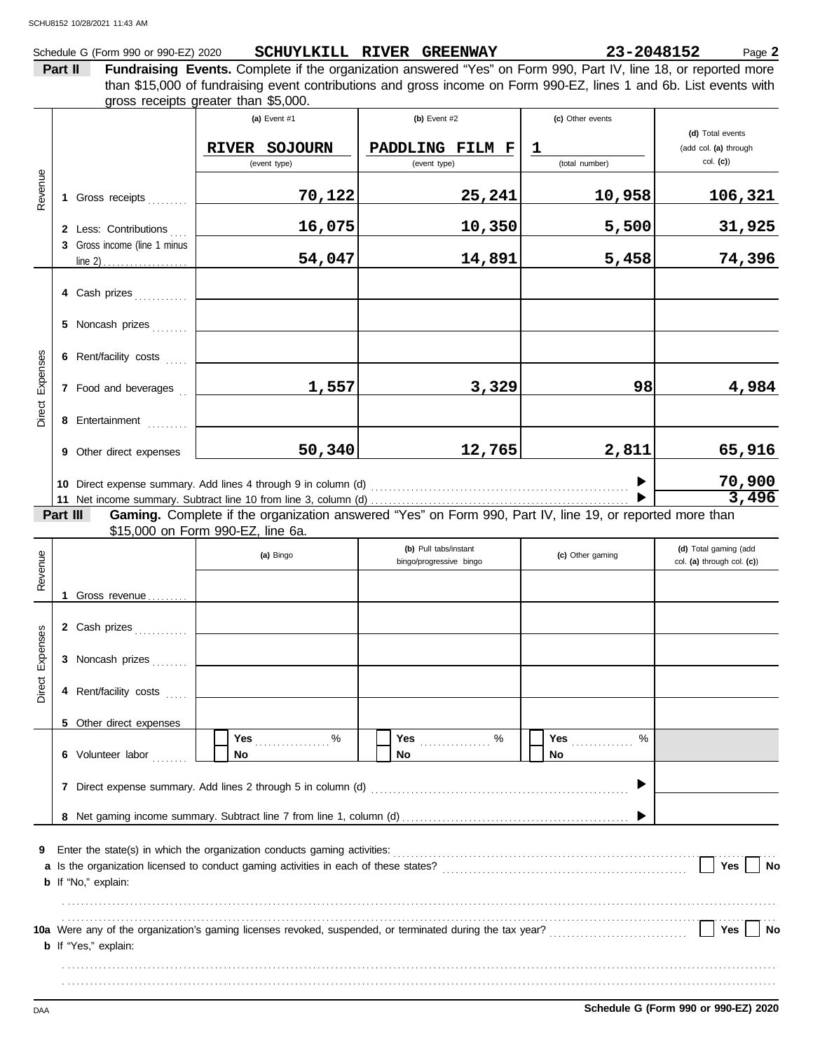## Schedule G (Form 990 or 990-EZ) 2020 **SCHUYLKILL RIVER GREENWAY 23-2048152** Page 2

**Part II Fundraising Events.** Complete if the organization answered "Yes" on Form 990, Part IV, line 18, or reported more gross receipts greater than \$5,000. than \$15,000 of fundraising event contributions and gross income on Form 990-EZ, lines 1 and 6b. List events with

| Revenue            |          | 1 Gross receipts<br>2 Less: Contributions<br>3 Gross income (line 1 minus<br>4 Cash prizes                 | (a) Event $#1$<br>RIVER SOJOURN<br>(event type)<br>70,122<br>16,075<br>54,047                                      | (b) Event $#2$<br>PADDLING FILM F<br>(event type)<br>25,241<br>10,350<br>14,891 | (c) Other events<br>$\mathbf 1$<br>(total number)<br>10,958<br>5,500<br>5,458 | (d) Total events<br>(add col. (a) through<br>$col.$ (c))<br>106,321<br>31,925<br>74,396 |
|--------------------|----------|------------------------------------------------------------------------------------------------------------|--------------------------------------------------------------------------------------------------------------------|---------------------------------------------------------------------------------|-------------------------------------------------------------------------------|-----------------------------------------------------------------------------------------|
| Expenses<br>Direct |          | 5 Noncash prizes<br>6 Rent/facility costs<br>7 Food and beverages<br>8 Entertainment                       | 1,557                                                                                                              | 3,329                                                                           | 98                                                                            | 4,984                                                                                   |
|                    | Part III | 9 Other direct expenses                                                                                    | 50,340<br>Gaming. Complete if the organization answered "Yes" on Form 990, Part IV, line 19, or reported more than | 12,765                                                                          | 2,811                                                                         | 65,916<br>70,900<br>3,496                                                               |
| Revenue            |          | 1 Gross revenue                                                                                            | \$15,000 on Form 990-EZ, line 6a.<br>(a) Bingo                                                                     | (b) Pull tabs/instant<br>bingo/progressive bingo                                | (c) Other gaming                                                              | (d) Total gaming (add<br>col. (a) through col. (c))                                     |
| Expenses<br>Direct |          | 2 Cash prizes<br>3 Noncash prizes<br>4 Rent/facility costs<br>5 Other direct expenses<br>6 Volunteer labor | Yes $%$<br>No                                                                                                      | Yes<br>. %<br><b>No</b>                                                         | Yes <b>Market</b><br>%<br><b>No</b>                                           |                                                                                         |
|                    |          |                                                                                                            | 7 Direct expense summary. Add lines 2 through 5 in column (d)                                                      |                                                                                 | ▶                                                                             |                                                                                         |
| 9                  |          | <b>b</b> If "No," explain:                                                                                 |                                                                                                                    |                                                                                 |                                                                               | Yes<br>No                                                                               |
|                    |          | <b>b</b> If "Yes," explain:                                                                                |                                                                                                                    |                                                                                 |                                                                               | Yes<br>No                                                                               |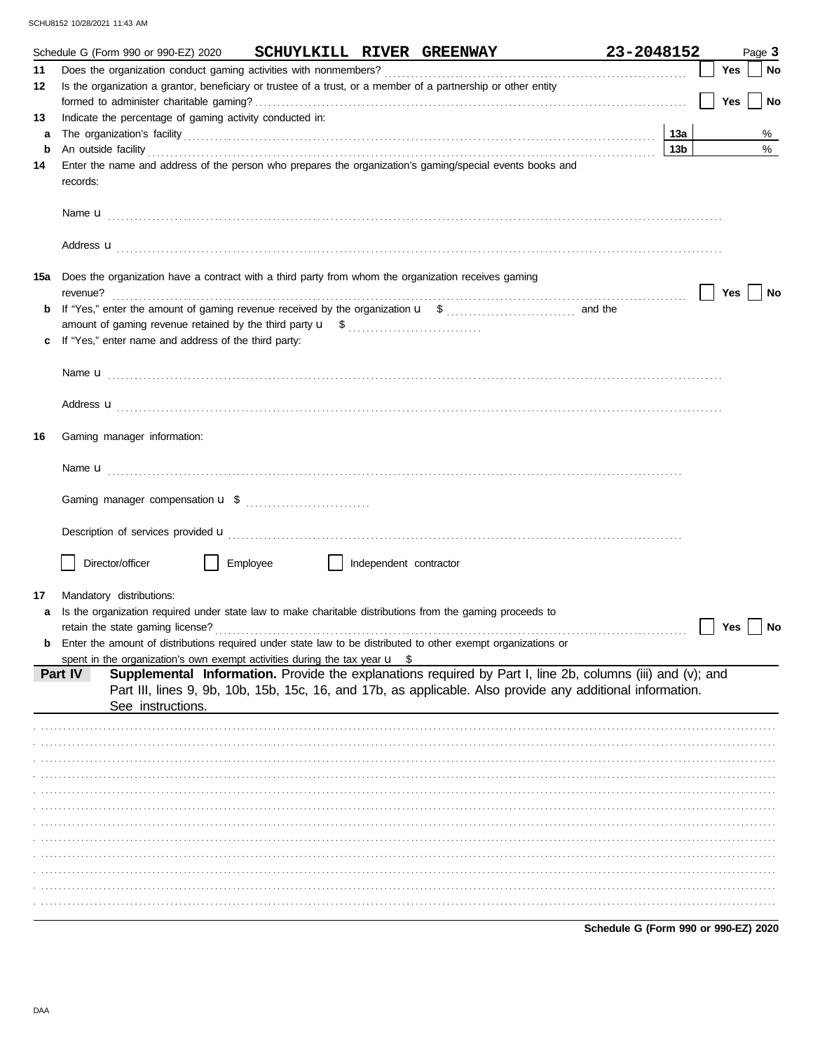|         | Schedule G (Form 990 or 990-EZ) 2020                                                                                                                                                                                                                                                                                              |          |                        | SCHUYLKILL RIVER GREENWAY | 23-2048152                                                                                                 |            |     | Page 3    |
|---------|-----------------------------------------------------------------------------------------------------------------------------------------------------------------------------------------------------------------------------------------------------------------------------------------------------------------------------------|----------|------------------------|---------------------------|------------------------------------------------------------------------------------------------------------|------------|-----|-----------|
| 11      |                                                                                                                                                                                                                                                                                                                                   |          |                        |                           |                                                                                                            |            | Yes | <b>No</b> |
| 12      | Is the organization a grantor, beneficiary or trustee of a trust, or a member of a partnership or other entity                                                                                                                                                                                                                    |          |                        |                           |                                                                                                            |            |     |           |
|         |                                                                                                                                                                                                                                                                                                                                   |          |                        |                           |                                                                                                            |            | Yes | <b>No</b> |
| 13      | Indicate the percentage of gaming activity conducted in:                                                                                                                                                                                                                                                                          |          |                        |                           |                                                                                                            |            |     |           |
| a       | The organization's facility encourance and contact the organization's facility entries and contact the organization's facility entries and contact the original contact the original contact the original contact the original                                                                                                    |          |                        |                           |                                                                                                            | 13а<br>13b |     | %<br>%    |
| b<br>14 | An outside facility <i>contained a contained a contained a contained a contained a contained a contained a contained a</i><br>Enter the name and address of the person who prepares the organization's gaming/special events books and                                                                                            |          |                        |                           |                                                                                                            |            |     |           |
|         | records:                                                                                                                                                                                                                                                                                                                          |          |                        |                           |                                                                                                            |            |     |           |
|         | Name <b>u</b> explorer and the contract of the contract of the contract of the contract of the contract of the contract of the contract of the contract of the contract of the contract of the contract of the contract of the cont                                                                                               |          |                        |                           |                                                                                                            |            |     |           |
|         | Address <b>u</b>                                                                                                                                                                                                                                                                                                                  |          |                        |                           |                                                                                                            |            |     |           |
|         | 15a Does the organization have a contract with a third party from whom the organization receives gaming<br>revenue?                                                                                                                                                                                                               |          |                        |                           |                                                                                                            |            | Yes | No        |
|         |                                                                                                                                                                                                                                                                                                                                   |          |                        |                           |                                                                                                            |            |     |           |
|         |                                                                                                                                                                                                                                                                                                                                   |          |                        |                           |                                                                                                            |            |     |           |
|         | If "Yes," enter name and address of the third party:                                                                                                                                                                                                                                                                              |          |                        |                           |                                                                                                            |            |     |           |
|         |                                                                                                                                                                                                                                                                                                                                   |          |                        |                           |                                                                                                            |            |     |           |
|         | Name <b>u</b> [1] [1] [1] [1] <b>Name u</b> [1] [1] [1] <b>11.</b> [1] <b>12.</b> [1] <b>12.</b> [1] <b>12.</b> [1] <b>12.</b> [1] <b>12.</b> [1] <b>12.</b> [1] <b>12.</b> [1] <b>12.</b> [1] <b>12.</b> [1] <b>12.</b> [1] <b>12.</b> [1] <b>12.</b> [1] <b>12.</b> [1] <b>12.</b> [1] <b>12.</b> [1] <b>12.</b> [1] <b>12.</b> |          |                        |                           |                                                                                                            |            |     |           |
|         |                                                                                                                                                                                                                                                                                                                                   |          |                        |                           |                                                                                                            |            |     |           |
|         | Address <b>u</b>                                                                                                                                                                                                                                                                                                                  |          |                        |                           |                                                                                                            |            |     |           |
| 16      | Gaming manager information:                                                                                                                                                                                                                                                                                                       |          |                        |                           |                                                                                                            |            |     |           |
|         |                                                                                                                                                                                                                                                                                                                                   |          |                        |                           |                                                                                                            |            |     |           |
|         |                                                                                                                                                                                                                                                                                                                                   |          |                        |                           |                                                                                                            |            |     |           |
|         | Description of services provided <b>u</b> electron contract the contract of the contract of the contract of the contract of the contract of the contract of the contract of the contract of the contract of the contract of the con                                                                                               |          |                        |                           |                                                                                                            |            |     |           |
|         | Director/officer                                                                                                                                                                                                                                                                                                                  | Employee | Independent contractor |                           |                                                                                                            |            |     |           |
|         |                                                                                                                                                                                                                                                                                                                                   |          |                        |                           |                                                                                                            |            |     |           |
| 17      | Mandatory distributions:                                                                                                                                                                                                                                                                                                          |          |                        |                           |                                                                                                            |            |     |           |
| a       | Is the organization required under state law to make charitable distributions from the gaming proceeds to                                                                                                                                                                                                                         |          |                        |                           |                                                                                                            |            |     |           |
|         | retain the state gaming license?<br>Enter the amount of distributions required under state law to be distributed to other exempt organizations or                                                                                                                                                                                 |          |                        |                           |                                                                                                            |            | Yes | No        |
|         | spent in the organization's own exempt activities during the tax year $\mathbf{u}$ \$                                                                                                                                                                                                                                             |          |                        |                           |                                                                                                            |            |     |           |
|         | Part IV                                                                                                                                                                                                                                                                                                                           |          |                        |                           | Supplemental Information. Provide the explanations required by Part I, line 2b, columns (iii) and (v); and |            |     |           |
|         |                                                                                                                                                                                                                                                                                                                                   |          |                        |                           | Part III, lines 9, 9b, 10b, 15b, 15c, 16, and 17b, as applicable. Also provide any additional information. |            |     |           |
|         | See instructions.                                                                                                                                                                                                                                                                                                                 |          |                        |                           |                                                                                                            |            |     |           |
|         |                                                                                                                                                                                                                                                                                                                                   |          |                        |                           |                                                                                                            |            |     |           |
|         |                                                                                                                                                                                                                                                                                                                                   |          |                        |                           |                                                                                                            |            |     |           |
|         |                                                                                                                                                                                                                                                                                                                                   |          |                        |                           |                                                                                                            |            |     |           |
|         |                                                                                                                                                                                                                                                                                                                                   |          |                        |                           |                                                                                                            |            |     |           |
|         |                                                                                                                                                                                                                                                                                                                                   |          |                        |                           |                                                                                                            |            |     |           |
|         |                                                                                                                                                                                                                                                                                                                                   |          |                        |                           |                                                                                                            |            |     |           |
|         |                                                                                                                                                                                                                                                                                                                                   |          |                        |                           |                                                                                                            |            |     |           |
|         |                                                                                                                                                                                                                                                                                                                                   |          |                        |                           |                                                                                                            |            |     |           |
|         |                                                                                                                                                                                                                                                                                                                                   |          |                        |                           |                                                                                                            |            |     |           |
|         |                                                                                                                                                                                                                                                                                                                                   |          |                        |                           |                                                                                                            |            |     |           |
|         |                                                                                                                                                                                                                                                                                                                                   |          |                        |                           |                                                                                                            |            |     |           |
|         |                                                                                                                                                                                                                                                                                                                                   |          |                        |                           |                                                                                                            |            |     |           |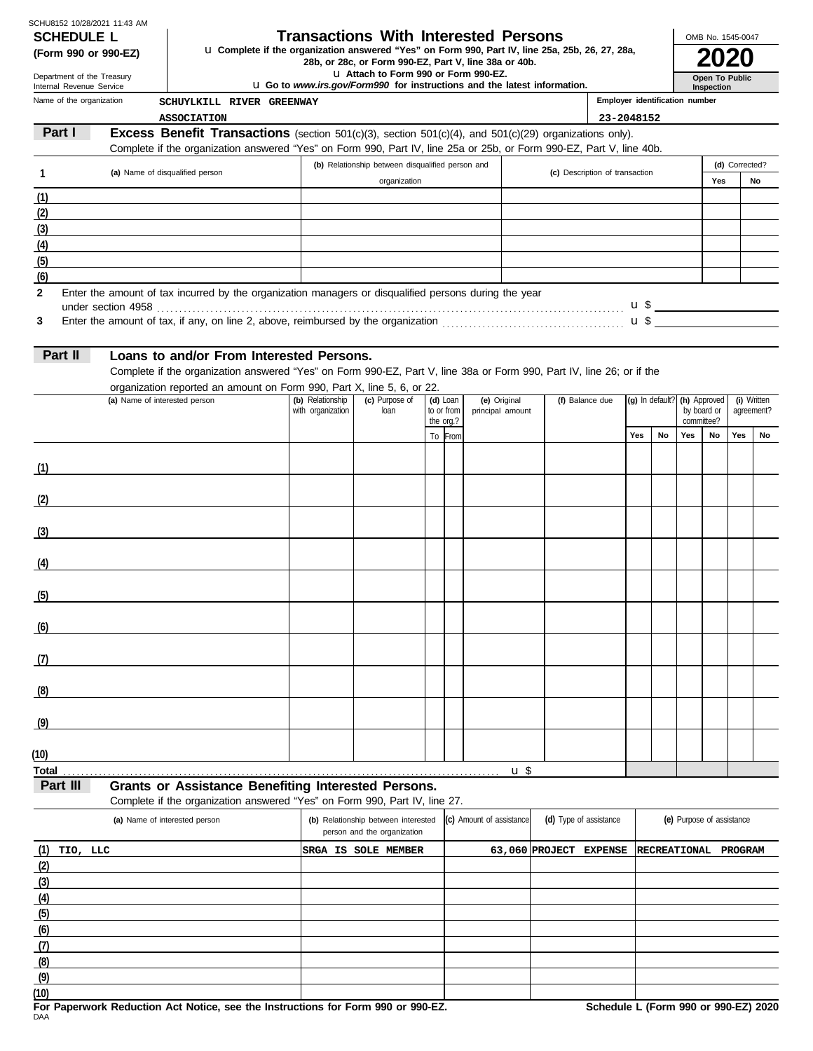| SCHU8152 10/28/2021 11:43 AM |            |  |
|------------------------------|------------|--|
|                              | SCHEDULE I |  |

**SCHEDULE L Transactions With Interested Persons**<br>(Form 990 or 990-EZ) U Complete if the organization answered "Yes" on Form 990, Part IV, line 25a, 2

OMB No. 1545-0047

| (Form 990 or 990-EZ)                                   |  |                                                                        | <b>u</b> Complete if the organization answered "Yes" on Form 990, Part IV, line 25a, 25b, 26, 27, 28a,<br>28b, or 28c, or Form 990-EZ, Part V, line 38a or 40b. |  |                                |                                                                                                                                                                                                                                                                                       |                |  |
|--------------------------------------------------------|--|------------------------------------------------------------------------|-----------------------------------------------------------------------------------------------------------------------------------------------------------------|--|--------------------------------|---------------------------------------------------------------------------------------------------------------------------------------------------------------------------------------------------------------------------------------------------------------------------------------|----------------|--|
| Department of the Treasury<br>Internal Revenue Service |  |                                                                        | LI Attach to Form 990 or Form 990-EZ.<br><b>u</b> Go to www.irs.gov/Form990 for instructions and the latest information.                                        |  |                                | <b>Open To Public</b><br>Inspection                                                                                                                                                                                                                                                   |                |  |
| Name of the organization                               |  | SCHUYLKILL RIVER GREENWAY                                              |                                                                                                                                                                 |  | Employer identification number |                                                                                                                                                                                                                                                                                       |                |  |
|                                                        |  | <b>ASSOCIATION</b>                                                     |                                                                                                                                                                 |  | 23-2048152                     |                                                                                                                                                                                                                                                                                       |                |  |
| Part I                                                 |  |                                                                        | <b>Excess Benefit Transactions</b> (section 501(c)(3), section 501(c)(4), and 501(c)(29) organizations only).                                                   |  |                                |                                                                                                                                                                                                                                                                                       |                |  |
|                                                        |  |                                                                        | Complete if the organization answered "Yes" on Form 990, Part IV, line 25a or 25b, or Form 990-EZ, Part V, line 40b.                                            |  |                                |                                                                                                                                                                                                                                                                                       |                |  |
| (a) Name of disqualified person                        |  |                                                                        | (b) Relationship between disqualified person and                                                                                                                |  | (c) Description of transaction |                                                                                                                                                                                                                                                                                       | (d) Corrected? |  |
|                                                        |  |                                                                        | organization                                                                                                                                                    |  | Yes                            | No                                                                                                                                                                                                                                                                                    |                |  |
| (1)                                                    |  |                                                                        |                                                                                                                                                                 |  |                                |                                                                                                                                                                                                                                                                                       |                |  |
| (2)                                                    |  |                                                                        |                                                                                                                                                                 |  |                                |                                                                                                                                                                                                                                                                                       |                |  |
| (3)                                                    |  |                                                                        |                                                                                                                                                                 |  |                                |                                                                                                                                                                                                                                                                                       |                |  |
| (4)                                                    |  |                                                                        |                                                                                                                                                                 |  |                                |                                                                                                                                                                                                                                                                                       |                |  |
| (5)                                                    |  |                                                                        |                                                                                                                                                                 |  |                                |                                                                                                                                                                                                                                                                                       |                |  |
| (6)                                                    |  |                                                                        |                                                                                                                                                                 |  |                                |                                                                                                                                                                                                                                                                                       |                |  |
| $\mathbf{2}$                                           |  |                                                                        | Enter the amount of tax incurred by the organization managers or disqualified persons during the year                                                           |  |                                | $\frac{115}{2}$ and $\frac{115}{2}$ and $\frac{115}{2}$ and $\frac{115}{2}$ and $\frac{115}{2}$ and $\frac{115}{2}$ and $\frac{115}{2}$ and $\frac{115}{2}$ and $\frac{115}{2}$ and $\frac{115}{2}$ and $\frac{115}{2}$ and $\frac{115}{2}$ and $\frac{115}{2}$ and $\frac{115}{2}$ a |                |  |
| 3                                                      |  |                                                                        |                                                                                                                                                                 |  |                                | $\mathbf{u}$ \$                                                                                                                                                                                                                                                                       |                |  |
|                                                        |  |                                                                        |                                                                                                                                                                 |  |                                |                                                                                                                                                                                                                                                                                       |                |  |
| Part II                                                |  | Loans to and/or From Interested Persons.                               |                                                                                                                                                                 |  |                                |                                                                                                                                                                                                                                                                                       |                |  |
|                                                        |  |                                                                        | Complete if the organization answered "Yes" on Form 990-EZ, Part V, line 38a or Form 990, Part IV, line 26; or if the                                           |  |                                |                                                                                                                                                                                                                                                                                       |                |  |
|                                                        |  | organization reported an amount on Form 990, Part X, line 5, 6, or 22. |                                                                                                                                                                 |  |                                |                                                                                                                                                                                                                                                                                       |                |  |

| (a) Name of interested person | $   +$ $ -$<br>(b) Relationship<br>with organization | $\mathbf{y} = \mathbf{y} - \mathbf{y}$<br>(c) Purpose of<br>loan | (d) Loan<br>to or from<br>the org.? | (e) Original<br>principal amount | (f) Balance due |     |    |     | (g) In default? (h) Approved (i) Written<br>by board or agreement?<br>committee? |     | agreement? |
|-------------------------------|------------------------------------------------------|------------------------------------------------------------------|-------------------------------------|----------------------------------|-----------------|-----|----|-----|----------------------------------------------------------------------------------|-----|------------|
|                               |                                                      |                                                                  | To From                             |                                  |                 | Yes | No | Yes | No                                                                               | Yes | No         |
| (1)                           |                                                      |                                                                  |                                     |                                  |                 |     |    |     |                                                                                  |     |            |
| (2)                           |                                                      |                                                                  |                                     |                                  |                 |     |    |     |                                                                                  |     |            |
| (3)                           |                                                      |                                                                  |                                     |                                  |                 |     |    |     |                                                                                  |     |            |
| (4)                           |                                                      |                                                                  |                                     |                                  |                 |     |    |     |                                                                                  |     |            |
| (5)                           |                                                      |                                                                  |                                     |                                  |                 |     |    |     |                                                                                  |     |            |
| (6)                           |                                                      |                                                                  |                                     |                                  |                 |     |    |     |                                                                                  |     |            |
| (7)                           |                                                      |                                                                  |                                     |                                  |                 |     |    |     |                                                                                  |     |            |
| (8)                           |                                                      |                                                                  |                                     |                                  |                 |     |    |     |                                                                                  |     |            |
| (9)                           |                                                      |                                                                  |                                     |                                  |                 |     |    |     |                                                                                  |     |            |
| (10)                          |                                                      |                                                                  |                                     |                                  |                 |     |    |     |                                                                                  |     |            |
|                               |                                                      |                                                                  |                                     | $u$ \$                           |                 |     |    |     |                                                                                  |     |            |

**Part III Grants or Assistance Benefiting Interested Persons.** 

Complete if the organization answered "Yes" on Form 990, Part IV, line 27.

| (a) Name of interested person | (b) Relationship between interested<br>person and the organization | (c) Amount of assistance | (d) Type of assistance              | (e) Purpose of assistance |  |  |
|-------------------------------|--------------------------------------------------------------------|--------------------------|-------------------------------------|---------------------------|--|--|
| (1)<br>TIO, LLC               | SRGA IS<br><b>SOLE MEMBER</b>                                      |                          | 63,060 PROJECT EXPENSE RECREATIONAL | PROGRAM                   |  |  |
| (2)                           |                                                                    |                          |                                     |                           |  |  |
| (3)                           |                                                                    |                          |                                     |                           |  |  |
| (4)                           |                                                                    |                          |                                     |                           |  |  |
| (5)                           |                                                                    |                          |                                     |                           |  |  |
| (6)                           |                                                                    |                          |                                     |                           |  |  |
| (7)                           |                                                                    |                          |                                     |                           |  |  |
| (8)                           |                                                                    |                          |                                     |                           |  |  |
| (9)                           |                                                                    |                          |                                     |                           |  |  |
| (10)                          |                                                                    |                          |                                     |                           |  |  |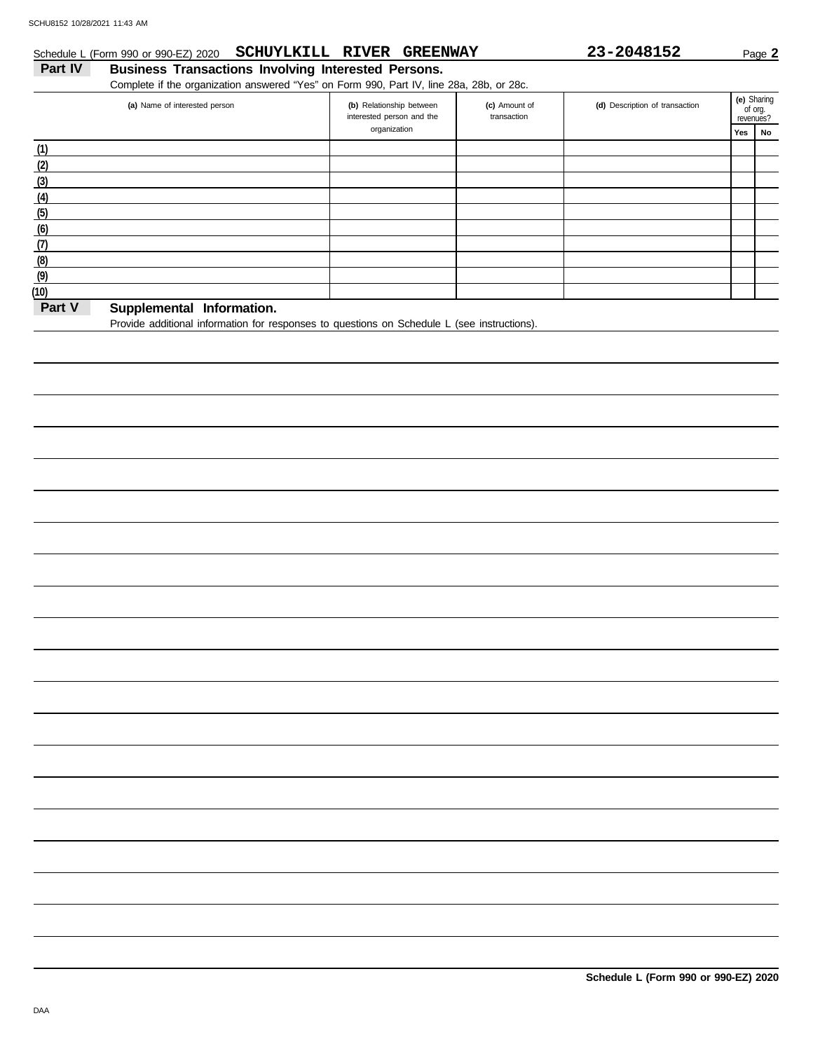### **Part IV Business Transactions Involving Interested Persons.** Schedule L (Form 990 or 990-EZ) 2020 **SCHUYLKILL RIVER GREENWAY** 23-2048152 Page 2

Complete if the organization answered "Yes" on Form 990, Part IV, line 28a, 28b, or 28c.

| (a) Name of interested person      | (b) Relationship between<br>interested person and the | (c) Amount of<br>transaction | (d) Description of transaction |     | (e) Sharing<br>of org.<br>revenues? |
|------------------------------------|-------------------------------------------------------|------------------------------|--------------------------------|-----|-------------------------------------|
|                                    | organization                                          |                              |                                | Yes | No                                  |
| (1)                                |                                                       |                              |                                |     |                                     |
| (2)                                |                                                       |                              |                                |     |                                     |
| (3)                                |                                                       |                              |                                |     |                                     |
| (4)                                |                                                       |                              |                                |     |                                     |
| (5)                                |                                                       |                              |                                |     |                                     |
| (6)                                |                                                       |                              |                                |     |                                     |
| (7)                                |                                                       |                              |                                |     |                                     |
| (8)                                |                                                       |                              |                                |     |                                     |
| (9)                                |                                                       |                              |                                |     |                                     |
| (10)                               |                                                       |                              |                                |     |                                     |
| Part V<br>Cunnlomontal Information |                                                       |                              |                                |     |                                     |

#### **Part V Supplemental Information.**

Provide additional information for responses to questions on Schedule L (see instructions).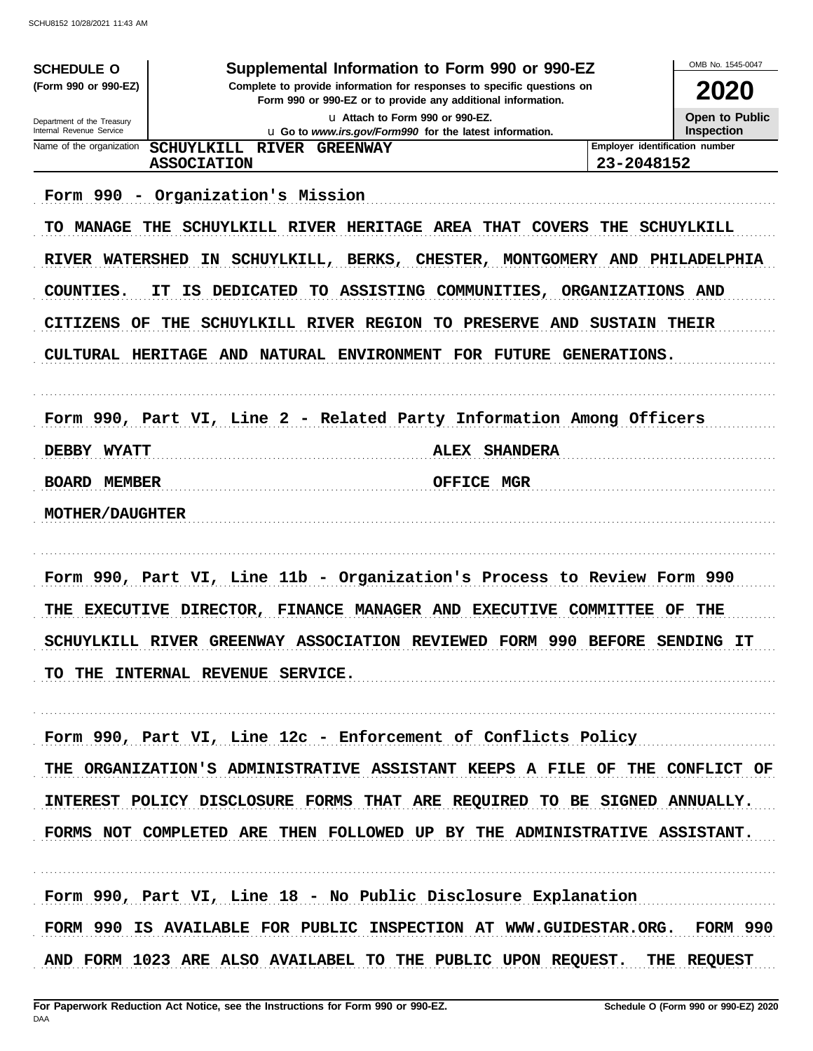| <b>SCHEDULE O</b>                                                                                           | Supplemental Information to Form 990 or 990-EZ                                                                                                                                                                                                                                                                                                                                                                                                        |                                | OMB No. 1545-0047 |
|-------------------------------------------------------------------------------------------------------------|-------------------------------------------------------------------------------------------------------------------------------------------------------------------------------------------------------------------------------------------------------------------------------------------------------------------------------------------------------------------------------------------------------------------------------------------------------|--------------------------------|-------------------|
| (Form 990 or 990-EZ)                                                                                        | Complete to provide information for responses to specific questions on<br>Form 990 or 990-EZ or to provide any additional information.                                                                                                                                                                                                                                                                                                                |                                | 2020              |
| Department of the Treasury                                                                                  | u Attach to Form 990 or 990-EZ.                                                                                                                                                                                                                                                                                                                                                                                                                       |                                | Open to Public    |
| Internal Revenue Service<br>Name of the organization                                                        | u Go to www.irs.gov/Form990 for the latest information.<br>SCHUYLKILL RIVER GREENWAY                                                                                                                                                                                                                                                                                                                                                                  | Employer identification number | <b>Inspection</b> |
|                                                                                                             | <b>ASSOCIATION</b>                                                                                                                                                                                                                                                                                                                                                                                                                                    | 23-2048152                     |                   |
| Form 990 -<br>TO.<br><b>MANAGE</b><br><b>RIVER WATERSHED</b><br>COUNTIES.<br>CITIZENS<br>OF.<br>DEBBY WYATT | Organization's Mission<br>THE SCHUYLKILL RIVER HERITAGE AREA THAT COVERS THE SCHUYLKILL<br>IN SCHUYLKILL, BERKS, CHESTER, MONTGOMERY AND PHILADELPHIA<br><b>DEDICATED</b><br>TO ASSISTING COMMUNITIES, ORGANIZATIONS AND<br>IS.<br>IТ<br>THE SCHUYLKILL RIVER REGION<br>TO PRESERVE AND<br>CULTURAL HERITAGE AND NATURAL ENVIRONMENT FOR FUTURE GENERATIONS.<br>Form 990, Part VI, Line 2 - Related Party Information Among Officers<br>ALEX SHANDERA | <b>SUSTAIN THEIR</b>           |                   |
| <b>BOARD MEMBER</b><br><b>MOTHER/DAUGHTER</b>                                                               | <b>OFFICE MGR</b>                                                                                                                                                                                                                                                                                                                                                                                                                                     |                                |                   |
| THE                                                                                                         | Form 990, Part VI, Line 11b - Organization's Process to Review Form 990<br>EXECUTIVE DIRECTOR, FINANCE MANAGER AND EXECUTIVE<br>SCHUYLKILL RIVER GREENWAY ASSOCIATION REVIEWED FORM 990 BEFORE SENDING IT                                                                                                                                                                                                                                             | <b>COMMITTEE</b>               | THE<br>OF         |
|                                                                                                             | TO THE INTERNAL REVENUE SERVICE.<br>Form 990, Part VI, Line 12c - Enforcement of Conflicts Policy                                                                                                                                                                                                                                                                                                                                                     |                                |                   |
|                                                                                                             | THE ORGANIZATION'S ADMINISTRATIVE ASSISTANT KEEPS A FILE OF THE CONFLICT OF<br>INTEREST POLICY DISCLOSURE FORMS THAT ARE REQUIRED TO BE SIGNED ANNUALLY.                                                                                                                                                                                                                                                                                              |                                |                   |
|                                                                                                             | FORMS NOT COMPLETED ARE THEN FOLLOWED UP BY THE ADMINISTRATIVE ASSISTANT.<br>Form 990, Part VI, Line 18 - No Public Disclosure Explanation<br>FORM 990 IS AVAILABLE FOR PUBLIC INSPECTION AT WWW.GUIDESTAR.ORG. FORM 990<br>AND FORM 1023 ARE ALSO AVAILABEL TO THE PUBLIC UPON REQUEST. THE REQUEST                                                                                                                                                  |                                |                   |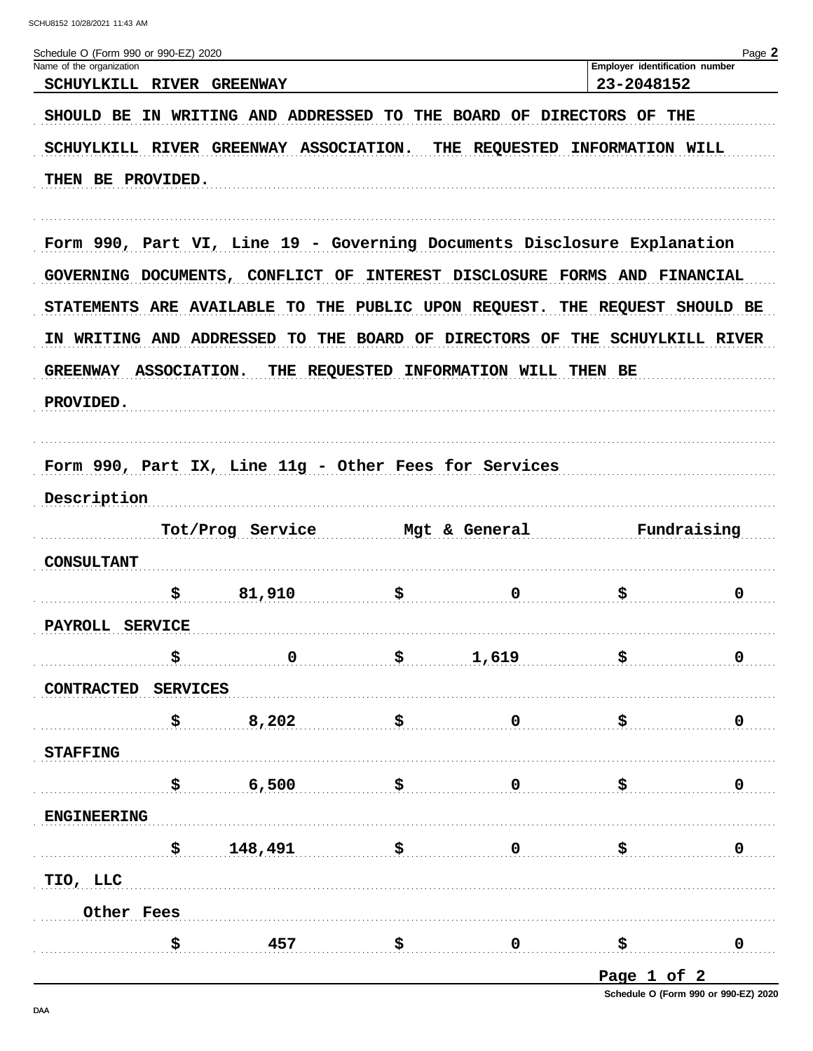| Schedule O (Form 990 or 990-EZ) 2020                                       |                     |                                          |                                        |                                              | Page 2                  |
|----------------------------------------------------------------------------|---------------------|------------------------------------------|----------------------------------------|----------------------------------------------|-------------------------|
| Name of the organization<br>SCHUYLKILL RIVER                               | <b>GREENWAY</b>     |                                          |                                        | Employer identification number<br>23-2048152 |                         |
| SHOULD BE                                                                  |                     | IN WRITING AND ADDRESSED TO THE BOARD OF |                                        | OF THE<br><b>DIRECTORS</b>                   |                         |
| <b>SCHUYLKILL RIVER</b>                                                    |                     | GREENWAY ASSOCIATION.                    | THE REQUESTED                          | <b>INFORMATION WILL</b>                      |                         |
| THEN BE PROVIDED.                                                          |                     |                                          |                                        |                                              |                         |
|                                                                            |                     |                                          |                                        |                                              |                         |
| Form 990, Part VI, Line 19 - Governing Documents Disclosure Explanation    |                     |                                          |                                        |                                              |                         |
| GOVERNING DOCUMENTS, CONFLICT                                              |                     | OF                                       | INTEREST DISCLOSURE FORMS              | <b>AND FINANCIAL</b>                         |                         |
| STATEMENTS ARE AVAILABLE TO THE PUBLIC UPON REQUEST. THE REQUEST SHOULD BE |                     |                                          |                                        |                                              |                         |
| IN WRITING AND ADDRESSED                                                   |                     |                                          | TO THE BOARD OF DIRECTORS OF           | THE                                          | <b>SCHUYLKILL RIVER</b> |
| <b>GREENWAY</b>                                                            | <b>ASSOCIATION.</b> |                                          | THE REQUESTED INFORMATION WILL THEN BE |                                              |                         |
| PROVIDED.                                                                  |                     |                                          |                                        |                                              |                         |
|                                                                            |                     |                                          |                                        |                                              |                         |
| Form 990, Part IX, Line 11g - Other Fees for Services                      |                     |                                          |                                        |                                              |                         |
| Description                                                                |                     |                                          |                                        |                                              |                         |
|                                                                            |                     |                                          |                                        |                                              |                         |
|                                                                            | Tot/Prog Service    |                                          | Mgt & General                          |                                              | Fundraising             |
| <b>CONSULTANT</b>                                                          |                     |                                          |                                        |                                              |                         |
| \$                                                                         | 81,910              | \$                                       | $\mathbf 0$                            | \$                                           | $\mathbf 0$             |
| PAYROLL SERVICE                                                            |                     |                                          |                                        |                                              |                         |
| \$                                                                         | $\mathbf 0$         | \$                                       | 1,619                                  | \$                                           | 0                       |
| CONTRACTED SERVICES                                                        |                     |                                          |                                        |                                              |                         |
| \$                                                                         | 8,202               | \$                                       | $\mathbf 0$                            | \$                                           | $\mathbf 0$             |
| <b>STAFFING</b>                                                            |                     |                                          |                                        |                                              |                         |
| \$                                                                         | 6,500               | \$                                       | $\mathbf 0$                            | \$                                           | $\mathbf 0$             |
| <b>ENGINEERING</b>                                                         |                     |                                          |                                        |                                              |                         |
|                                                                            | 148,491<br>\$       | . <b>\$</b>                              | $\mathbf 0$                            | \$                                           | $\mathbf 0$             |
| TIO, LLC                                                                   |                     |                                          |                                        |                                              |                         |
| Other Fees                                                                 |                     |                                          |                                        |                                              |                         |
| \$                                                                         |                     | $457$ \$                                 | $\overline{\mathbf{0}}$                | $\mathbf{s}$                                 | $\mathbf 0$             |
|                                                                            |                     |                                          |                                        |                                              |                         |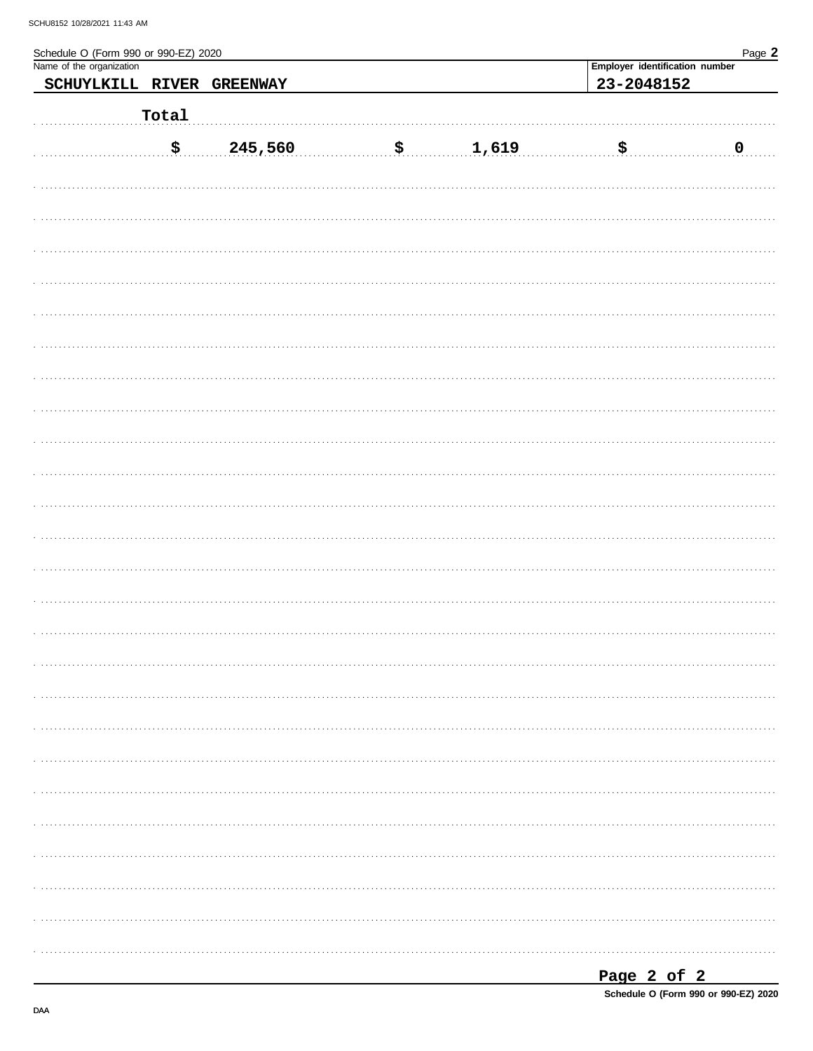| Schedule O (Form 990 or 990-EZ) 2020<br>Name of the organization |                             |                 |                   |                                | Page 2       |
|------------------------------------------------------------------|-----------------------------|-----------------|-------------------|--------------------------------|--------------|
|                                                                  |                             |                 |                   | Employer identification number |              |
| SCHUYLKILL RIVER                                                 |                             | <b>GREENWAY</b> |                   | 23-2048152                     |              |
|                                                                  |                             |                 |                   |                                |              |
|                                                                  | Total                       |                 |                   |                                |              |
|                                                                  |                             |                 |                   |                                |              |
|                                                                  | $\boldsymbol{\mathsf{S}}$ . | 245,560         | $\frac{1,619}{2}$ | . \$ .                         | $\ldots$ .0. |
|                                                                  |                             |                 |                   |                                |              |
|                                                                  |                             |                 |                   |                                |              |
|                                                                  |                             |                 |                   |                                |              |
|                                                                  |                             |                 |                   |                                |              |
|                                                                  |                             |                 |                   |                                |              |
|                                                                  |                             |                 |                   |                                |              |
|                                                                  |                             |                 |                   |                                |              |
|                                                                  |                             |                 |                   |                                |              |
|                                                                  |                             |                 |                   |                                |              |
|                                                                  |                             |                 |                   |                                |              |
|                                                                  |                             |                 |                   |                                |              |
|                                                                  |                             |                 |                   |                                |              |
|                                                                  |                             |                 |                   |                                |              |
|                                                                  |                             |                 |                   |                                |              |
|                                                                  |                             |                 |                   |                                |              |
|                                                                  |                             |                 |                   |                                |              |
|                                                                  |                             |                 |                   |                                |              |
|                                                                  |                             |                 |                   |                                |              |
|                                                                  |                             |                 |                   |                                |              |
|                                                                  |                             |                 |                   |                                |              |
|                                                                  |                             |                 |                   |                                |              |
|                                                                  |                             |                 |                   |                                |              |
|                                                                  |                             |                 |                   |                                |              |
|                                                                  |                             |                 |                   |                                |              |
|                                                                  |                             |                 |                   |                                |              |
|                                                                  |                             |                 |                   |                                |              |
|                                                                  |                             |                 |                   |                                |              |
|                                                                  |                             |                 |                   |                                |              |
|                                                                  |                             |                 |                   |                                |              |
|                                                                  |                             |                 |                   |                                |              |
|                                                                  |                             |                 |                   |                                |              |
|                                                                  |                             |                 |                   |                                |              |
|                                                                  |                             |                 |                   |                                |              |
|                                                                  |                             |                 |                   |                                |              |
|                                                                  |                             |                 |                   |                                |              |
|                                                                  |                             |                 |                   |                                |              |
|                                                                  |                             |                 |                   |                                |              |
|                                                                  |                             |                 |                   |                                |              |
|                                                                  |                             |                 |                   |                                |              |
|                                                                  |                             |                 |                   |                                |              |
|                                                                  |                             |                 |                   |                                |              |
|                                                                  |                             |                 |                   |                                |              |
|                                                                  |                             |                 |                   |                                |              |
|                                                                  |                             |                 |                   |                                |              |
|                                                                  |                             |                 |                   |                                |              |

| Page 2 of 2 |  |                                      |  |
|-------------|--|--------------------------------------|--|
|             |  | Schedule O (Form 990 or 990-EZ) 2020 |  |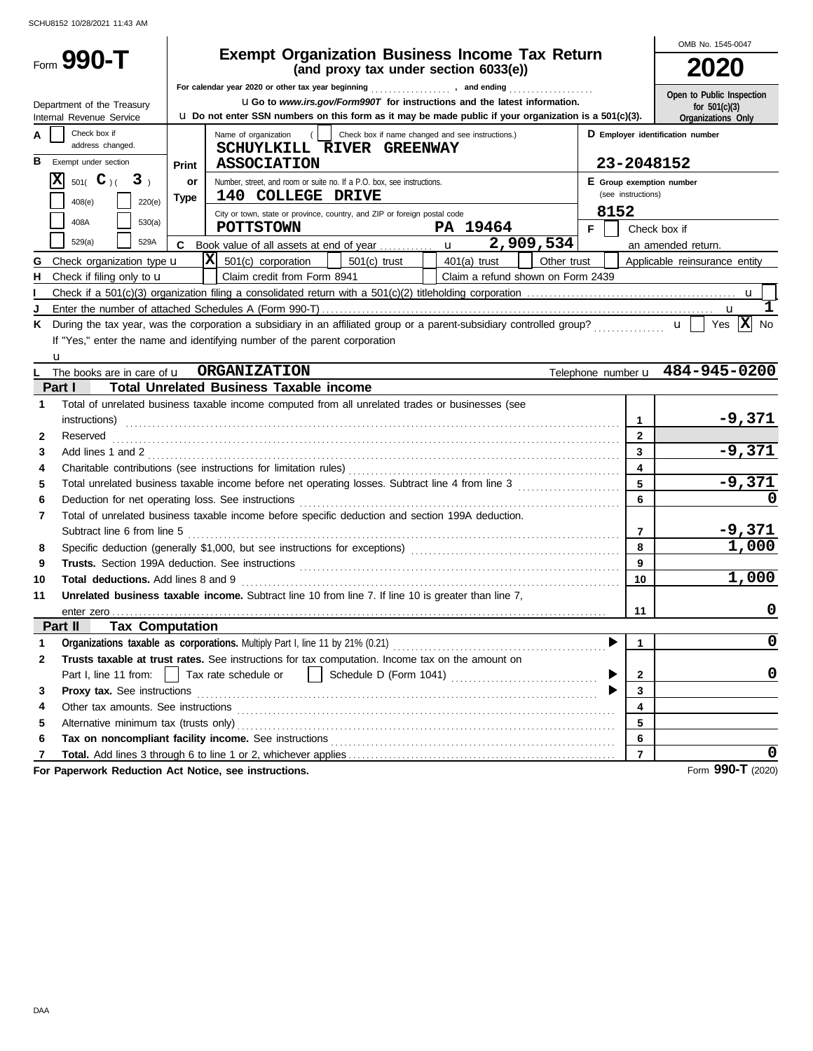|                                                                              |                                                                                                                                                                                                  | OMB No. 1545-0047                     |  |  |  |  |  |
|------------------------------------------------------------------------------|--------------------------------------------------------------------------------------------------------------------------------------------------------------------------------------------------|---------------------------------------|--|--|--|--|--|
| Form $990 - T$                                                               | <b>Exempt Organization Business Income Tax Return</b><br>(and proxy tax under section 6033(e))                                                                                                   |                                       |  |  |  |  |  |
|                                                                              | For calendar year 2020 or other tax year beginning [1] [1] The calendary can ending<br>.                                                                                                         | Open to Public Inspection             |  |  |  |  |  |
| Department of the Treasury<br>Internal Revenue Service                       | <b>uGo</b> to www.irs.gov/Form990T for instructions and the latest information.<br><b>u</b> Do not enter SSN numbers on this form as it may be made public if your organization is a 501(c)(3).  | for $501(c)(3)$<br>Organizations Only |  |  |  |  |  |
| Check box if<br>address changed.                                             | Check box if name changed and see instructions.)<br>Name of organization                                                                                                                         | D Employer identification number      |  |  |  |  |  |
| в<br>Exempt under section                                                    | SCHUYLKILL RIVER GREENWAY<br>23-2048152<br><b>ASSOCIATION</b>                                                                                                                                    |                                       |  |  |  |  |  |
| x<br>3 <sub>1</sub>                                                          | Print                                                                                                                                                                                            |                                       |  |  |  |  |  |
| 501( $\bf{C}$ )(<br>220(e)<br>408(e)                                         | Number, street, and room or suite no. If a P.O. box, see instructions.<br>or<br>E Group exemption number<br>(see instructions)<br>140 COLLEGE DRIVE<br><b>Type</b>                               |                                       |  |  |  |  |  |
| 408A<br>530(a)                                                               | 8152<br>City or town, state or province, country, and ZIP or foreign postal code<br>PA 19464<br><b>POTTSTOWN</b><br>F.                                                                           | Check box if                          |  |  |  |  |  |
| 529(a)<br>529A                                                               | 2,909,534                                                                                                                                                                                        | an amended return.                    |  |  |  |  |  |
| Check organization type <b>u</b><br>G                                        | $ \mathbf{X} $ 501(c) corporation<br>$501(c)$ trust<br>Other trust<br>401(a) trust                                                                                                               | Applicable reinsurance entity         |  |  |  |  |  |
| Check if filing only to <b>u</b><br>н                                        | Claim credit from Form 8941<br>Claim a refund shown on Form 2439                                                                                                                                 |                                       |  |  |  |  |  |
|                                                                              |                                                                                                                                                                                                  |                                       |  |  |  |  |  |
|                                                                              |                                                                                                                                                                                                  |                                       |  |  |  |  |  |
| ĸ                                                                            | During the tax year, was the corporation a subsidiary in an affiliated group or a parent-subsidiary controlled group?<br>$\mathbf{u}$ $\mathbf{u}$ $\mathbf{u}$ $\mathbf{v}$ Yes $\mathbf{X}$ No |                                       |  |  |  |  |  |
|                                                                              | If "Yes," enter the name and identifying number of the parent corporation                                                                                                                        |                                       |  |  |  |  |  |
| u                                                                            |                                                                                                                                                                                                  |                                       |  |  |  |  |  |
|                                                                              | The books are in care of <b>u ORGANIZATION</b>                                                                                                                                                   | Telephone number u 484-945-0200       |  |  |  |  |  |
| Part I                                                                       | <b>Total Unrelated Business Taxable income</b>                                                                                                                                                   |                                       |  |  |  |  |  |
| 1                                                                            | Total of unrelated business taxable income computed from all unrelated trades or businesses (see                                                                                                 |                                       |  |  |  |  |  |
| instructions)                                                                | 1                                                                                                                                                                                                | $-9,371$                              |  |  |  |  |  |
| Reserved<br>2                                                                | $\mathbf{2}$                                                                                                                                                                                     |                                       |  |  |  |  |  |
| 3                                                                            | 3<br>Add lines 1 and 2                                                                                                                                                                           | $-9,371$                              |  |  |  |  |  |
| 4                                                                            | 4                                                                                                                                                                                                |                                       |  |  |  |  |  |
| 5                                                                            | 5                                                                                                                                                                                                | $-9,371$                              |  |  |  |  |  |
| 6                                                                            | 6                                                                                                                                                                                                |                                       |  |  |  |  |  |
| 7                                                                            | Total of unrelated business taxable income before specific deduction and section 199A deduction.                                                                                                 |                                       |  |  |  |  |  |
| Subtract line 6 from line 5                                                  | 7                                                                                                                                                                                                | $-9,371$                              |  |  |  |  |  |
| 8                                                                            | 8                                                                                                                                                                                                | 1,000                                 |  |  |  |  |  |
| 9                                                                            | 9                                                                                                                                                                                                |                                       |  |  |  |  |  |
| Total deductions. Add lines 8 and 9<br>10                                    | 10                                                                                                                                                                                               | 1,000                                 |  |  |  |  |  |
| 11                                                                           | Unrelated business taxable income. Subtract line 10 from line 7. If line 10 is greater than line 7.                                                                                              |                                       |  |  |  |  |  |
|                                                                              | 11                                                                                                                                                                                               | 0                                     |  |  |  |  |  |
| Part II<br><b>Tax Computation</b>                                            |                                                                                                                                                                                                  | 0                                     |  |  |  |  |  |
| 1                                                                            | Organizations taxable as corporations. Multiply Part I, line 11 by 21% (0.21)<br>1                                                                                                               |                                       |  |  |  |  |  |
| 2<br>Part I, line 11 from:                                                   | Trusts taxable at trust rates. See instructions for tax computation. Income tax on the amount on<br>$\mathbf{1}$                                                                                 | 0                                     |  |  |  |  |  |
|                                                                              | Tax rate schedule or<br>2<br>3                                                                                                                                                                   |                                       |  |  |  |  |  |
| Proxy tax. See instructions<br>3<br>Other tax amounts. See instructions<br>4 | 4                                                                                                                                                                                                |                                       |  |  |  |  |  |
| Alternative minimum tax (trusts only)<br>5                                   | 5                                                                                                                                                                                                |                                       |  |  |  |  |  |
| 6                                                                            | Tax on noncompliant facility income. See instructions<br>6                                                                                                                                       |                                       |  |  |  |  |  |
|                                                                              | $\overline{7}$                                                                                                                                                                                   |                                       |  |  |  |  |  |
|                                                                              |                                                                                                                                                                                                  |                                       |  |  |  |  |  |

**For Paperwork Reduction Act Notice, see instructions.**

Form **990-T** (2020)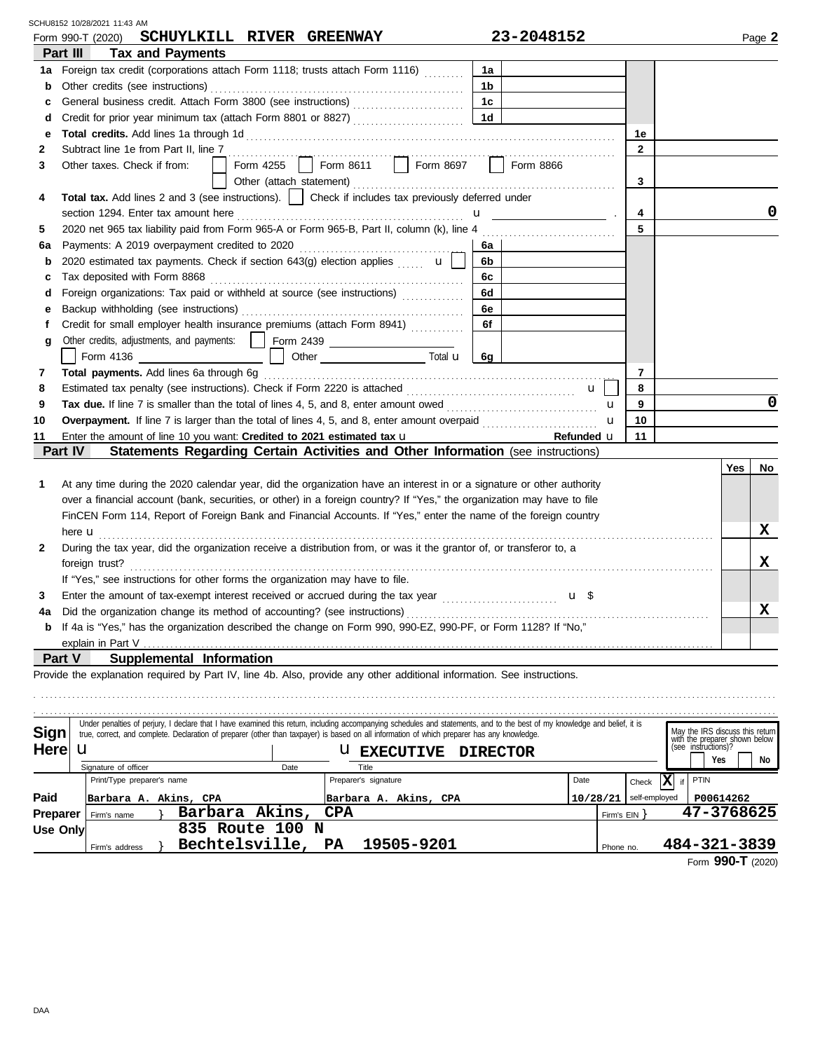May the IRS discuss this return **6g Part III Tax and Payments Part IV Statements Regarding Certain Activities and Other Information** (see instructions) **1a** Foreign tax credit (corporations attach Form 1118; trusts attach Form 1116) ......... 1a **b 1b** Other credits (see instructions) . . . . . . . . . . . . . . . . . . . . . . . . . . . . . . . . . . . . . . . . . . . . . . . . . . . . . . . . . **c 1c** General business credit. Attach Form 3800 (see instructions) . . . . . . . . . . . . . . . . . . . . . . . . . **d 1d** Credit for prior year minimum tax (attach Form 8801 or 8827) . . . . . . . . . . . . . . . . . . . . . . . . . **e Total credits.** Add lines 1a through 1d . . . . . . . . . . . . . . . . . . . . . . . . . . . . . . . . . . . . . . . . . . . . . . . . . . . . . . . . . . . . . . . . . . . . . . . . . . . . . . . . . . . **1e 4 2 2** Subtract line 1e from Part II, line 7 . . . . . . . . . . . . . . . . . . . . . . . . . . . . . . . . . . . . . . . . . . . . . . . . . . . . . . . . . . . . . . . . . . . . . . . . . . . . . . . . . . . . . . . **3 Total tax.** Add lines 2 and 3 (see instructions). | | Check if includes tax previously deferred under **4 6 6a** Payments: A 2019 overpayment credited to 2020 . . . . . . . . . . . . . . . . . . . . . . . . . . . . . . . . . . . . . **b** 2020 estimated tax payments. Check if section 643(g) election applies  $\mathbf{u} \cup \mathbf{b}$ **c 6c** Tax deposited with Form 8868 . . . . . . . . . . . . . . . . . . . . . . . . . . . . . . . . . . . . . . . . . . . . . . . . . . . . . . . . . **d** Foreign organizations: Tax paid or withheld at source (see instructions) ................ 6d **e 6e** Backup withholding (see instructions) . . . . . . . . . . . . . . . . . . . . . . . . . . . . . . . . . . . . . . . . . . . . . . . . . . **f 10 Total payments.** Add lines 6a through 6g . . . . . . . . . . . . . . . . . . . . . . . . . . . . . . . . . . . . . . . . . . . . . . . . . . . . . . . . . . . . . . . . . . . . . . . . . . . . . . . **11** Enter the amount of line 10 you want: **Credited to 2021 estimated tax <b>u 11 11 11 Refunded <b>u** | 11 **10 7** Tax due. If line 7 is smaller than the total of lines 4, 5, and 8, enter amount owed .................................. **7 8 Overpayment.** If line 7 is larger than the total of lines 4, 5, and 8, enter amount overpaid . . . . . . . . . . . . . . . . . . . . . . . . . . **8 9 Refunded** u **9 Yes No 1 2 3** Form 990-T (2020) Page **2 SCHUYLKILL RIVER GREENWAY 23-2048152** Other credits, adjustments, and payments: Form 2439 Estimated tax penalty (see instructions). Check if Form 2220 is attached . . . . . . . . . . . . . . . . . . . . . . . . . . . . . . . . . . . . . . u At any time during the 2020 calendar year, did the organization have an interest in or a signature or other authority over a financial account (bank, securities, or other) in a foreign country? If "Yes," the organization may have to file During the tax year, did the organization receive a distribution from, or was it the grantor of, or transferor to, a If "Yes," see instructions for other forms the organization may have to file. Enter the amount of tax-exempt interest received or accrued during the tax year  $\ldots$ . Other taxes. Check if from: | | Form 4255 | | Form 8611 | | Form 8697 | | Form 8866 Other (attach statement) . . . . . . . . . . . . . . . . . . . . . . . . . . . . . . . . . . . . . . . . . . . . . . . . . . . . . . . . . . . Under penalties of perjury, I declare that I have examined this return, including accompanying schedules and statements, and to the best of my knowledge and belief, it is u u Form 4136 **Contract Contract Contract Contract Contract Contract Contract Contract Contract Contract Contract Contract Contract Contract Contract Contract Contract Contract Contract Contract Contract Contract Contract Cont** here **u** *imminimum in the set of the set of the set of the set of the set of the set of the set of the set of the set of the set of the set of the set of the set of the set of the set of the set of the set of the set of* **g** Credit for small employer health insurance premiums (attach Form 8941) **. . . . . . . . . . . 6f** FinCEN Form 114, Report of Foreign Bank and Financial Accounts. If "Yes," enter the name of the foreign country 5 2020 net 965 tax liability paid from Form 965-A or Form 965-B, Part II, column (k), line 4 **5 3** section 1294. Enter tax amount here . . . . . . . . . . . . . . . . . . . . . . . . . . . . . . . . . . . . . . . . . . . . . . . . . . . u . **a** foreign trust? . . . . . . . . . . . . . . . . . . . . . . . . . . . . . . . . . . . . . . . . . . . . . . . . . . . . . . . . . . . . . . . . . . . . . . . . . . . . . . . . . . . . . . . . . . . . . . . . . . . . . . . . . . . . . . . . . . . . . . . . . . . . . . . . . . . **a 4** If 4a is "Yes," has the organization described the change on Form 990, 990-EZ, 990-PF, or Form 1128? If "No," Did the organization change its method of accounting? (see instructions) . . . . . . . . . . . . . . . . . . . . . . . . . . . . . . . . . . . . . . . . . . . . . . . . . . . . . . . . . . . . . . . . . . . . **b** explain in Part V **Part V Supplemental Information** Provide the explanation required by Part IV, line 4b. Also, provide any other additional information. See instructions. . . . . . . . . . . . . . . . . . . . . . . . . . . . . . . . . . . . . . . . . . . . . . . . . . . . . . . . . . . . . . . . . . . . . . . . . . . . . . . . . . . . . . . . . . . . . . . . . . . . . . . . . . . . . . . . . . . . . . . . . . . . . . . . . . . . . . . . . . . . . . . . . . . . . . . . . . . . . . . . . . . . . . . . . . . . . . . . . . . . . . . . . . . . . . . . . . . . . . . . . . . . . . . . . . . . . . . . . . . . . . . . . . . . . . . . . . . . . . . . . . . . . . . . . . . . . . . . . . . . . . . . . . . . . . . . . . . . . . . . . . . . . . . . . . . . . . . . . . . . . . . . . . . . . . . . . . . . . . . . . . . . . . . . . . . . . **0 0 X X X** SCHU8152 10/28/2021 11:43 AM

| <b>Sign</b>     | true, correct, and complete. Declaration of preparer (other than taxpayer) is based on all information of which preparer has any knowledge. |                   | May the IRS discuss this return<br>with the preparer shown below |          |               |                                         |
|-----------------|---------------------------------------------------------------------------------------------------------------------------------------------|-------------------|------------------------------------------------------------------|----------|---------------|-----------------------------------------|
| <b>Here</b>     | u                                                                                                                                           |                   | <b>U EXECUTIVE DIRECTOR</b>                                      |          |               | (see instructions)?<br>Yes<br><b>No</b> |
|                 | Signature of officer                                                                                                                        | Date              | Title                                                            |          |               |                                         |
|                 | Print/Type preparer's name                                                                                                                  |                   | Preparer's signature                                             | Date     | Check         | ıXl<br>PTIN                             |
| Paid            | Barbara A. Akins, CPA                                                                                                                       |                   | Barbara A. Akins, CPA                                            | 10/28/21 | self-employed | P00614262                               |
| <b>Preparer</b> | Firm's name                                                                                                                                 | Barbara Akins,    | <b>CPA</b>                                                       |          | Firm's EIN    | 47-3768625                              |
| Use Only        |                                                                                                                                             | 835 Route 100 N   |                                                                  |          |               |                                         |
|                 | Firm's address                                                                                                                              | Bechtelsville, PA | 19505-9201                                                       |          | Phone no.     | 484-321-3839                            |
|                 |                                                                                                                                             |                   |                                                                  |          |               | $\sim$ $\sim$ $\sim$ $\sim$             |

Form **990-T** (2020)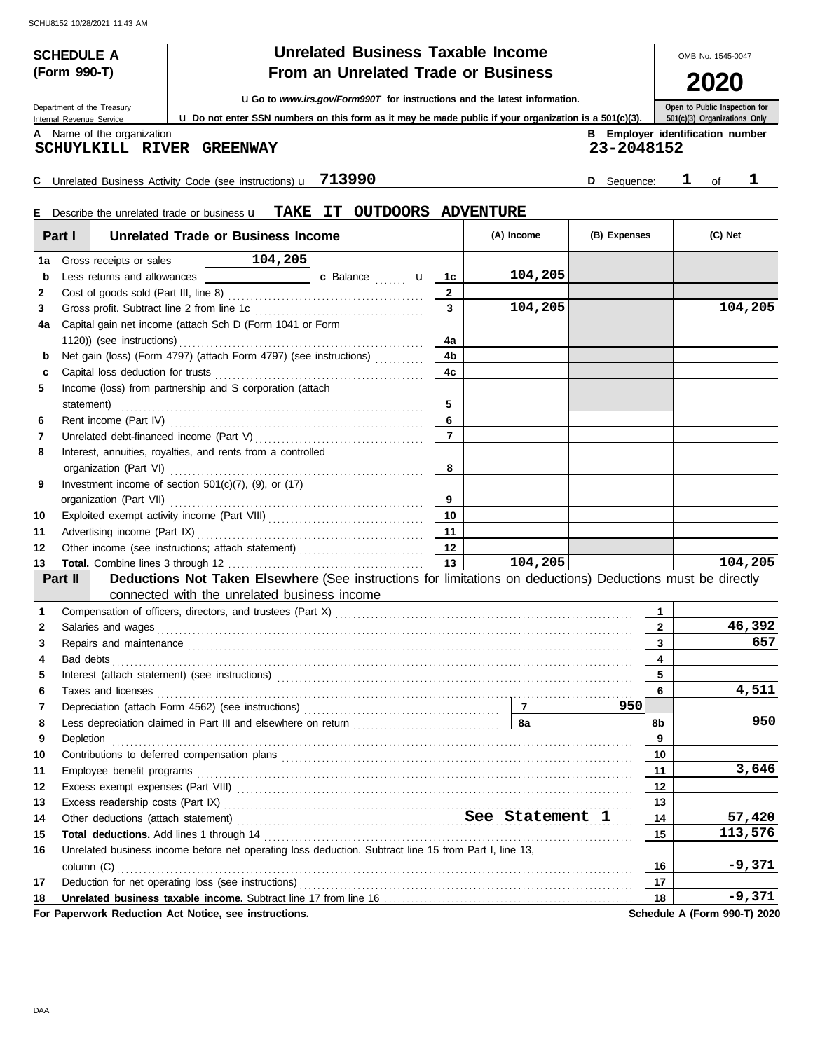| <b>Unrelated Business Taxable Income</b><br><b>SCHEDULE A</b>                                                 |                                                       |                                                                           |                                                                                                                                                                                                                               |                |            |                                                       |              |                               | OMB No. 1545-0047 |
|---------------------------------------------------------------------------------------------------------------|-------------------------------------------------------|---------------------------------------------------------------------------|-------------------------------------------------------------------------------------------------------------------------------------------------------------------------------------------------------------------------------|----------------|------------|-------------------------------------------------------|--------------|-------------------------------|-------------------|
|                                                                                                               | (Form 990-T)                                          |                                                                           | From an Unrelated Trade or Business                                                                                                                                                                                           |                |            |                                                       |              |                               |                   |
| <b>UGo to www.irs.gov/Form990T for instructions and the latest information.</b><br>Department of the Treasury |                                                       |                                                                           |                                                                                                                                                                                                                               |                |            |                                                       |              | Open to Public Inspection for |                   |
|                                                                                                               | Internal Revenue Service                              |                                                                           | <b>u</b> Do not enter SSN numbers on this form as it may be made public if your organization is a 501(c)(3).                                                                                                                  |                |            |                                                       |              | 501(c)(3) Organizations Only  |                   |
|                                                                                                               | A Name of the organization<br><b>SCHUYLKILL RIVER</b> | <b>GREENWAY</b>                                                           |                                                                                                                                                                                                                               |                |            | <b>B</b> Employer identification number<br>23-2048152 |              |                               |                   |
|                                                                                                               |                                                       |                                                                           |                                                                                                                                                                                                                               |                |            |                                                       | ı            |                               |                   |
|                                                                                                               |                                                       | C Unrelated Business Activity Code (see instructions) $\mathbf{u}$ 713990 |                                                                                                                                                                                                                               |                |            | D Sequence:                                           |              | of                            | ı                 |
|                                                                                                               |                                                       |                                                                           | E Describe the unrelated trade or business <b>u</b> TAKE IT OUTDOORS ADVENTURE                                                                                                                                                |                |            |                                                       |              |                               |                   |
|                                                                                                               | Part I                                                | <b>Unrelated Trade or Business Income</b>                                 |                                                                                                                                                                                                                               |                | (A) Income | (B) Expenses                                          |              | (C) Net                       |                   |
| 1a                                                                                                            | Gross receipts or sales                               | 104,205                                                                   |                                                                                                                                                                                                                               |                |            |                                                       |              |                               |                   |
| b                                                                                                             |                                                       |                                                                           |                                                                                                                                                                                                                               | 1c             | 104,205    |                                                       |              |                               |                   |
| 2                                                                                                             |                                                       |                                                                           |                                                                                                                                                                                                                               | $\overline{2}$ |            |                                                       |              |                               |                   |
| 3                                                                                                             |                                                       |                                                                           |                                                                                                                                                                                                                               | 3              | 104,205    |                                                       |              |                               | 104,205           |
| 4a                                                                                                            |                                                       | Capital gain net income (attach Sch D (Form 1041 or Form                  |                                                                                                                                                                                                                               |                |            |                                                       |              |                               |                   |
|                                                                                                               |                                                       |                                                                           |                                                                                                                                                                                                                               | 4a             |            |                                                       |              |                               |                   |
| b                                                                                                             |                                                       |                                                                           | Net gain (loss) (Form 4797) (attach Form 4797) (see instructions)                                                                                                                                                             | 4b             |            |                                                       |              |                               |                   |
| c                                                                                                             |                                                       |                                                                           |                                                                                                                                                                                                                               | 4c             |            |                                                       |              |                               |                   |
| 5                                                                                                             |                                                       | Income (loss) from partnership and S corporation (attach                  |                                                                                                                                                                                                                               |                |            |                                                       |              |                               |                   |
|                                                                                                               |                                                       |                                                                           |                                                                                                                                                                                                                               | 5              |            |                                                       |              |                               |                   |
| 6                                                                                                             |                                                       |                                                                           |                                                                                                                                                                                                                               | 6              |            |                                                       |              |                               |                   |
| 7                                                                                                             |                                                       |                                                                           |                                                                                                                                                                                                                               | $\overline{7}$ |            |                                                       |              |                               |                   |
| 8                                                                                                             |                                                       | Interest, annuities, royalties, and rents from a controlled               |                                                                                                                                                                                                                               |                |            |                                                       |              |                               |                   |
|                                                                                                               |                                                       |                                                                           |                                                                                                                                                                                                                               | 8              |            |                                                       |              |                               |                   |
| 9                                                                                                             |                                                       | Investment income of section $501(c)(7)$ , (9), or (17)                   |                                                                                                                                                                                                                               |                |            |                                                       |              |                               |                   |
| 10                                                                                                            |                                                       |                                                                           |                                                                                                                                                                                                                               | 9<br>10        |            |                                                       |              |                               |                   |
| 11                                                                                                            | Advertising income (Part IX)                          |                                                                           |                                                                                                                                                                                                                               | 11             |            |                                                       |              |                               |                   |
| 12                                                                                                            |                                                       |                                                                           | Other income (see instructions; attach statement)                                                                                                                                                                             | 12             |            |                                                       |              |                               |                   |
| 13                                                                                                            |                                                       |                                                                           |                                                                                                                                                                                                                               | 13             | 104,205    |                                                       |              |                               | 104,205           |
|                                                                                                               | Part II                                               |                                                                           | Deductions Not Taken Elsewhere (See instructions for limitations on deductions) Deductions must be directly                                                                                                                   |                |            |                                                       |              |                               |                   |
|                                                                                                               |                                                       | connected with the unrelated business income                              |                                                                                                                                                                                                                               |                |            |                                                       |              |                               |                   |
| 1                                                                                                             |                                                       |                                                                           |                                                                                                                                                                                                                               |                |            |                                                       | 1            |                               |                   |
| 2                                                                                                             | Salaries and wages                                    |                                                                           |                                                                                                                                                                                                                               |                |            |                                                       | $\mathbf{2}$ |                               | 46,392            |
|                                                                                                               |                                                       |                                                                           | Repairs and maintenance contained and contained and maintenance contained and maintenance contained and maintenance                                                                                                           |                |            |                                                       | 3            |                               | 657               |
| 3                                                                                                             |                                                       |                                                                           |                                                                                                                                                                                                                               |                |            |                                                       |              |                               |                   |
| 4                                                                                                             | Bad debts                                             |                                                                           | Interest (attach statement) (see instructions) [11] matter contracts are a statement of the statement of statement of statement of statement of statement of statement of statement of statement of statement of statement of |                |            |                                                       | 4            |                               |                   |

|                  |                                                                                                       |    | 3,646                        |
|------------------|-------------------------------------------------------------------------------------------------------|----|------------------------------|
| 12 <sup>12</sup> |                                                                                                       |    |                              |
|                  |                                                                                                       |    |                              |
|                  |                                                                                                       |    | 57,420                       |
|                  |                                                                                                       |    | 113,576                      |
| 16               | Unrelated business income before net operating loss deduction. Subtract line 15 from Part I, line 13, |    |                              |
|                  | $\text{column } (C)$                                                                                  |    | -9,371                       |
| 17               |                                                                                                       |    |                              |
|                  |                                                                                                       | 18 | $-9,371$                     |
|                  | For Paperwork Reduction Act Notice, see instructions.                                                 |    | Schedule A (Form 990-T) 2020 |

**9**

**950**

**4,511**

**950**

**7**

Contributions to deferred compensation plans . . . . . . . . . . . . . . . . . . . . . . . . . . . . . . . . . . . . . . . . . . . . . . . . . . . . . . . . . . . . . . . . . . . . . . . . . . . . . . . **10 10** Depletion . . . . . . . . . . . . . . . . . . . . . . . . . . . . . . . . . . . . . . . . . . . . . . . . . . . . . . . . . . . . . . . . . . . . . . . . . . . . . . . . . . . . . . . . . . . . . . . . . . . . . . . . . . . . . . . . . . . . . Less depreciation claimed in Part III and elsewhere on return . . . . . . . . . . . . . . . . . . . . . . . . . . . . . . . . . **8a 8b**

Taxes and licenses . . . . . . . . . . . . . . . . . . . . . . . . . . . . . . . . . . . . . . . . . . . . . . . . . . . . . . . . . . . . . . . . . . . . . . . . . . . . . . . . . . . . . . . . . . . . . . . . . . . . . . . . . . . **6 6**

Depreciation (attach Form 4562) (see instructions) . . . . . . . . . . . . . . . . . . . . . . . . . . . . . . . . . . . . . . . . . . . .

DAA

**9**

**8 7**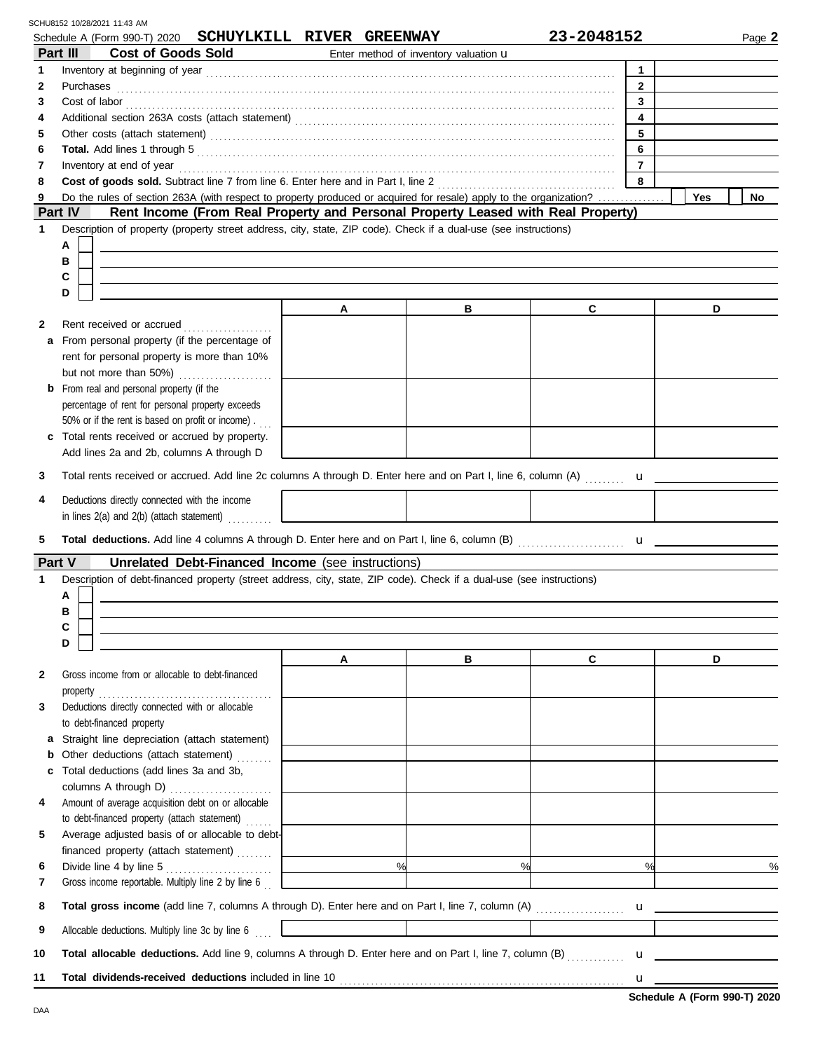|             | SCHU8152 10/28/2021 11:43 AM<br>Schedule A (Form 990-T) 2020                                                                                                                                                                        | SCHUYLKILL RIVER GREENWAY |                                       | 23-2048152                   | Page 2                                                                                                                                                                                                                                                                                                 |
|-------------|-------------------------------------------------------------------------------------------------------------------------------------------------------------------------------------------------------------------------------------|---------------------------|---------------------------------------|------------------------------|--------------------------------------------------------------------------------------------------------------------------------------------------------------------------------------------------------------------------------------------------------------------------------------------------------|
|             | <b>Cost of Goods Sold</b><br>Part III                                                                                                                                                                                               |                           | Enter method of inventory valuation u |                              |                                                                                                                                                                                                                                                                                                        |
| 1           |                                                                                                                                                                                                                                     |                           |                                       | $\mathbf{1}$                 |                                                                                                                                                                                                                                                                                                        |
| 2           | Purchases                                                                                                                                                                                                                           |                           |                                       | $\overline{2}$               |                                                                                                                                                                                                                                                                                                        |
| 3           | Cost of labor<br><u>cost</u> of labor<br><br>$\frac{1}{2}$                                                                                                                                                                          |                           |                                       | $\mathbf{3}$                 |                                                                                                                                                                                                                                                                                                        |
| 4           |                                                                                                                                                                                                                                     |                           |                                       | $\overline{\mathbf{4}}$<br>5 |                                                                                                                                                                                                                                                                                                        |
| 5<br>6      |                                                                                                                                                                                                                                     |                           |                                       | 6                            |                                                                                                                                                                                                                                                                                                        |
| 7           |                                                                                                                                                                                                                                     |                           |                                       | $\overline{7}$               |                                                                                                                                                                                                                                                                                                        |
| 8           | Cost of goods sold. Subtract line 7 from line 6. Enter here and in Part I, line 2                                                                                                                                                   |                           |                                       | 8                            |                                                                                                                                                                                                                                                                                                        |
| 9           | Do the rules of section 263A (with respect to property produced or acquired for resale) apply to the organization?                                                                                                                  |                           |                                       |                              | Yes<br><b>No</b>                                                                                                                                                                                                                                                                                       |
|             | Part IV<br>Rent Income (From Real Property and Personal Property Leased with Real Property)                                                                                                                                         |                           |                                       |                              |                                                                                                                                                                                                                                                                                                        |
| 1           | Description of property (property street address, city, state, ZIP code). Check if a dual-use (see instructions)                                                                                                                    |                           |                                       |                              |                                                                                                                                                                                                                                                                                                        |
|             | Α                                                                                                                                                                                                                                   |                           |                                       |                              |                                                                                                                                                                                                                                                                                                        |
|             | в                                                                                                                                                                                                                                   |                           |                                       |                              |                                                                                                                                                                                                                                                                                                        |
|             | С<br>D                                                                                                                                                                                                                              |                           |                                       |                              |                                                                                                                                                                                                                                                                                                        |
|             |                                                                                                                                                                                                                                     | A                         | в                                     | C                            | D                                                                                                                                                                                                                                                                                                      |
| 2           | Rent received or accrued<br>.                                                                                                                                                                                                       |                           |                                       |                              |                                                                                                                                                                                                                                                                                                        |
| a           | From personal property (if the percentage of                                                                                                                                                                                        |                           |                                       |                              |                                                                                                                                                                                                                                                                                                        |
|             | rent for personal property is more than 10%                                                                                                                                                                                         |                           |                                       |                              |                                                                                                                                                                                                                                                                                                        |
|             | but not more than 50%)<br>.                                                                                                                                                                                                         |                           |                                       |                              |                                                                                                                                                                                                                                                                                                        |
|             | <b>b</b> From real and personal property (if the                                                                                                                                                                                    |                           |                                       |                              |                                                                                                                                                                                                                                                                                                        |
|             | percentage of rent for personal property exceeds                                                                                                                                                                                    |                           |                                       |                              |                                                                                                                                                                                                                                                                                                        |
|             | 50% or if the rent is based on profit or income).                                                                                                                                                                                   |                           |                                       |                              |                                                                                                                                                                                                                                                                                                        |
|             | c Total rents received or accrued by property.                                                                                                                                                                                      |                           |                                       |                              |                                                                                                                                                                                                                                                                                                        |
|             | Add lines 2a and 2b, columns A through D                                                                                                                                                                                            |                           |                                       |                              |                                                                                                                                                                                                                                                                                                        |
| 3           |                                                                                                                                                                                                                                     |                           |                                       |                              |                                                                                                                                                                                                                                                                                                        |
| 4           | Deductions directly connected with the income                                                                                                                                                                                       |                           |                                       |                              |                                                                                                                                                                                                                                                                                                        |
|             | in lines 2(a) and 2(b) (attach statement)                                                                                                                                                                                           |                           |                                       |                              |                                                                                                                                                                                                                                                                                                        |
| 5           |                                                                                                                                                                                                                                     |                           |                                       |                              |                                                                                                                                                                                                                                                                                                        |
|             |                                                                                                                                                                                                                                     |                           |                                       |                              |                                                                                                                                                                                                                                                                                                        |
| Part V<br>1 | <b>Unrelated Debt-Financed Income</b> (see instructions)<br>Description of debt-financed property (street address, city, state, ZIP code). Check if a dual-use (see instructions)                                                   |                           |                                       |                              |                                                                                                                                                                                                                                                                                                        |
|             | Α                                                                                                                                                                                                                                   |                           |                                       |                              |                                                                                                                                                                                                                                                                                                        |
|             | В                                                                                                                                                                                                                                   |                           |                                       |                              |                                                                                                                                                                                                                                                                                                        |
|             | С                                                                                                                                                                                                                                   |                           |                                       |                              |                                                                                                                                                                                                                                                                                                        |
|             | D                                                                                                                                                                                                                                   |                           |                                       |                              |                                                                                                                                                                                                                                                                                                        |
|             |                                                                                                                                                                                                                                     | $\mathsf{A}$              | в                                     | C                            | D                                                                                                                                                                                                                                                                                                      |
| 2           | Gross income from or allocable to debt-financed                                                                                                                                                                                     |                           |                                       |                              |                                                                                                                                                                                                                                                                                                        |
|             | Deductions directly connected with or allocable                                                                                                                                                                                     |                           |                                       |                              |                                                                                                                                                                                                                                                                                                        |
| 3           | to debt-financed property                                                                                                                                                                                                           |                           |                                       |                              |                                                                                                                                                                                                                                                                                                        |
|             | a Straight line depreciation (attach statement)                                                                                                                                                                                     |                           |                                       |                              |                                                                                                                                                                                                                                                                                                        |
|             | <b>b</b> Other deductions (attach statement)                                                                                                                                                                                        |                           |                                       |                              |                                                                                                                                                                                                                                                                                                        |
| C           | Total deductions (add lines 3a and 3b,                                                                                                                                                                                              |                           |                                       |                              |                                                                                                                                                                                                                                                                                                        |
|             | columns A through D)                                                                                                                                                                                                                |                           |                                       |                              |                                                                                                                                                                                                                                                                                                        |
| 4           | Amount of average acquisition debt on or allocable                                                                                                                                                                                  |                           |                                       |                              |                                                                                                                                                                                                                                                                                                        |
|             | to debt-financed property (attach statement)                                                                                                                                                                                        |                           |                                       |                              |                                                                                                                                                                                                                                                                                                        |
| 5           | Average adjusted basis of or allocable to debt-                                                                                                                                                                                     |                           |                                       |                              |                                                                                                                                                                                                                                                                                                        |
|             | financed property (attach statement)                                                                                                                                                                                                |                           | $\frac{1}{100}$<br>$\%$               | $\%$                         | $\frac{0}{0}$                                                                                                                                                                                                                                                                                          |
| 6<br>7      | Gross income reportable. Multiply line 2 by line 6                                                                                                                                                                                  |                           |                                       |                              |                                                                                                                                                                                                                                                                                                        |
|             |                                                                                                                                                                                                                                     |                           |                                       |                              |                                                                                                                                                                                                                                                                                                        |
| 8           |                                                                                                                                                                                                                                     |                           |                                       |                              |                                                                                                                                                                                                                                                                                                        |
| 9           | Allocable deductions. Multiply line 3c by line 6                                                                                                                                                                                    |                           |                                       |                              |                                                                                                                                                                                                                                                                                                        |
| 10          | Total allocable deductions. Add line 9, columns A through D. Enter here and on Part I, line 7, column (B)                                                                                                                           |                           |                                       |                              | $\mathbf{u}$ <u>and</u> $\mathbf{u}$ and $\mathbf{u}$ and $\mathbf{u}$ and $\mathbf{u}$ and $\mathbf{u}$ and $\mathbf{u}$ and $\mathbf{u}$ and $\mathbf{u}$ and $\mathbf{u}$ and $\mathbf{u}$ and $\mathbf{u}$ and $\mathbf{u}$ and $\mathbf{u}$ and $\mathbf{u}$ and $\mathbf{u}$ and $\mathbf{u}$ an |
| 11          | Total dividends-received deductions included in line 10 <b>Constant Construction</b> and the construction of the construction of the construction of the construction of the construction of the construction of the construction o |                           |                                       |                              |                                                                                                                                                                                                                                                                                                        |
|             |                                                                                                                                                                                                                                     |                           |                                       |                              |                                                                                                                                                                                                                                                                                                        |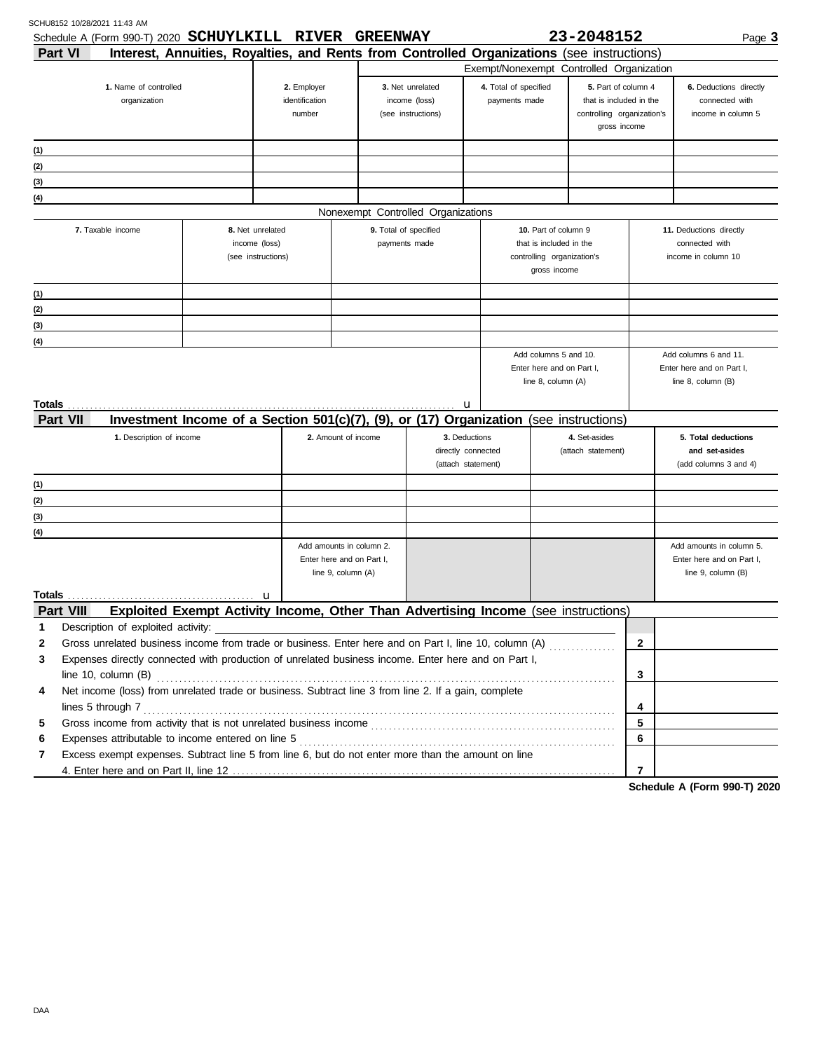| Schedule A (Form 990-T) 2020 SCHUYLKILL RIVER                                                              |                                                                                            |                           | <b>GREENWAY</b> |                                     |   |                       |                                                    | 23-2048152                                            |              | Page 3                                             |
|------------------------------------------------------------------------------------------------------------|--------------------------------------------------------------------------------------------|---------------------------|-----------------|-------------------------------------|---|-----------------------|----------------------------------------------------|-------------------------------------------------------|--------------|----------------------------------------------------|
| <b>Part VI</b>                                                                                             | Interest, Annuities, Royalties, and Rents from Controlled Organizations (see instructions) |                           |                 |                                     |   |                       |                                                    |                                                       |              |                                                    |
|                                                                                                            |                                                                                            |                           |                 |                                     |   |                       |                                                    | Exempt/Nonexempt Controlled Organization              |              |                                                    |
| 1. Name of controlled                                                                                      | 2. Employer                                                                                |                           |                 | 3. Net unrelated                    |   | 4. Total of specified |                                                    | 5. Part of column 4                                   |              | 6. Deductions directly                             |
| organization                                                                                               | identification<br>number                                                                   |                           |                 | income (loss)<br>(see instructions) |   | payments made         |                                                    | that is included in the<br>controlling organization's |              | connected with<br>income in column 5               |
|                                                                                                            |                                                                                            |                           |                 |                                     |   |                       |                                                    | gross income                                          |              |                                                    |
|                                                                                                            |                                                                                            |                           |                 |                                     |   |                       |                                                    |                                                       |              |                                                    |
| (1)                                                                                                        |                                                                                            |                           |                 |                                     |   |                       |                                                    |                                                       |              |                                                    |
| (2)                                                                                                        |                                                                                            |                           |                 |                                     |   |                       |                                                    |                                                       |              |                                                    |
| (3)<br>(4)                                                                                                 |                                                                                            |                           |                 |                                     |   |                       |                                                    |                                                       |              |                                                    |
|                                                                                                            |                                                                                            |                           |                 | Nonexempt Controlled Organizations  |   |                       |                                                    |                                                       |              |                                                    |
| 7. Taxable income                                                                                          | 8. Net unrelated                                                                           |                           |                 | 9. Total of specified               |   |                       | 10. Part of column 9                               |                                                       |              | 11. Deductions directly                            |
|                                                                                                            | income (loss)                                                                              |                           |                 | payments made                       |   |                       | that is included in the                            |                                                       |              | connected with                                     |
|                                                                                                            | (see instructions)                                                                         |                           |                 |                                     |   |                       | controlling organization's                         |                                                       |              | income in column 10                                |
|                                                                                                            |                                                                                            |                           |                 |                                     |   |                       | gross income                                       |                                                       |              |                                                    |
| (1)                                                                                                        |                                                                                            |                           |                 |                                     |   |                       |                                                    |                                                       |              |                                                    |
| (2)                                                                                                        |                                                                                            |                           |                 |                                     |   |                       |                                                    |                                                       |              |                                                    |
| (3)                                                                                                        |                                                                                            |                           |                 |                                     |   |                       |                                                    |                                                       |              |                                                    |
| (4)                                                                                                        |                                                                                            |                           |                 |                                     |   |                       |                                                    |                                                       |              |                                                    |
|                                                                                                            |                                                                                            |                           |                 |                                     |   |                       | Add columns 5 and 10.<br>Enter here and on Part I, |                                                       |              | Add columns 6 and 11.<br>Enter here and on Part I, |
|                                                                                                            |                                                                                            |                           |                 |                                     |   |                       | line 8, column (A)                                 |                                                       |              | line 8, column (B)                                 |
|                                                                                                            |                                                                                            |                           |                 |                                     |   |                       |                                                    |                                                       |              |                                                    |
| <b>Totals</b>                                                                                              |                                                                                            |                           |                 |                                     | u |                       |                                                    |                                                       |              |                                                    |
| <b>Part VII</b>                                                                                            | Investment Income of a Section 501(c)(7), (9), or (17)                                     |                           |                 |                                     |   | Organization          |                                                    | (see instructions)                                    |              |                                                    |
| 1. Description of income                                                                                   |                                                                                            | 2. Amount of income       |                 | 3. Deductions<br>directly connected |   |                       |                                                    | 4. Set-asides<br>(attach statement)                   |              | 5. Total deductions<br>and set-asides              |
|                                                                                                            |                                                                                            |                           |                 | (attach statement)                  |   |                       |                                                    |                                                       |              | (add columns 3 and 4)                              |
|                                                                                                            |                                                                                            |                           |                 |                                     |   |                       |                                                    |                                                       |              |                                                    |
| (1)<br>(2)                                                                                                 |                                                                                            |                           |                 |                                     |   |                       |                                                    |                                                       |              |                                                    |
| (3)                                                                                                        |                                                                                            |                           |                 |                                     |   |                       |                                                    |                                                       |              |                                                    |
| (4)                                                                                                        |                                                                                            |                           |                 |                                     |   |                       |                                                    |                                                       |              |                                                    |
|                                                                                                            |                                                                                            | Add amounts in column 2.  |                 |                                     |   |                       |                                                    |                                                       |              | Add amounts in column 5.                           |
|                                                                                                            |                                                                                            | Enter here and on Part I, |                 |                                     |   |                       |                                                    |                                                       |              | Enter here and on Part I,                          |
|                                                                                                            |                                                                                            | line 9, column (A)        |                 |                                     |   |                       |                                                    |                                                       |              | line 9, column (B)                                 |
|                                                                                                            |                                                                                            |                           |                 |                                     |   |                       |                                                    |                                                       |              |                                                    |
| Part VIII                                                                                                  | Exploited Exempt Activity Income, Other Than Advertising Income (see instructions)         |                           |                 |                                     |   |                       |                                                    |                                                       |              |                                                    |
| Description of exploited activity:                                                                         |                                                                                            |                           |                 |                                     |   |                       |                                                    |                                                       |              |                                                    |
| Gross unrelated business income from trade or business. Enter here and on Part I, line 10, column (A)<br>2 |                                                                                            |                           |                 |                                     |   |                       |                                                    |                                                       | $\mathbf{2}$ |                                                    |
| Expenses directly connected with production of unrelated business income. Enter here and on Part I,<br>3   |                                                                                            |                           |                 |                                     |   |                       |                                                    |                                                       |              |                                                    |
| line $10$ , column $(B)$                                                                                   |                                                                                            |                           |                 |                                     |   |                       |                                                    |                                                       | 3            |                                                    |
| Net income (loss) from unrelated trade or business. Subtract line 3 from line 2. If a gain, complete<br>4  |                                                                                            |                           |                 |                                     |   |                       |                                                    |                                                       |              |                                                    |
| lines 5 through 7                                                                                          |                                                                                            |                           |                 |                                     |   |                       |                                                    |                                                       | 4            |                                                    |
| 5                                                                                                          |                                                                                            |                           |                 |                                     |   |                       |                                                    |                                                       | 5            |                                                    |
| 6<br>Expenses attributable to income entered on line 5                                                     |                                                                                            |                           |                 |                                     |   |                       |                                                    |                                                       | 6            |                                                    |
| Excess exempt expenses. Subtract line 5 from line 6, but do not enter more than the amount on line<br>7    |                                                                                            |                           |                 |                                     |   |                       |                                                    |                                                       |              |                                                    |
|                                                                                                            |                                                                                            |                           |                 |                                     |   |                       |                                                    |                                                       | 7            | <b>Colonials A (Form 000 T) 0000</b>               |

**Schedule A (Form 990-T) 2020**

SCHU8152 10/28/2021 11:43 AM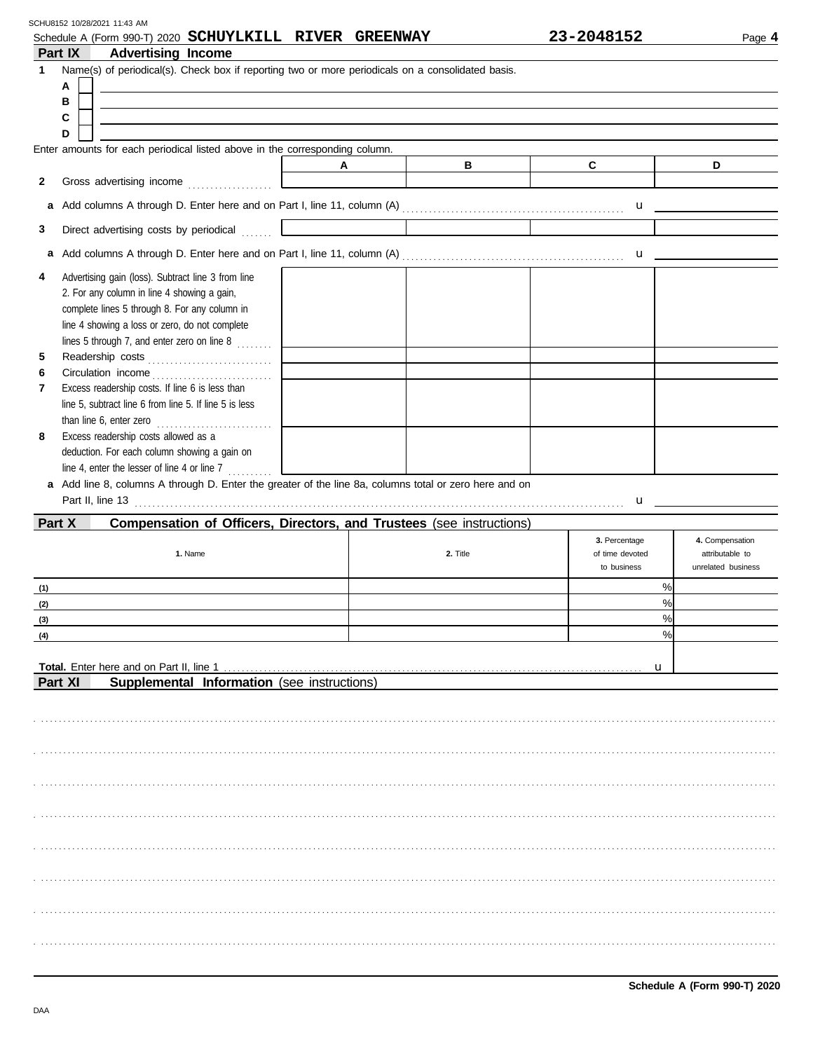| C                                                 | D                                                                                                                                                                                                                                                                                                                               |
|---------------------------------------------------|---------------------------------------------------------------------------------------------------------------------------------------------------------------------------------------------------------------------------------------------------------------------------------------------------------------------------------|
|                                                   |                                                                                                                                                                                                                                                                                                                                 |
|                                                   |                                                                                                                                                                                                                                                                                                                                 |
|                                                   |                                                                                                                                                                                                                                                                                                                                 |
|                                                   | $\mathbf u$ and $\mathbf u$ and $\mathbf u$ and $\mathbf u$ and $\mathbf u$ and $\mathbf u$ and $\mathbf u$ and $\mathbf u$ and $\mathbf u$ and $\mathbf u$ and $\mathbf u$ and $\mathbf u$ and $\mathbf u$ and $\mathbf u$ and $\mathbf u$ and $\mathbf u$ and $\mathbf u$ and $\mathbf u$ and $\mathbf u$ and $\mathbf u$ and |
| Part II, line 13 <b>Part II, line 13 Part III</b> | $\mathbf{u}$                                                                                                                                                                                                                                                                                                                    |
|                                                   |                                                                                                                                                                                                                                                                                                                                 |
| 3. Percentage<br>of time devoted<br>to business   | 4. Compensation<br>attributable to<br>unrelated business                                                                                                                                                                                                                                                                        |
|                                                   | %                                                                                                                                                                                                                                                                                                                               |
|                                                   | %                                                                                                                                                                                                                                                                                                                               |
|                                                   | $\%$<br>%                                                                                                                                                                                                                                                                                                                       |
| u                                                 |                                                                                                                                                                                                                                                                                                                                 |
|                                                   |                                                                                                                                                                                                                                                                                                                                 |
|                                                   |                                                                                                                                                                                                                                                                                                                                 |

. . . . . . . . . . . . . . . . . . . . . . . . . . . . . . . . . . . . . . . . . . . . . . . . . . . . . . . . . . . . . . . . . . . . . . . . . . . . . . . . . . . . . . . . . . . . . . . . . . . . . . . . . . . . . . . . . . . . . . . . . . . . . . . . . . . . . . . . . . . . . . . . . . . . . . . . . . . . . . . . . . . . . .

. . . . . . . . . . . . . . . . . . . . . . . . . . . . . . . . . . . . . . . . . . . . . . . . . . . . . . . . . . . . . . . . . . . . . . . . . . . . . . . . . . . . . . . . . . . . . . . . . . . . . . . . . . . . . . . . . . . . . . . . . . . . . . . . . . . . . . . . . . . . . . . . . . . . . . . . . . . . . . . . . . . . . .

. . . . . . . . . . . . . . . . . . . . . . . . . . . . . . . . . . . . . . . . . . . . . . . . . . . . . . . . . . . . . . . . . . . . . . . . . . . . . . . . . . . . . . . . . . . . . . . . . . . . . . . . . . . . . . . . . . . . . . . . . . . . . . . . . . . . . . . . . . . . . . . . . . . . . . . . . . . . . . . . . . . . . .

. . . . . . . . . . . . . . . . . . . . . . . . . . . . . . . . . . . . . . . . . . . . . . . . . . . . . . . . . . . . . . . . . . . . . . . . . . . . . . . . . . . . . . . . . . . . . . . . . . . . . . . . . . . . . . . . . . . . . . . . . . . . . . . . . . . . . . . . . . . . . . . . . . . . . . . . . . . . . . . . . . . . . .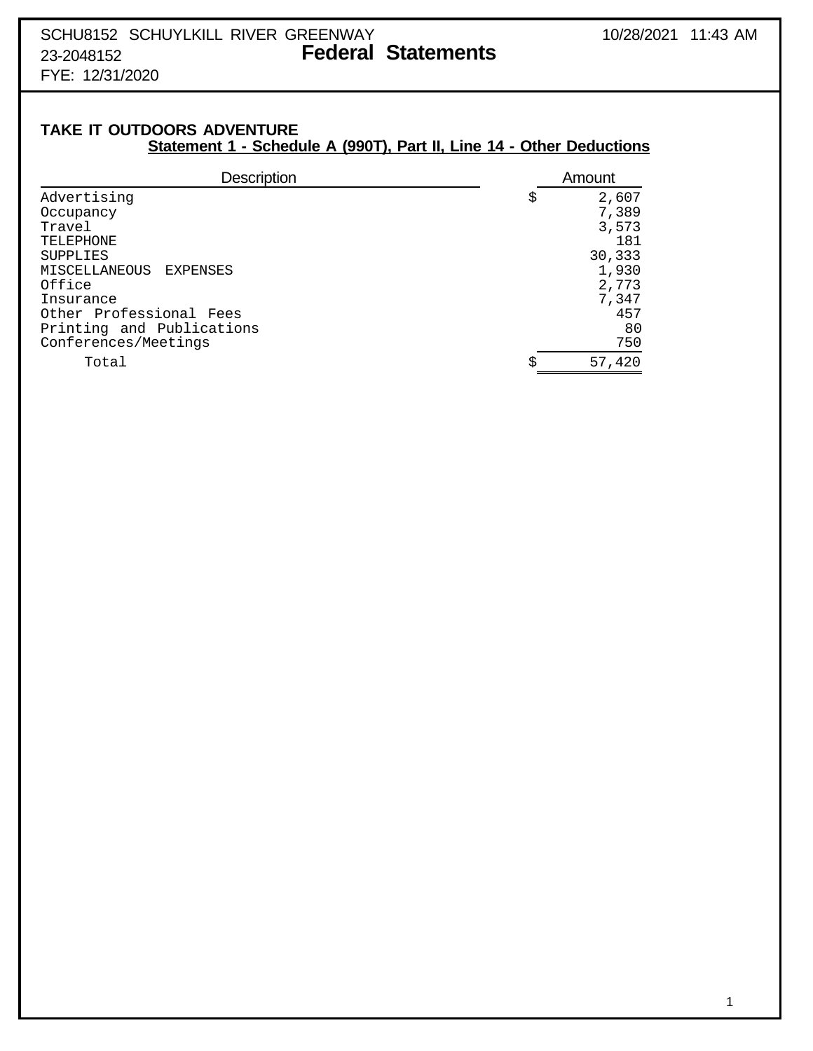FYE: 12/31/2020

## **TAKE IT OUTDOORS ADVENTURE Statement 1 - Schedule A (990T), Part II, Line 14 - Other Deductions**

| <b>Description</b>        | Amount       |
|---------------------------|--------------|
| Advertising               | \$<br>2,607  |
| Occupancy                 | 7,389        |
| Travel                    | 3,573        |
| TELEPHONE                 | 181          |
| <b>SUPPLIES</b>           | 30,333       |
| MISCELLANEOUS<br>EXPENSES | 1,930        |
| Office                    | 2,773        |
| Insurance                 | 7,347        |
| Other Professional Fees   | 457          |
| Printing and Publications | 80           |
| Conferences/Meetings      | 750          |
| Total                     | \$<br>57,420 |